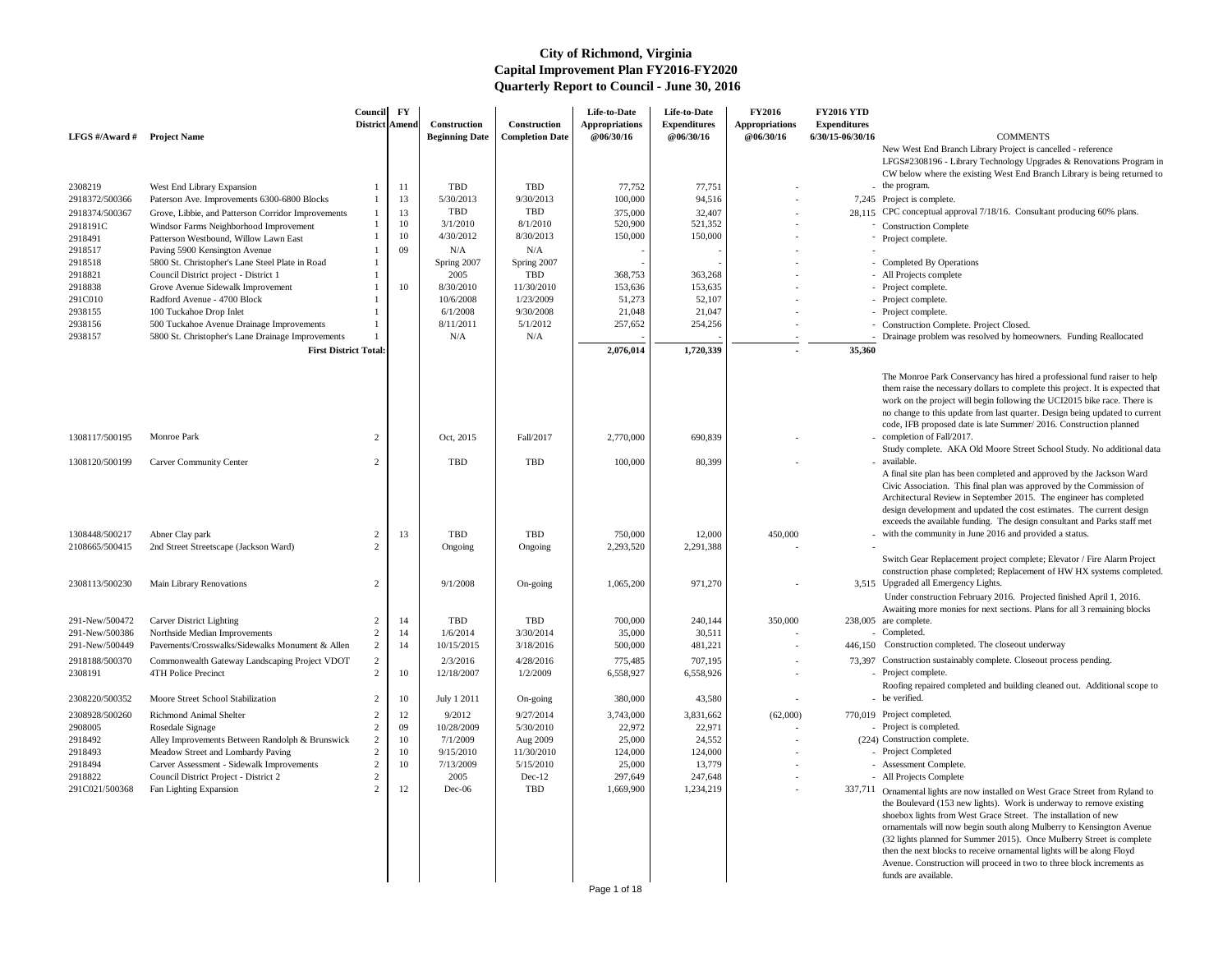- the program.
- 7,245 Project is complete.
- 28,115 CPC conceptual approval 7/18/16. Consultant producing 60% plans.
	-
	-
	- Completed By Operations
	- All Projects complete
	-
	-
	-
	- Construction Complete. Project Closed.
	- Drainage problem was resolved by homeowners. Funding Reallocated

New West End Branch Library Project is cancelled - reference LFGS#2308196 - Library Technology Upgrades & Renovations Program in CW below where the existing West End Branch Library is being returned to

The Monroe Park Conservancy has hired a professional fund raiser to help them raise the necessary dollars to complete this project. It is expected that work on the project will begin following the UCI2015 bike race. There is no change to this update from last quarter. Design being updated to current code, IFB proposed date is late Summer/ 2016. Construction planned - completion of Fall/2017.

Study complete. AKA Old Moore Street School Study. No additional data available.

- 3,515 Upgraded all Emergency Lights. Under construction February 2016. Projected finished April 1, 2016. Awaiting more monies for next sections. Plans for all 3 remaining blocks
- $238,005$  are complete.
- 
- 446,150 Construction completed. The closeout underway
- 73.397 Construction sustainably complete. Closeout process pending.
	-
	- Roofing repaired completed and building cleaned out. Additional scope to be verified.
- 770,019 Project completed.
	-
	- (224) Construction complete.
		-
		-
		- All Projects Complete
- 337,711 Ornamental lights are now installed on West Grace Street from Ryland to the Boulevard (153 new lights). Work is underway to remove existing shoebox lights from West Grace Street. The installation of new ornamentals will now begin south along Mulberry to Kensington Avenue (32 lights planned for Summer 2015). Once Mulberry Street is complete then the next blocks to receive ornamental lights will be along Floyd Avenue. Construction will proceed in two to three block increments as funds are available.

| LFGS $\#/$ Award $\#$ | <b>Project Name</b>                                                                | Council<br>District   Amend | $\mathbf{F}\mathbf{Y}$ | Construction<br><b>Beginning Date</b> | Construction<br><b>Completion Date</b> | Life-to-Date<br><b>Appropriations</b><br><b>@06/30/16</b> | Life-to-Date<br><b>Expenditures</b><br>@06/30/16 | <b>FY2016</b><br><b>Appropriations</b><br>@06/30/16 | <b>FY2016 YTD</b><br><b>Expenditures</b><br>6/30/15-06/30/16 | <b>COMMENTS</b>                                                                                                                                                                                                                                                                                                                       |
|-----------------------|------------------------------------------------------------------------------------|-----------------------------|------------------------|---------------------------------------|----------------------------------------|-----------------------------------------------------------|--------------------------------------------------|-----------------------------------------------------|--------------------------------------------------------------|---------------------------------------------------------------------------------------------------------------------------------------------------------------------------------------------------------------------------------------------------------------------------------------------------------------------------------------|
|                       |                                                                                    |                             |                        |                                       |                                        |                                                           |                                                  |                                                     |                                                              | New West End Branch Library Project is can<br>LFGS#2308196 - Library Technology Upgra<br>CW below where the existing West End Bran                                                                                                                                                                                                    |
| 2308219               | West End Library Expansion                                                         |                             | 11                     | <b>TBD</b>                            | <b>TBD</b>                             | 77,752                                                    | 77,751                                           |                                                     |                                                              | - the program.                                                                                                                                                                                                                                                                                                                        |
| 2918372/500366        | Paterson Ave. Improvements 6300-6800 Blocks                                        |                             | 13                     | 5/30/2013                             | 9/30/2013                              | 100,000                                                   | 94,516                                           |                                                     |                                                              | 7,245 Project is complete.                                                                                                                                                                                                                                                                                                            |
| 2918374/500367        | Grove, Libbie, and Patterson Corridor Improvements                                 |                             | 13                     | <b>TBD</b>                            | <b>TBD</b>                             | 375,000                                                   | 32,407                                           |                                                     |                                                              | 28,115 CPC conceptual approval 7/18/16. Consultar                                                                                                                                                                                                                                                                                     |
| 2918191C              | Windsor Farms Neighborhood Improvement                                             |                             | 10                     | 3/1/2010                              | 8/1/2010                               | 520,900                                                   | 521,352                                          |                                                     |                                                              | - Construction Complete                                                                                                                                                                                                                                                                                                               |
| 2918491               | Patterson Westbound, Willow Lawn East                                              |                             | 10                     | 4/30/2012                             | 8/30/2013                              | 150,000                                                   | 150,000                                          |                                                     |                                                              | Project complete.                                                                                                                                                                                                                                                                                                                     |
| 2918517               | Paving 5900 Kensington Avenue                                                      |                             | 09                     | N/A                                   | N/A                                    |                                                           |                                                  |                                                     |                                                              |                                                                                                                                                                                                                                                                                                                                       |
| 2918518               | 5800 St. Christopher's Lane Steel Plate in Road                                    |                             |                        | Spring 2007<br>2005                   | Spring 2007<br><b>TBD</b>              |                                                           |                                                  |                                                     |                                                              | - Completed By Operations                                                                                                                                                                                                                                                                                                             |
| 2918821<br>2918838    | Council District project - District 1<br>Grove Avenue Sidewalk Improvement         |                             | 10                     | 8/30/2010                             | 11/30/2010                             | 368,753<br>153,636                                        | 363,268<br>153,635                               |                                                     |                                                              | - All Projects complete<br>- Project complete.                                                                                                                                                                                                                                                                                        |
| 291C010               | Radford Avenue - 4700 Block                                                        |                             |                        | 10/6/2008                             | 1/23/2009                              | 51,273                                                    | 52,107                                           |                                                     |                                                              | - Project complete.                                                                                                                                                                                                                                                                                                                   |
| 2938155               | 100 Tuckahoe Drop Inlet                                                            |                             |                        | 6/1/2008                              | 9/30/2008                              | 21,048                                                    | 21,047                                           |                                                     |                                                              | - Project complete.                                                                                                                                                                                                                                                                                                                   |
| 2938156               | 500 Tuckahoe Avenue Drainage Improvements                                          |                             |                        | 8/11/2011                             | 5/1/2012                               | 257,652                                                   | 254,256                                          |                                                     |                                                              | - Construction Complete. Project Closed.                                                                                                                                                                                                                                                                                              |
| 2938157               | 5800 St. Christopher's Lane Drainage Improvements                                  |                             |                        | N/A                                   | N/A                                    |                                                           |                                                  |                                                     |                                                              | Drainage problem was resolved by homeown                                                                                                                                                                                                                                                                                              |
|                       | <b>First District Total:</b>                                                       |                             |                        |                                       |                                        | 2,076,014                                                 | 1,720,339                                        |                                                     | 35,360                                                       |                                                                                                                                                                                                                                                                                                                                       |
|                       |                                                                                    |                             |                        |                                       |                                        |                                                           |                                                  |                                                     |                                                              |                                                                                                                                                                                                                                                                                                                                       |
| 1308117/500195        | Monroe Park                                                                        | 2                           |                        | Oct, 2015                             | Fall/2017                              | 2,770,000                                                 | 690,839                                          |                                                     |                                                              | The Monroe Park Conservancy has hired a pi<br>them raise the necessary dollars to complete<br>work on the project will begin following the<br>no change to this update from last quarter. D<br>code, IFB proposed date is late Summer/201<br>- completion of Fall/2017.                                                               |
|                       |                                                                                    |                             |                        |                                       |                                        |                                                           |                                                  |                                                     |                                                              | Study complete. AKA Old Moore Street Scl                                                                                                                                                                                                                                                                                              |
| 1308120/500199        | <b>Carver Community Center</b>                                                     | 2                           |                        | <b>TBD</b>                            | <b>TBD</b>                             | 100,000                                                   | 80,399                                           |                                                     |                                                              | - available.                                                                                                                                                                                                                                                                                                                          |
|                       |                                                                                    |                             |                        |                                       |                                        |                                                           |                                                  |                                                     |                                                              | A final site plan has been completed and appr<br>Civic Association. This final plan was approv<br>Architectural Review in September 2015. Th<br>design development and updated the cost est<br>exceeds the available funding. The design co                                                                                           |
| 1308448/500217        | Abner Clay park                                                                    | 2                           | 13                     | TBD                                   | <b>TBD</b>                             | 750,000                                                   | 12,000                                           | 450,000                                             |                                                              | - with the community in June 2016 and provide                                                                                                                                                                                                                                                                                         |
| 2108665/500415        | 2nd Street Streetscape (Jackson Ward)                                              | 2                           |                        | Ongoing                               | Ongoing                                | 2,293,520                                                 | 2,291,388                                        |                                                     |                                                              |                                                                                                                                                                                                                                                                                                                                       |
| 2308113/500230        | Main Library Renovations                                                           | 2                           |                        | 9/1/2008                              | On-going                               | 1,065,200                                                 | 971,270                                          |                                                     |                                                              | Switch Gear Replacement project complete;<br>construction phase completed; Replacement<br>3,515 Upgraded all Emergency Lights.                                                                                                                                                                                                        |
|                       |                                                                                    |                             |                        |                                       |                                        |                                                           |                                                  |                                                     |                                                              | Under construction February 2016. Projecte<br>Awaiting more monies for next sections. Plar                                                                                                                                                                                                                                            |
| 291-New/500472        | <b>Carver District Lighting</b>                                                    |                             | 14                     | TBD                                   | <b>TBD</b>                             | 700,000                                                   | 240,144                                          | 350,000                                             |                                                              | 238,005 are complete.                                                                                                                                                                                                                                                                                                                 |
| 291-New/500386        | Northside Median Improvements                                                      |                             | 14                     | 1/6/2014                              | 3/30/2014                              | 35,000                                                    | 30,511                                           |                                                     |                                                              | - Completed.                                                                                                                                                                                                                                                                                                                          |
| 291-New/500449        | Pavements/Crosswalks/Sidewalks Monument & Allen                                    | 2                           | 14                     | 10/15/2015                            | 3/18/2016                              | 500,000                                                   | 481,221                                          |                                                     | 446,150                                                      | Construction completed. The closeout under                                                                                                                                                                                                                                                                                            |
| 2918188/500370        | Commonwealth Gateway Landscaping Project VDOT                                      | 2                           |                        | 2/3/2016                              | 4/28/2016                              | 775,485                                                   | 707,195                                          |                                                     |                                                              | 73,397 Construction sustainably complete. Closeout                                                                                                                                                                                                                                                                                    |
| 2308191               | 4TH Police Precinct                                                                | 2                           | 10                     | 12/18/2007                            | 1/2/2009                               | 6,558,927                                                 | 6,558,926                                        |                                                     |                                                              | - Project complete.                                                                                                                                                                                                                                                                                                                   |
| 2308220/500352        | Moore Street School Stabilization                                                  | 2                           | 10                     | July 1 2011                           | On-going                               | 380,000                                                   | 43,580                                           |                                                     |                                                              | Roofing repaired completed and building clea<br>- be verified.                                                                                                                                                                                                                                                                        |
| 2308928/500260        | Richmond Animal Shelter                                                            | 2                           | 12                     | 9/2012                                | 9/27/2014                              | 3,743,000                                                 | 3,831,662                                        | (62,000)                                            |                                                              | 770,019 Project completed.                                                                                                                                                                                                                                                                                                            |
| 2908005               | Rosedale Signage                                                                   | 2                           | 09                     | 10/28/2009                            | 5/30/2010                              | 22,972                                                    | 22,971                                           |                                                     |                                                              | - Project is completed.                                                                                                                                                                                                                                                                                                               |
| 2918492               | Alley Improvements Between Randolph & Brunswick                                    | $\overline{2}$              | 10                     | 7/1/2009                              | Aug 2009                               | 25,000                                                    | 24,552                                           |                                                     |                                                              | (224) Construction complete.                                                                                                                                                                                                                                                                                                          |
| 2918493               | Meadow Street and Lombardy Paving                                                  | 2                           | 10                     | 9/15/2010                             | 11/30/2010                             | 124,000                                                   | 124,000                                          |                                                     |                                                              | - Project Completed                                                                                                                                                                                                                                                                                                                   |
| 2918494<br>2918822    | Carver Assessment - Sidewalk Improvements<br>Council District Project - District 2 |                             | 10                     | 7/13/2009<br>2005                     | 5/15/2010<br>$Dec-12$                  | 25,000<br>297,649                                         | 13,779<br>247,648                                |                                                     |                                                              | - Assessment Complete.                                                                                                                                                                                                                                                                                                                |
| 291C021/500368        | Fan Lighting Expansion                                                             | 2<br>$\mathcal{D}$          | 12                     | $Dec-06$                              | <b>TBD</b>                             | 1,669,900                                                 | 1,234,219                                        |                                                     | 337,711                                                      | - All Projects Complete                                                                                                                                                                                                                                                                                                               |
|                       |                                                                                    |                             |                        |                                       |                                        |                                                           |                                                  |                                                     |                                                              | Ornamental lights are now installed on West<br>the Boulevard (153 new lights). Work is und<br>shoebox lights from West Grace Street. The<br>ornamentals will now begin south along Mult<br>(32 lights planned for Summer 2015). Once<br>then the next blocks to receive ornamental lig<br>Avenue. Construction will proceed in two to |
|                       |                                                                                    |                             |                        |                                       |                                        | Page 1 of 18                                              |                                                  |                                                     |                                                              | funds are available.                                                                                                                                                                                                                                                                                                                  |

A final site plan has been completed and approved by the Jackson Ward Civic Association. This final plan was approved by the Commission of Architectural Review in September 2015. The engineer has completed design development and updated the cost estimates. The current design exceeds the available funding. The design consultant and Parks staff met

with the community in June 2016 and provided a status.

Switch Gear Replacement project complete; Elevator / Fire Alarm Project construction phase completed; Replacement of HW HX systems completed.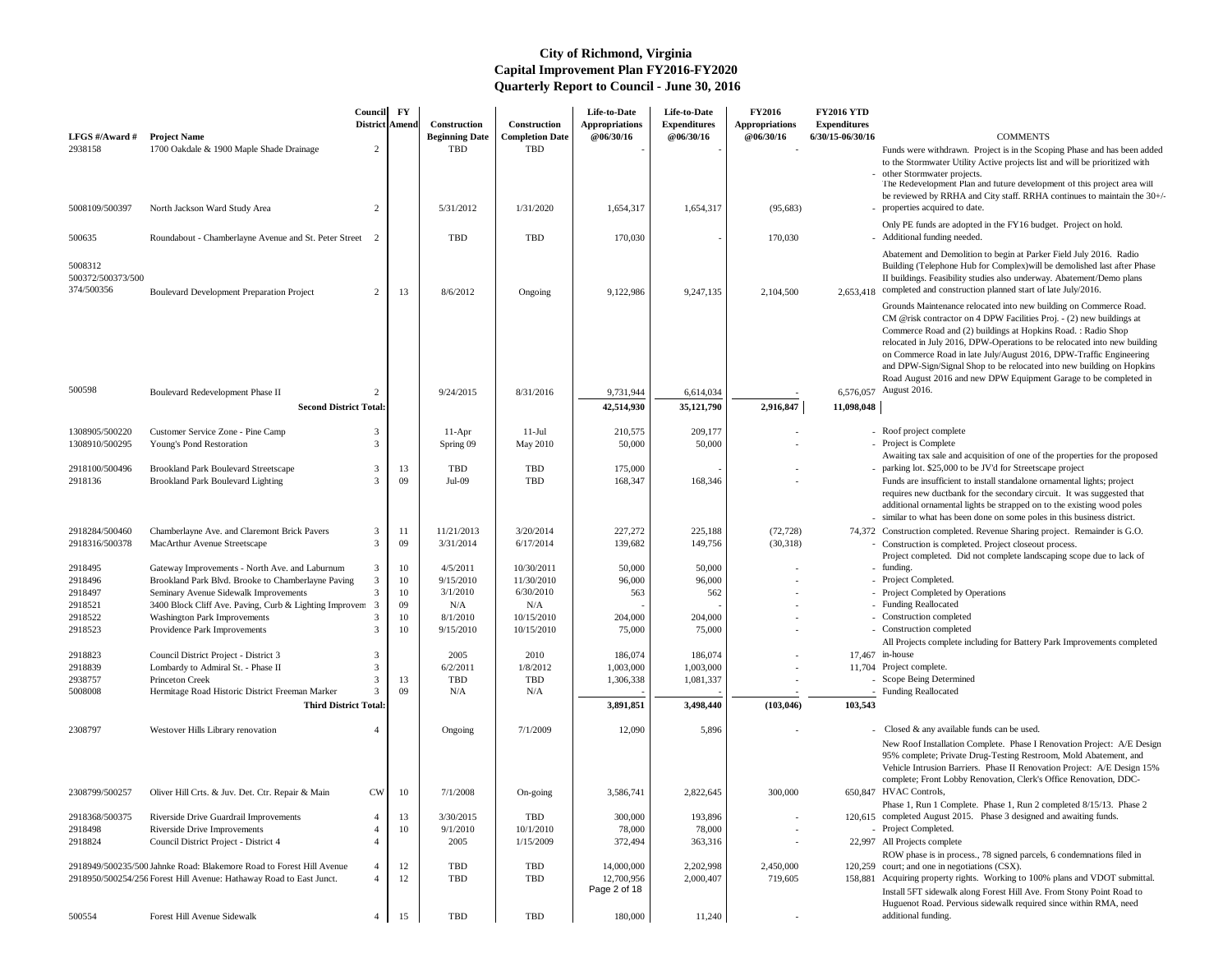- Funds were withdrawn. Project is in the Scoping Phase and has been added to the Stormwater Utility Active projects list and will be prioritized with other Stormwater projects.
- The Redevelopment Plan and future development of this project area will be reviewed by RRHA and City staff. RRHA continues to maintain the 30+/properties acquired to date.
- Only PE funds are adopted in the FY16 budget. Project on hold. Additional funding needed.

Abatement and Demolition to begin at Parker Field July 2016. Radio Building (Telephone Hub for Complex)will be demolished last after Phase II buildings. Feasibility studies also underway. Abatement/Demo plans

2,653,418 completed and construction planned start of late July/2016. Grounds Maintenance relocated into new building on Commerce Road. CM @risk contractor on 4 DPW Facilities Proj. - (2) new buildings at Commerce Road and (2) buildings at Hopkins Road. : Radio Shop relocated in July 2016, DPW-Operations to be relocated into new building on Commerce Road in late July/August 2016, DPW-Traffic Engineering and DPW-Sign/Signal Shop to be relocated into new building on Hopkins Road August 2016 and new DPW Equipment Garage to be completed in 6,576,057 August 2016.

- Roof project complete
- 
- Awaiting tax sale and acquisition of one of the properties for the proposed parking lot. \$25,000 to be JV'd for Streetscape project
- Funds are insufficient to install standalone ornamental lights; project requires new ductbank for the secondary circuit. It was suggested that additional ornamental lights be strapped on to the existing wood poles similar to what has been done on some poles in this business district.
- 74,372 Construction completed. Revenue Sharing project. Remainder is G.O. - Construction is completed. Project closeout process.
	- Project completed. Did not complete landscaping scope due to lack of - funding.
	-
	- Project Completed by Operations
	-
	- Construction completed
	-
- All Projects complete including for Battery Park Improvements completed  $17.467$  in-house
- - Scope Being Determined
	- Funding Reallocated

- Closed  $&$  any available funds can be used.
- New Roof Installation Complete. Phase I Renovation Project: A/E Design 95% complete; Private Drug-Testing Restroom, Mold Abatement, and Vehicle Intrusion Barriers. Phase II Renovation Project: A/E Design 15% complete; Front Lobby Renovation, Clerk's Office Renovation, DDC-650.847 HVAC Controls,
- Phase 1, Run 1 Complete. Phase 1, Run 2 completed 8/15/13. Phase 2 120,615 completed August 2015. Phase 3 designed and awaiting funds.
- 
- 
- 22,997 All Projects complete
- ROW phase is in process., 78 signed parcels, 6 condemnations filed in 120,259 court; and one in negotiations  $(CSX)$ .
- 158,881 Acquiring property rights. Working to 100% plans and VDOT submittal. Install 5FT sidewalk along Forest Hill Ave. From Stony Point Road to Huguenot Road. Pervious sidewalk required since within RMA, need additional funding.

| LFGS #/Award #                             | <b>Project Name</b>                                                                                                                         | Council                          | $\mathbf{F}\mathbf{Y}$<br>District Amend | Construction<br><b>Beginning Date</b> | Construction<br><b>Completion Date</b> | Life-to-Date<br><b>Appropriations</b><br>@06/30/16 | Life-to-Date<br><b>Expenditures</b><br>@06/30/16 | <b>FY2016</b><br><b>Appropriations</b><br>@06/30/16 | <b>FY2016 YTD</b><br><b>Expenditures</b><br>6/30/15-06/30/16 | <b>COMMENTS</b>                                                                                                                                                                                                                                                                                                           |
|--------------------------------------------|---------------------------------------------------------------------------------------------------------------------------------------------|----------------------------------|------------------------------------------|---------------------------------------|----------------------------------------|----------------------------------------------------|--------------------------------------------------|-----------------------------------------------------|--------------------------------------------------------------|---------------------------------------------------------------------------------------------------------------------------------------------------------------------------------------------------------------------------------------------------------------------------------------------------------------------------|
| 2938158<br>5008109/500397                  | 1700 Oakdale & 1900 Maple Shade Drainage<br>North Jackson Ward Study Area                                                                   | $\overline{2}$<br>$\overline{2}$ |                                          | <b>TBD</b><br>5/31/2012               | <b>TBD</b><br>1/31/2020                | 1,654,317                                          | 1,654,317                                        | (95, 683)                                           |                                                              | Funds were withdrawn. Project is in the Sco<br>to the Stormwater Utility Active projects list<br>- other Stormwater projects.<br>The Redevelopment Plan and future developr<br>be reviewed by RRHA and City staff. RRHA<br>- properties acquired to date.                                                                 |
| 500635                                     | Roundabout - Chamberlayne Avenue and St. Peter Street 2                                                                                     |                                  |                                          | <b>TBD</b>                            | <b>TBD</b>                             | 170,030                                            |                                                  | 170,030                                             |                                                              | Only PE funds are adopted in the FY16 budg<br>- Additional funding needed.                                                                                                                                                                                                                                                |
| 5008312<br>500372/500373/500<br>374/500356 | <b>Boulevard Development Preparation Project</b>                                                                                            | $\overline{2}$                   | 13                                       | 8/6/2012                              | Ongoing                                | 9,122,986                                          | 9,247,135                                        | 2,104,500                                           | 2,653,418                                                    | Abatement and Demolition to begin at Parker<br>Building (Telephone Hub for Complex) will b<br>II buildings. Feasibility studies also underway<br>completed and construction planned start of 1                                                                                                                            |
| 500598                                     |                                                                                                                                             |                                  |                                          |                                       |                                        |                                                    |                                                  |                                                     |                                                              | Grounds Maintenance relocated into new bui<br>CM @risk contractor on 4 DPW Facilities Pr<br>Commerce Road and (2) buildings at Hopkin<br>relocated in July 2016, DPW-Operations to b<br>on Commerce Road in late July/August 2016<br>and DPW-Sign/Signal Shop to be relocated in<br>Road August 2016 and new DPW Equipmen |
|                                            | Boulevard Redevelopment Phase II                                                                                                            | $\overline{2}$                   |                                          | 9/24/2015                             | 8/31/2016                              | 9,731,944                                          | 6,614,034                                        |                                                     |                                                              | 6,576,057 August 2016.                                                                                                                                                                                                                                                                                                    |
|                                            | <b>Second District Total:</b>                                                                                                               |                                  |                                          |                                       |                                        | 42,514,930                                         | 35,121,790                                       | 2,916,847                                           | 11,098,048                                                   |                                                                                                                                                                                                                                                                                                                           |
| 1308905/500220<br>1308910/500295           | Customer Service Zone - Pine Camp<br>Young's Pond Restoration                                                                               | 3<br>3                           |                                          | $11-Apr$<br>Spring 09                 | $11-Jul$<br><b>May 2010</b>            | 210,575<br>50,000                                  | 209,177<br>50,000                                |                                                     |                                                              | - Roof project complete<br>- Project is Complete                                                                                                                                                                                                                                                                          |
| 2918100/500496                             | <b>Brookland Park Boulevard Streetscape</b>                                                                                                 | 3                                | 13                                       | TBD                                   | <b>TBD</b>                             | 175,000                                            |                                                  |                                                     |                                                              | Awaiting tax sale and acquisition of one of th<br>- parking lot. \$25,000 to be JV'd for Streetscap                                                                                                                                                                                                                       |
| 2918136                                    | <b>Brookland Park Boulevard Lighting</b>                                                                                                    | 3                                | 09                                       | Jul-09                                | <b>TBD</b>                             | 168,347                                            | 168,346                                          |                                                     |                                                              | Funds are insufficient to install standalone or<br>requires new ductbank for the secondary circ<br>additional ornamental lights be strapped on to<br>- similar to what has been done on some poles                                                                                                                        |
| 2918284/500460                             | Chamberlayne Ave. and Claremont Brick Pavers                                                                                                | 3                                | 11                                       | 11/21/2013                            | 3/20/2014                              | 227,272                                            | 225,188                                          | (72, 728)                                           |                                                              | 74,372 Construction completed. Revenue Sharing pr                                                                                                                                                                                                                                                                         |
| 2918316/500378                             | MacArthur Avenue Streetscape                                                                                                                | 3                                | 09                                       | 3/31/2014                             | 6/17/2014                              | 139,682                                            | 149,756                                          | (30,318)                                            |                                                              | - Construction is completed. Project closeout p<br>Project completed. Did not complete landsca                                                                                                                                                                                                                            |
| 2918495                                    | Gateway Improvements - North Ave. and Laburnum                                                                                              | 3                                | 10                                       | 4/5/2011                              | 10/30/2011                             | 50,000                                             | 50,000                                           |                                                     |                                                              | - funding.                                                                                                                                                                                                                                                                                                                |
| 2918496<br>2918497                         | Brookland Park Blvd. Brooke to Chamberlayne Paving<br>Seminary Avenue Sidewalk Improvements                                                 | $\mathcal{F}$<br>3               | 10<br>10                                 | 9/15/2010<br>3/1/2010                 | 11/30/2010<br>6/30/2010                | 96,000<br>563                                      | 96,000<br>562                                    |                                                     |                                                              | - Project Completed.<br>- Project Completed by Operations                                                                                                                                                                                                                                                                 |
| 2918521                                    | 3400 Block Cliff Ave. Paving, Curb & Lighting Improvem                                                                                      |                                  | 09                                       | N/A                                   | N/A                                    |                                                    |                                                  |                                                     |                                                              | - Funding Reallocated                                                                                                                                                                                                                                                                                                     |
| 2918522                                    | <b>Washington Park Improvements</b>                                                                                                         |                                  | 10                                       | 8/1/2010                              | 10/15/2010                             | 204,000                                            | 204,000                                          |                                                     |                                                              | - Construction completed                                                                                                                                                                                                                                                                                                  |
| 2918523                                    | Providence Park Improvements                                                                                                                | 3                                | 10                                       | 9/15/2010                             | 10/15/2010                             | 75,000                                             | 75,000                                           |                                                     |                                                              | - Construction completed<br>All Projects complete including for Battery P                                                                                                                                                                                                                                                 |
| 2918823<br>2918839                         | Council District Project - District 3<br>Lombardy to Admiral St. - Phase II                                                                 | 3                                |                                          | 2005<br>6/2/2011                      | 2010<br>1/8/2012                       | 186,074<br>1,003,000                               | 186,074<br>1,003,000                             |                                                     |                                                              | 17,467 in-house<br>11,704 Project complete.                                                                                                                                                                                                                                                                               |
| 2938757                                    | Princeton Creek                                                                                                                             |                                  | 13                                       | <b>TBD</b>                            | <b>TBD</b>                             | 1,306,338                                          | 1,081,337                                        |                                                     |                                                              | Scope Being Determined                                                                                                                                                                                                                                                                                                    |
| 5008008                                    | Hermitage Road Historic District Freeman Marker                                                                                             |                                  | 09                                       | N/A                                   | N/A                                    |                                                    |                                                  |                                                     |                                                              | <b>Funding Reallocated</b>                                                                                                                                                                                                                                                                                                |
|                                            | <b>Third District Total:</b>                                                                                                                |                                  |                                          |                                       |                                        | 3,891,851                                          | 3,498,440                                        | (103, 046)                                          | 103,543                                                      |                                                                                                                                                                                                                                                                                                                           |
| 2308797                                    | Westover Hills Library renovation                                                                                                           |                                  |                                          | Ongoing                               | 7/1/2009                               | 12,090                                             | 5,896                                            |                                                     |                                                              | Closed & any available funds can be used.<br>New Roof Installation Complete. Phase I Re<br>95% complete; Private Drug-Testing Restrod<br>Vehicle Intrusion Barriers. Phase II Renovat<br>complete; Front Lobby Renovation, Clerk's O                                                                                      |
| 2308799/500257                             | Oliver Hill Crts. & Juv. Det. Ctr. Repair & Main                                                                                            | <b>CW</b>                        | 10                                       | 7/1/2008                              | On-going                               | 3,586,741                                          | 2,822,645                                        | 300,000                                             |                                                              | 650,847 HVAC Controls,<br>Phase 1, Run 1 Complete. Phase 1, Run 2 co                                                                                                                                                                                                                                                      |
| 2918368/500375                             | Riverside Drive Guardrail Improvements                                                                                                      |                                  | 13                                       | 3/30/2015                             | <b>TBD</b>                             | 300,000                                            | 193,896                                          |                                                     |                                                              | 120,615 completed August 2015. Phase 3 designed a                                                                                                                                                                                                                                                                         |
| 2918498<br>2918824                         | Riverside Drive Improvements<br>Council District Project - District 4                                                                       |                                  | 10                                       | 9/1/2010<br>2005                      | 10/1/2010<br>1/15/2009                 | 78,000<br>372,494                                  | 78,000<br>363,316                                |                                                     |                                                              | - Project Completed.<br>22,997 All Projects complete                                                                                                                                                                                                                                                                      |
|                                            | 2918949/500235/500 Jahnke Road: Blakemore Road to Forest Hill Avenue<br>2918950/500254/256 Forest Hill Avenue: Hathaway Road to East Junct. |                                  | 12<br>12                                 | <b>TBD</b><br><b>TBD</b>              | <b>TBD</b><br><b>TBD</b>               | 14,000,000<br>12,700,956<br>Page 2 of 18           | 2,202,998<br>2,000,407                           | 2,450,000<br>719,605                                | 158,881                                                      | ROW phase is in process., 78 signed parcels,<br>120,259 court; and one in negotiations (CSX).<br>Acquiring property rights. Working to 100%<br>Install 5FT sidewalk along Forest Hill Ave. F                                                                                                                              |
| 500554                                     | Forest Hill Avenue Sidewalk                                                                                                                 | $\overline{4}$                   | 15                                       | <b>TBD</b>                            | <b>TBD</b>                             | 180,000                                            | 11,240                                           |                                                     |                                                              | Huguenot Road. Pervious sidewalk required<br>additional funding.                                                                                                                                                                                                                                                          |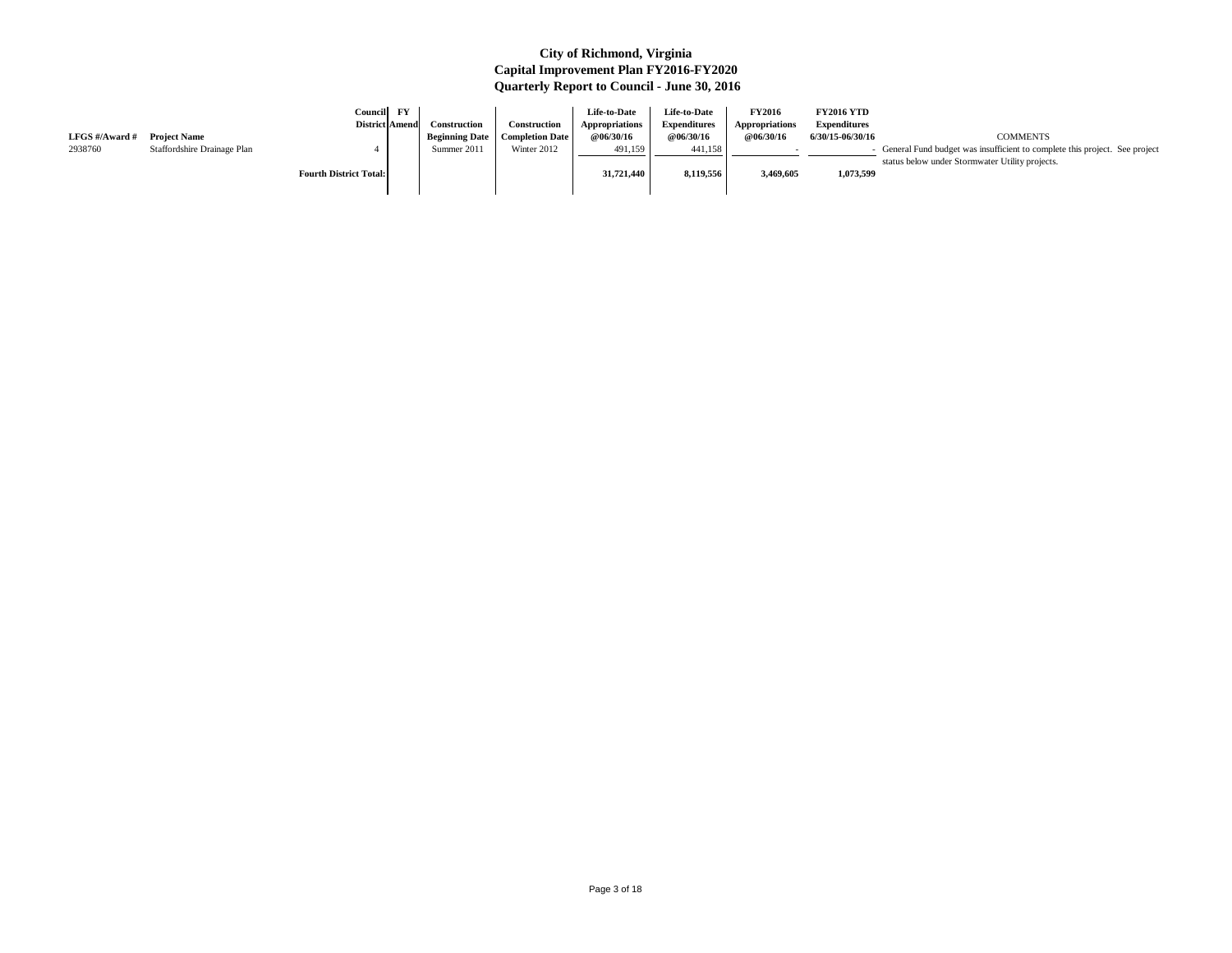|                |                             | <b>Council</b><br><b>District Amend</b> | $\mathbf{F}\mathbf{Y}$ | <b>Construction</b>   | Construction           | Life-to-Date<br><b>Appropriations</b> | <b>Life-to-Date</b><br><b>Expenditures</b> | <b>FY2016</b><br>Appropriations | <b>FY2016 YTD</b><br><b>Expenditures</b> |                                                                                                                                 |
|----------------|-----------------------------|-----------------------------------------|------------------------|-----------------------|------------------------|---------------------------------------|--------------------------------------------|---------------------------------|------------------------------------------|---------------------------------------------------------------------------------------------------------------------------------|
| LFGS #/Award # | <b>Project Name</b>         |                                         |                        | <b>Beginning Date</b> | <b>Completion Date</b> | <b>@06/30/16</b>                      | @06/30/16                                  | @06/30/16                       | 6/30/15-06/30/16                         | <b>COMMENTS</b>                                                                                                                 |
| 2938760        | Staffordshire Drainage Plan |                                         |                        | Summer 2011           | Winter 2012            | 491,159                               | 441,158                                    |                                 |                                          | - General Fund budget was insufficient to complete this project. See project<br>status below under Stormwater Utility projects. |
|                |                             | <b>Fourth District Total:</b>           |                        |                       |                        | 31,721,440                            | 8,119,556                                  | 3,469,605                       | 1,073,599                                |                                                                                                                                 |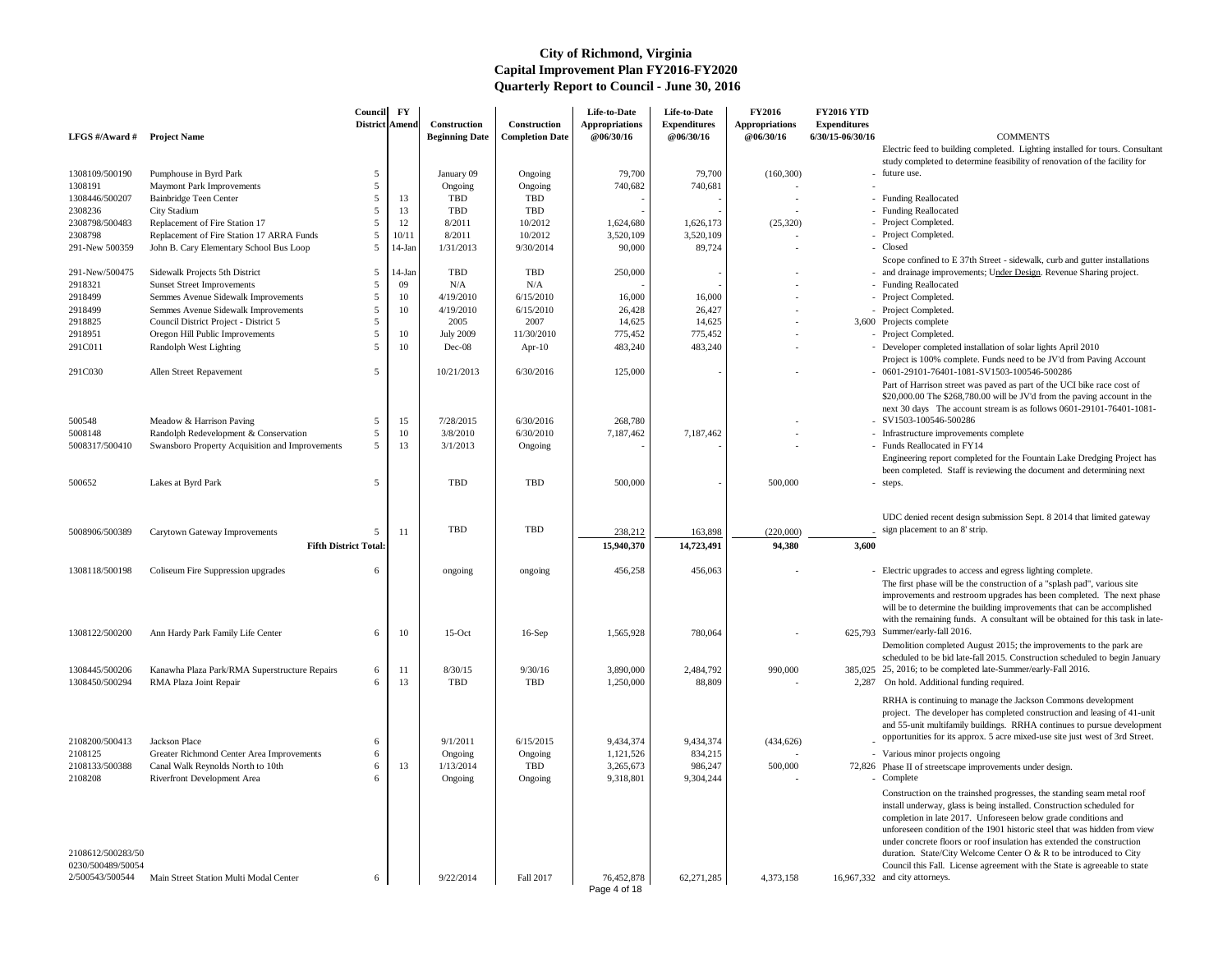Electric feed to building completed. Lighting installed for tours. Consultant study completed to determine feasibility of renovation of the facility for - future use.

- 
- Funding Reallocated
- 
- 
- 
- 
- Scope confined to E 37th Street sidewalk, curb and gutter installations - and drainage improvements; Under Design. Revenue Sharing project.
- 
- 
- 
- 
- 
- 
- Developer completed installation of solar lights April 2010
- Project is 100% complete. Funds need to be JV'd from Paving Account 0601-29101-76401-1081-SV1503-100546-500286
- Part of Harrison street was paved as part of the UCI bike race cost of \$20,000.00 The \$268,780.00 will be JV'd from the paving account in the next 30 days The account stream is as follows 0601-29101-76401-1081-
- SV1503-100546-500286
- Infrastructure improvements complete
- Funds Reallocated in FY14 Engineering report completed for the Fountain Lake Dredging Project has been completed. Staff is reviewing the document and determining next
- steps.

| LFGS $\#/$ Award $\#$ | <b>Project Name</b>                                        | Council<br><b>District Amend</b> | $\mathbf{F}\mathbf{Y}$ | Construction<br><b>Beginning Date</b> | Construction<br><b>Completion Date</b> | Life-to-Date<br><b>Appropriations</b><br>@06/30/16 | Life-to-Date<br><b>Expenditures</b><br>@06/30/16 | <b>FY2016</b><br><b>Appropriations</b><br>@06/30/16 | <b>FY2016 YTD</b><br><b>Expenditures</b><br>$6/30/15 - 06/30/16$ | <b>COMMENTS</b>                                                                                                                                                                                                                                     |
|-----------------------|------------------------------------------------------------|----------------------------------|------------------------|---------------------------------------|----------------------------------------|----------------------------------------------------|--------------------------------------------------|-----------------------------------------------------|------------------------------------------------------------------|-----------------------------------------------------------------------------------------------------------------------------------------------------------------------------------------------------------------------------------------------------|
|                       |                                                            |                                  |                        |                                       |                                        |                                                    |                                                  |                                                     |                                                                  | Electric feed to building completed. Lighting                                                                                                                                                                                                       |
| 1308109/500190        |                                                            |                                  |                        |                                       |                                        | 79,700                                             | 79,700                                           |                                                     |                                                                  | study completed to determine feasibility of re<br>- future use.                                                                                                                                                                                     |
| 1308191               | Pumphouse in Byrd Park<br><b>Maymont Park Improvements</b> |                                  |                        | January 09<br>Ongoing                 | Ongoing<br>Ongoing                     | 740,682                                            | 740,681                                          | (160, 300)                                          |                                                                  |                                                                                                                                                                                                                                                     |
| 1308446/500207        | Bainbridge Teen Center                                     |                                  | 13                     | <b>TBD</b>                            | <b>TBD</b>                             |                                                    |                                                  |                                                     |                                                                  | - Funding Reallocated                                                                                                                                                                                                                               |
| 2308236               | City Stadium                                               |                                  | 13                     | <b>TBD</b>                            | <b>TBD</b>                             |                                                    |                                                  |                                                     |                                                                  | - Funding Reallocated                                                                                                                                                                                                                               |
| 2308798/500483        | Replacement of Fire Station 17                             |                                  | 12                     | 8/2011                                | 10/2012                                | 1,624,680                                          | 1,626,173                                        | (25, 320)                                           |                                                                  | - Project Completed.                                                                                                                                                                                                                                |
| 2308798               | Replacement of Fire Station 17 ARRA Funds                  |                                  | 10/11                  | 8/2011                                | 10/2012                                | 3,520,109                                          | 3,520,109                                        |                                                     |                                                                  | - Project Completed.                                                                                                                                                                                                                                |
| 291-New 500359        | John B. Cary Elementary School Bus Loop                    | -5                               | $14-Jan$               | 1/31/2013                             | 9/30/2014                              | 90,000                                             | 89,724                                           |                                                     |                                                                  | - Closed                                                                                                                                                                                                                                            |
|                       |                                                            |                                  |                        |                                       |                                        |                                                    |                                                  |                                                     |                                                                  | Scope confined to E 37th Street - sidewalk, or                                                                                                                                                                                                      |
| 291-New/500475        | Sidewalk Projects 5th District                             | -5                               | $14$ -Jan              | <b>TBD</b>                            | <b>TBD</b>                             | 250,000                                            |                                                  |                                                     |                                                                  | - and drainage improvements; Under Design. F                                                                                                                                                                                                        |
| 2918321               | <b>Sunset Street Improvements</b>                          |                                  | 09                     | N/A                                   | N/A                                    |                                                    |                                                  |                                                     |                                                                  | - Funding Reallocated                                                                                                                                                                                                                               |
| 2918499               | Semmes Avenue Sidewalk Improvements                        |                                  | 10                     | 4/19/2010                             | 6/15/2010                              | 16,000                                             | 16,000                                           |                                                     |                                                                  | - Project Completed.                                                                                                                                                                                                                                |
| 2918499               | Semmes Avenue Sidewalk Improvements                        |                                  | 10                     | 4/19/2010                             | 6/15/2010                              | 26,428                                             | 26,427                                           |                                                     |                                                                  | - Project Completed.                                                                                                                                                                                                                                |
| 2918825               | Council District Project - District 5                      |                                  |                        | 2005                                  | 2007                                   | 14,625                                             | 14,625                                           |                                                     |                                                                  | 3,600 Projects complete                                                                                                                                                                                                                             |
| 2918951               | Oregon Hill Public Improvements                            | .5                               | 10                     | <b>July 2009</b>                      | 11/30/2010                             | 775,452                                            | 775,452                                          |                                                     |                                                                  | - Project Completed.                                                                                                                                                                                                                                |
| 291C011               | Randolph West Lighting                                     | .5                               | 10                     | Dec-08                                | Apr- $10$                              | 483,240                                            | 483,240                                          |                                                     |                                                                  | - Developer completed installation of solar light<br>Project is 100% complete. Funds need to be.                                                                                                                                                    |
| 291C030               | Allen Street Repavement                                    | .5                               |                        | 10/21/2013                            | 6/30/2016                              | 125,000                                            |                                                  |                                                     |                                                                  | - 0601-29101-76401-1081-SV1503-100546-5<br>Part of Harrison street was paved as part of t<br>\$20,000.00 The \$268,780.00 will be JV'd fro                                                                                                          |
|                       |                                                            |                                  |                        |                                       |                                        |                                                    |                                                  |                                                     |                                                                  | next 30 days The account stream is as follow                                                                                                                                                                                                        |
| 500548                | Meadow & Harrison Paving                                   | 5                                | 15                     | 7/28/2015                             | 6/30/2016                              | 268,780                                            |                                                  |                                                     |                                                                  | - SV1503-100546-500286                                                                                                                                                                                                                              |
| 5008148               | Randolph Redevelopment & Conservation                      | -5                               | 10                     | 3/8/2010                              | 6/30/2010                              | 7,187,462                                          | 7,187,462                                        |                                                     |                                                                  | - Infrastructure improvements complete                                                                                                                                                                                                              |
| 5008317/500410        | Swansboro Property Acquisition and Improvements            | .5                               | 13                     | 3/1/2013                              | Ongoing                                |                                                    |                                                  |                                                     |                                                                  | - Funds Reallocated in FY14<br>Engineering report completed for the Founta                                                                                                                                                                          |
|                       |                                                            |                                  |                        |                                       |                                        |                                                    |                                                  |                                                     |                                                                  | been completed. Staff is reviewing the docur                                                                                                                                                                                                        |
| 500652                | Lakes at Byrd Park                                         | -5                               |                        | <b>TBD</b>                            | <b>TBD</b>                             | 500,000                                            |                                                  | 500,000                                             |                                                                  | - steps.                                                                                                                                                                                                                                            |
|                       |                                                            |                                  |                        |                                       |                                        |                                                    |                                                  |                                                     |                                                                  |                                                                                                                                                                                                                                                     |
|                       |                                                            |                                  |                        |                                       |                                        |                                                    |                                                  |                                                     |                                                                  | UDC denied recent design submission Sept. 8                                                                                                                                                                                                         |
| 5008906/500389        | Carytown Gateway Improvements                              | 5                                | 11                     | TBD                                   | <b>TBD</b>                             | 238,212                                            | 163,898                                          | (220,000)                                           |                                                                  | sign placement to an 8' strip.                                                                                                                                                                                                                      |
|                       |                                                            | <b>Fifth District Total:</b>     |                        |                                       |                                        | 15,940,370                                         | 14,723,491                                       | 94,380                                              | 3,600                                                            |                                                                                                                                                                                                                                                     |
|                       |                                                            |                                  |                        |                                       |                                        |                                                    |                                                  |                                                     |                                                                  |                                                                                                                                                                                                                                                     |
| 1308118/500198        | Coliseum Fire Suppression upgrades                         | 6                                |                        | ongoing                               | ongoing                                | 456,258                                            | 456,063                                          |                                                     |                                                                  | - Electric upgrades to access and egress lightin<br>The first phase will be the construction of a "<br>improvements and restroom upgrades has bee<br>will be to determine the building improvement                                                  |
|                       |                                                            |                                  |                        |                                       |                                        |                                                    |                                                  |                                                     |                                                                  | with the remaining funds. A consultant will b                                                                                                                                                                                                       |
| 1308122/500200        | Ann Hardy Park Family Life Center                          | 6                                | 10                     | $15$ -Oct                             | $16-Sep$                               | 1,565,928                                          | 780,064                                          |                                                     |                                                                  | 625,793 Summer/early-fall 2016.                                                                                                                                                                                                                     |
|                       |                                                            |                                  |                        |                                       |                                        |                                                    |                                                  |                                                     |                                                                  | Demolition completed August 2015; the impr                                                                                                                                                                                                          |
|                       |                                                            |                                  |                        |                                       |                                        |                                                    |                                                  |                                                     |                                                                  | scheduled to be bid late-fall 2015. Constructi                                                                                                                                                                                                      |
| 1308445/500206        | Kanawha Plaza Park/RMA Superstructure Repairs              | 6                                | 1.                     | 8/30/15                               | 9/30/16                                | 3,890,000                                          | 2,484,792                                        | 990,000                                             |                                                                  | 385,025 25, 2016; to be completed late-Summer/early                                                                                                                                                                                                 |
| 1308450/500294        | RMA Plaza Joint Repair                                     | 6                                | 13                     | <b>TBD</b>                            | <b>TBD</b>                             | 1,250,000                                          | 88,809                                           |                                                     | 2,287                                                            | On hold. Additional funding required.                                                                                                                                                                                                               |
|                       |                                                            |                                  |                        |                                       |                                        |                                                    |                                                  |                                                     |                                                                  |                                                                                                                                                                                                                                                     |
|                       |                                                            |                                  |                        |                                       |                                        |                                                    |                                                  |                                                     |                                                                  | RRHA is continuing to manage the Jackson O                                                                                                                                                                                                          |
|                       |                                                            |                                  |                        |                                       |                                        |                                                    |                                                  |                                                     |                                                                  | project. The developer has completed constr                                                                                                                                                                                                         |
|                       |                                                            |                                  |                        |                                       |                                        |                                                    |                                                  |                                                     |                                                                  | and 55-unit multifamily buildings. RRHA co.                                                                                                                                                                                                         |
| 2108200/500413        | Jackson Place                                              | -6                               |                        | 9/1/2011                              | 6/15/2015                              | 9,434,374                                          | 9,434,374                                        | (434, 626)                                          |                                                                  | opportunities for its approx. 5 acre mixed-use                                                                                                                                                                                                      |
| 2108125               | Greater Richmond Center Area Improvements                  | 6                                |                        | Ongoing                               | Ongoing                                | 1,121,526                                          | 834,215                                          |                                                     |                                                                  | - Various minor projects ongoing                                                                                                                                                                                                                    |
| 2108133/500388        | Canal Walk Reynolds North to 10th                          |                                  | 13                     | 1/13/2014                             | <b>TBD</b>                             | 3,265,673                                          | 986,247                                          | 500,000                                             |                                                                  | 72,826 Phase II of streetscape improvements under o                                                                                                                                                                                                 |
| 2108208               | Riverfront Development Area                                |                                  |                        | Ongoing                               | Ongoing                                | 9,318,801                                          | 9,304,244                                        |                                                     |                                                                  | - Complete                                                                                                                                                                                                                                          |
|                       |                                                            |                                  |                        |                                       |                                        |                                                    |                                                  |                                                     |                                                                  | Construction on the trainshed progresses, the<br>install underway, glass is being installed. Con<br>completion in late 2017. Unforeseen below g<br>unforeseen condition of the 1901 historic stee<br>under concrete floors or roof insulation has e |
| 2108612/500283/50     |                                                            |                                  |                        |                                       |                                        |                                                    |                                                  |                                                     |                                                                  | duration. State/City Welcome Center O & R                                                                                                                                                                                                           |
| 0230/500489/50054     |                                                            |                                  |                        |                                       |                                        |                                                    |                                                  |                                                     |                                                                  | Council this Fall. License agreement with the                                                                                                                                                                                                       |
| 2/500543/500544       | Main Street Station Multi Modal Center                     | 6                                |                        | 9/22/2014                             | Fall 2017                              | 76,452,878<br>Page 4 of 18                         | 62,271,285                                       | 4,373,158                                           |                                                                  | 16,967,332 and city attorneys.                                                                                                                                                                                                                      |

UDC denied recent design submission Sept. 8 2014 that limited gateway sign placement to an 8' strip.

- Electric upgrades to access and egress lighting complete. The first phase will be the construction of a "splash pad", various site improvements and restroom upgrades has been completed. The next phase will be to determine the building improvements that can be accomplished with the remaining funds. A consultant will be obtained for this task in late-
- 625.793 Summer/early-fall 2016. Demolition completed August 2015; the improvements to the park are scheduled to be bid late-fall 2015. Construction scheduled to begin January
- 25, 2016; to be completed late-Summer/early-Fall 2016.
- 2,287 On hold. Additional funding required.

RRHA is continuing to manage the Jackson Commons development project. The developer has completed construction and leasing of 41-unit and 55-unit multifamily buildings. RRHA continues to pursue development opportunities for its approx. 5 acre mixed-use site just west of 3rd Street.

- Various minor projects ongoing
- 72,826 Phase II of streetscape improvements under design.
	-

Construction on the trainshed progresses, the standing seam metal roof install underway, glass is being installed. Construction scheduled for completion in late 2017. Unforeseen below grade conditions and unforeseen condition of the 1901 historic steel that was hidden from view under concrete floors or roof insulation has extended the construction duration. State/City Welcome Center O & R to be introduced to City Council this Fall. License agreement with the State is agreeable to state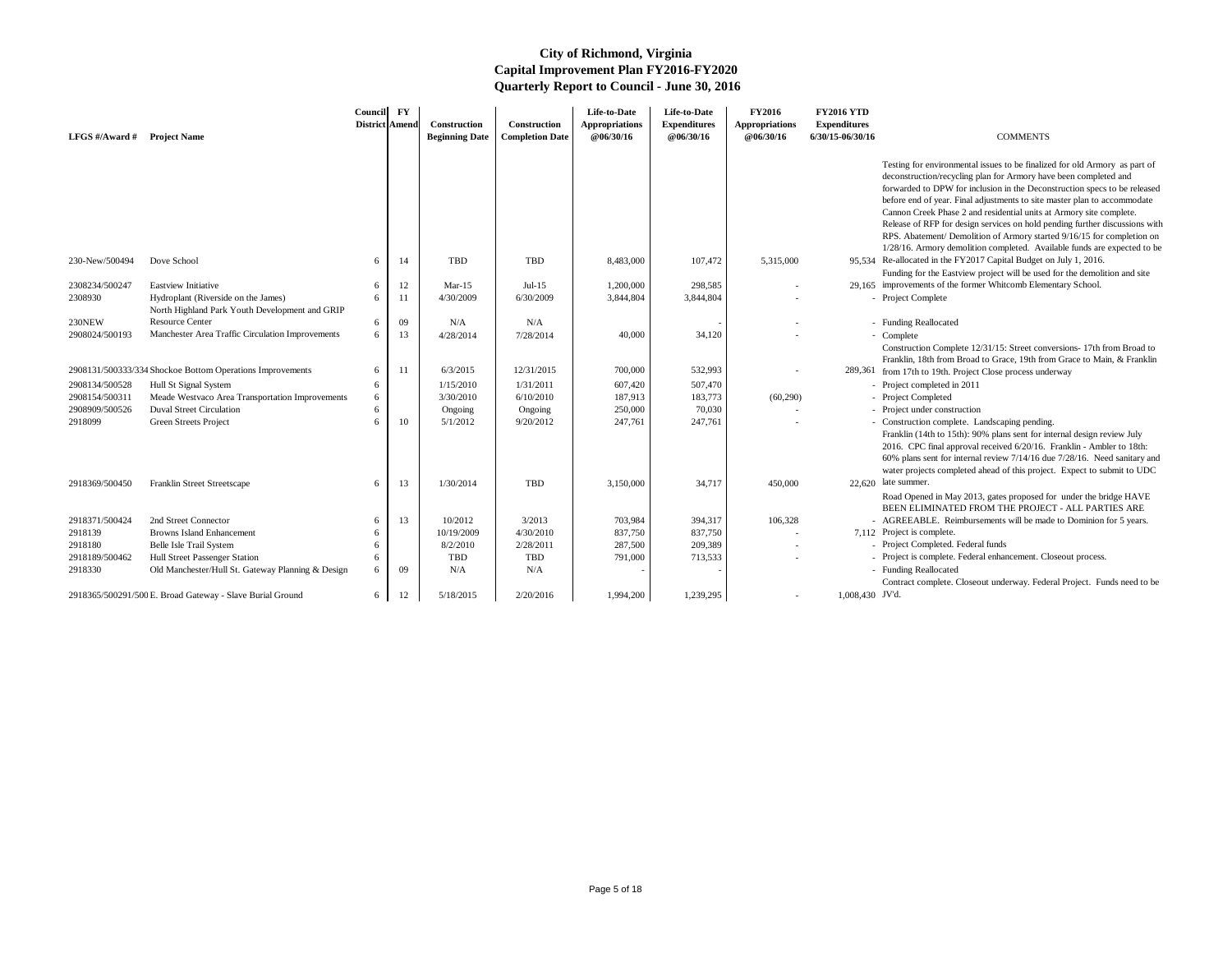| LFGS #/Award # Project Name |                                                                                       | Council<br>District Amend | $\mathbf{F}\mathbf{Y}$ | Construction<br><b>Beginning Date</b> | <b>Construction</b><br><b>Completion Date</b> | Life-to-Date<br><b>Appropriations</b><br>@06/30/16 | Life-to-Date<br><b>Expenditures</b><br>@06/30/16 | <b>FY2016</b><br><b>Appropriations</b><br>@06/30/16 | <b>FY2016 YTD</b><br><b>Expenditures</b><br>6/30/15-06/30/16 | <b>COMMENTS</b>                                                                                                                                                                                                                                                                                                                                                                                                                                                                                                                                                                                                     |
|-----------------------------|---------------------------------------------------------------------------------------|---------------------------|------------------------|---------------------------------------|-----------------------------------------------|----------------------------------------------------|--------------------------------------------------|-----------------------------------------------------|--------------------------------------------------------------|---------------------------------------------------------------------------------------------------------------------------------------------------------------------------------------------------------------------------------------------------------------------------------------------------------------------------------------------------------------------------------------------------------------------------------------------------------------------------------------------------------------------------------------------------------------------------------------------------------------------|
|                             |                                                                                       |                           |                        |                                       |                                               |                                                    |                                                  |                                                     |                                                              | Testing for environmental issues to be finalized for old Armory as part of<br>deconstruction/recycling plan for Armory have been completed and<br>forwarded to DPW for inclusion in the Deconstruction specs to be released<br>before end of year. Final adjustments to site master plan to accommodate<br>Cannon Creek Phase 2 and residential units at Armory site complete.<br>Release of RFP for design services on hold pending further discussions with<br>RPS. Abatement/ Demolition of Armory started 9/16/15 for completion on<br>1/28/16. Armory demolition completed. Available funds are expected to be |
| 230-New/500494              | Dove School                                                                           | 6                         | 14                     | TBD                                   | TBD                                           | 8,483,000                                          | 107,472                                          | 5,315,000                                           |                                                              | 95,534 Re-allocated in the FY2017 Capital Budget on July 1, 2016.<br>Funding for the Eastview project will be used for the demolition and site                                                                                                                                                                                                                                                                                                                                                                                                                                                                      |
| 2308234/500247              | <b>Eastview Initiative</b>                                                            | 6                         | 12                     | Mar-15                                | Jul- $15$                                     | 1,200,000                                          | 298,585                                          |                                                     |                                                              | 29,165 improvements of the former Whitcomb Elementary School.                                                                                                                                                                                                                                                                                                                                                                                                                                                                                                                                                       |
| 2308930                     | Hydroplant (Riverside on the James)<br>North Highland Park Youth Development and GRIP | 6                         | -11                    | 4/30/2009                             | 6/30/2009                                     | 3,844,804                                          | 3,844,804                                        |                                                     |                                                              | - Project Complete                                                                                                                                                                                                                                                                                                                                                                                                                                                                                                                                                                                                  |
| 230NEW                      | <b>Resource Center</b>                                                                | 6                         | 09                     | N/A                                   | N/A                                           |                                                    |                                                  |                                                     |                                                              | - Funding Reallocated                                                                                                                                                                                                                                                                                                                                                                                                                                                                                                                                                                                               |
| 2908024/500193              | Manchester Area Traffic Circulation Improvements                                      | 6                         | 13                     | 4/28/2014                             | 7/28/2014                                     | 40,000                                             | 34,120                                           |                                                     |                                                              | - Complete<br>Construction Complete 12/31/15: Street conversions-17th from Broad to                                                                                                                                                                                                                                                                                                                                                                                                                                                                                                                                 |
|                             | 2908131/500333/334 Shockoe Bottom Operations Improvements                             | 6                         | 11                     | 6/3/2015                              | 12/31/2015                                    | 700,000                                            | 532,993                                          |                                                     |                                                              | Franklin, 18th from Broad to Grace, 19th from Grace to Main, & Franklin<br>289,361 from 17th to 19th. Project Close process underway                                                                                                                                                                                                                                                                                                                                                                                                                                                                                |
| 2908134/500528              | Hull St Signal System                                                                 | 6                         |                        | 1/15/2010                             | 1/31/2011                                     | 607,420                                            | 507,470                                          |                                                     |                                                              | - Project completed in 2011                                                                                                                                                                                                                                                                                                                                                                                                                                                                                                                                                                                         |
| 2908154/500311              | Meade Westvaco Area Transportation Improvements                                       | 6                         |                        | 3/30/2010                             | 6/10/2010                                     | 187,913                                            | 183,773                                          | (60,290)                                            |                                                              | - Project Completed                                                                                                                                                                                                                                                                                                                                                                                                                                                                                                                                                                                                 |
| 2908909/500526              | <b>Duval Street Circulation</b>                                                       |                           |                        | Ongoing                               | Ongoing                                       | 250,000                                            | 70,030                                           |                                                     |                                                              | - Project under construction                                                                                                                                                                                                                                                                                                                                                                                                                                                                                                                                                                                        |
| 2918099                     | Green Streets Project                                                                 | 6                         | 10                     | 5/1/2012                              | 9/20/2012                                     | 247,761                                            | 247,761                                          |                                                     |                                                              | - Construction complete. Landscaping pending.<br>Franklin (14th to 15th): 90% plans sent for internal design review July<br>2016. CPC final approval received 6/20/16. Franklin - Ambler to 18th:<br>60% plans sent for internal review 7/14/16 due 7/28/16. Need sanitary and<br>water projects completed ahead of this project. Expect to submit to UDC                                                                                                                                                                                                                                                           |
| 2918369/500450              | Franklin Street Streetscape                                                           | 6                         | 13                     | 1/30/2014                             | TBD                                           | 3,150,000                                          | 34,717                                           | 450,000                                             |                                                              | $22,620$ late summer.<br>Road Opened in May 2013, gates proposed for under the bridge HAVE<br>BEEN ELIMINATED FROM THE PROJECT - ALL PARTIES ARE                                                                                                                                                                                                                                                                                                                                                                                                                                                                    |
| 2918371/500424              | 2nd Street Connector                                                                  | 6                         | 13                     | 10/2012                               | 3/2013                                        | 703,984                                            | 394,317                                          | 106,328                                             |                                                              | AGREEABLE. Reimbursements will be made to Dominion for 5 years.                                                                                                                                                                                                                                                                                                                                                                                                                                                                                                                                                     |
| 2918139                     | <b>Browns Island Enhancement</b>                                                      | 6                         |                        | 10/19/2009                            | 4/30/2010                                     | 837,750                                            | 837,750                                          |                                                     |                                                              | 7,112 Project is complete.                                                                                                                                                                                                                                                                                                                                                                                                                                                                                                                                                                                          |
| 2918180                     | Belle Isle Trail System                                                               |                           |                        | 8/2/2010                              | 2/28/2011                                     | 287,500                                            | 209,389                                          |                                                     |                                                              | - Project Completed. Federal funds                                                                                                                                                                                                                                                                                                                                                                                                                                                                                                                                                                                  |
| 2918189/500462              | Hull Street Passenger Station                                                         |                           |                        | TBD                                   | TBD                                           | 791,000                                            | 713,533                                          |                                                     |                                                              | - Project is complete. Federal enhancement. Closeout process.                                                                                                                                                                                                                                                                                                                                                                                                                                                                                                                                                       |
| 2918330                     | Old Manchester/Hull St. Gateway Planning & Design                                     | 6                         | 09                     | N/A                                   | N/A                                           |                                                    |                                                  |                                                     |                                                              | - Funding Reallocated<br>Contract complete. Closeout underway. Federal Project. Funds need to be                                                                                                                                                                                                                                                                                                                                                                                                                                                                                                                    |
|                             | 2918365/500291/500 E. Broad Gateway - Slave Burial Ground                             | 6                         | 12                     | 5/18/2015                             | 2/20/2016                                     | 1,994,200                                          | 1,239,295                                        |                                                     | 1,008,430 JV'd.                                              |                                                                                                                                                                                                                                                                                                                                                                                                                                                                                                                                                                                                                     |

- 
-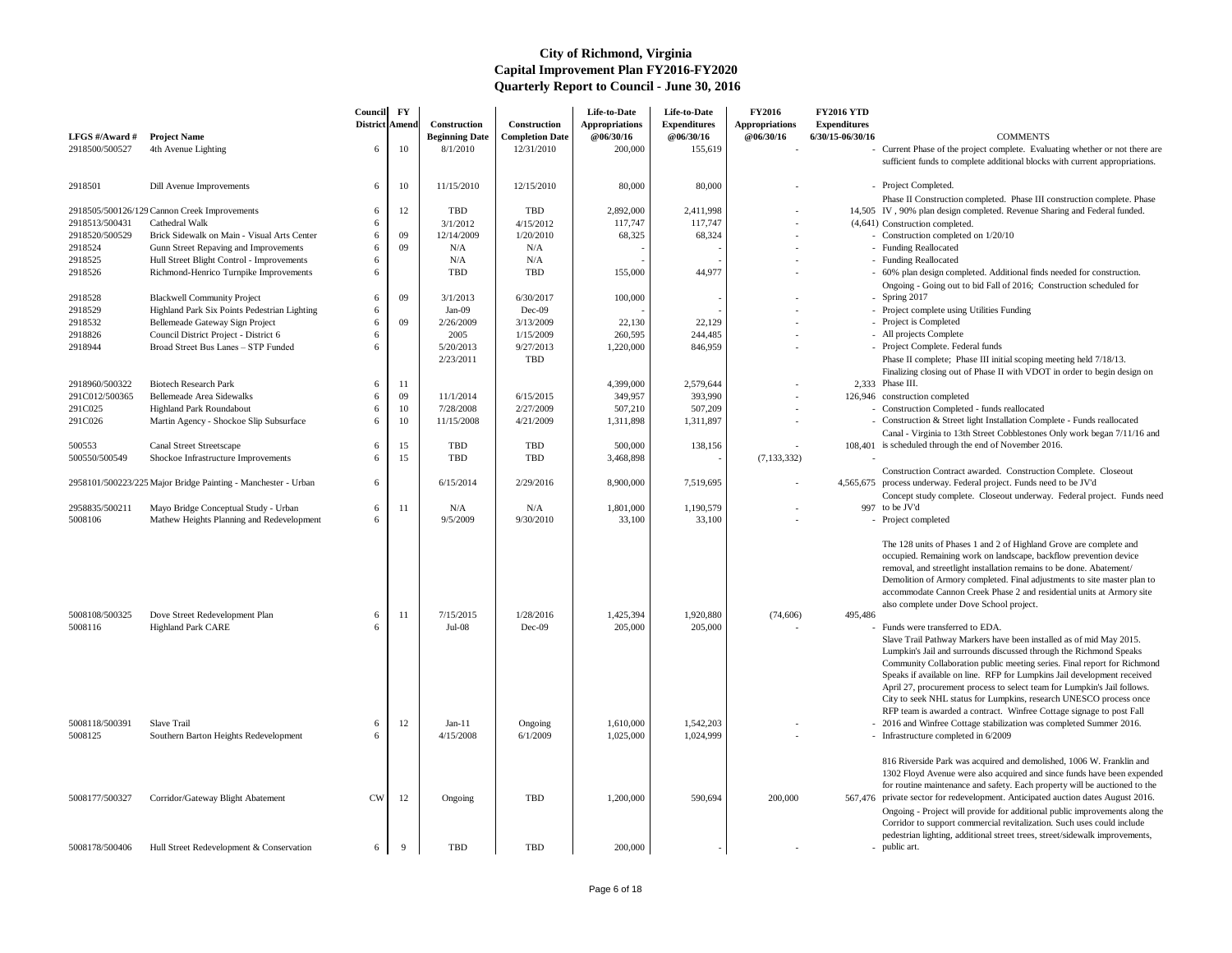Construction Contract awarded. Construction Complete. Closeout 4,565,675 process underway. Federal project. Funds need to be JV'd

- Concept study complete. Closeout underway. Federal project. Funds need
- 997 to be JV'd
	-

- 2016 and Winfree Cottage stabilization was completed Summer 2016.
- Infrastructure completed in 6/2009

| LFGS #/Award #            | <b>Project Name</b>                                                                | Council<br>District Amend | $\mathbf{F}\mathbf{Y}$ | Construction<br><b>Beginning Date</b> | Construction<br><b>Completion Date</b> | Life-to-Date<br><b>Appropriations</b><br><b>@06/30/16</b> | Life-to-Date<br><b>Expenditures</b><br>@06/30/16 | <b>FY2016</b><br><b>Appropriations</b><br>@06/30/16 | <b>FY2016 YTD</b><br><b>Expenditures</b><br>6/30/15-06/30/16 | <b>COMMENTS</b>                                                                                                                                                                                                                                                                          |
|---------------------------|------------------------------------------------------------------------------------|---------------------------|------------------------|---------------------------------------|----------------------------------------|-----------------------------------------------------------|--------------------------------------------------|-----------------------------------------------------|--------------------------------------------------------------|------------------------------------------------------------------------------------------------------------------------------------------------------------------------------------------------------------------------------------------------------------------------------------------|
| 2918500/500527            | 4th Avenue Lighting                                                                | 6                         | 10                     | 8/1/2010                              | 12/31/2010                             | 200,000                                                   | 155,619                                          |                                                     |                                                              | - Current Phase of the project complete. Evalue<br>sufficient funds to complete additional blocks                                                                                                                                                                                        |
| 2918501                   | Dill Avenue Improvements                                                           | 6                         | 10                     | 11/15/2010                            | 12/15/2010                             | 80,000                                                    | 80,000                                           |                                                     |                                                              | - Project Completed.                                                                                                                                                                                                                                                                     |
|                           |                                                                                    |                           |                        |                                       |                                        |                                                           |                                                  |                                                     |                                                              | Phase II Construction completed. Phase III o                                                                                                                                                                                                                                             |
|                           | 2918505/500126/129 Cannon Creek Improvements                                       | -6                        | 12                     | TBD                                   | <b>TBD</b>                             | 2,892,000                                                 | 2,411,998                                        |                                                     |                                                              | 14,505 IV, 90% plan design completed. Revenue Sh                                                                                                                                                                                                                                         |
| 2918513/500431            | Cathedral Walk                                                                     |                           |                        | 3/1/2012                              | 4/15/2012                              | 117,747                                                   | 117,747                                          |                                                     |                                                              | (4,641) Construction completed.                                                                                                                                                                                                                                                          |
| 2918520/500529            | Brick Sidewalk on Main - Visual Arts Center                                        | 6                         | 09                     | 12/14/2009                            | 1/20/2010                              | 68,325                                                    | 68,324                                           |                                                     |                                                              | - Construction completed on $1/20/10$                                                                                                                                                                                                                                                    |
| 2918524<br>2918525        | Gunn Street Repaving and Improvements<br>Hull Street Blight Control - Improvements |                           | 09                     | N/A<br>N/A                            | N/A<br>N/A                             |                                                           |                                                  |                                                     |                                                              | - Funding Reallocated<br>- Funding Reallocated                                                                                                                                                                                                                                           |
| 2918526                   | Richmond-Henrico Turnpike Improvements                                             |                           |                        | <b>TBD</b>                            | <b>TBD</b>                             | 155,000                                                   | 44,977                                           |                                                     |                                                              | - 60% plan design completed. Additional finds                                                                                                                                                                                                                                            |
|                           |                                                                                    |                           |                        |                                       |                                        |                                                           |                                                  |                                                     |                                                              | Ongoing - Going out to bid Fall of 2016; Co                                                                                                                                                                                                                                              |
| 2918528                   | <b>Blackwell Community Project</b>                                                 | 6                         | 09                     | 3/1/2013                              | 6/30/2017                              | 100,000                                                   |                                                  |                                                     |                                                              | - Spring $2017$                                                                                                                                                                                                                                                                          |
| 2918529                   | Highland Park Six Points Pedestrian Lighting                                       | 6                         |                        | $Jan-09$                              | Dec-09                                 |                                                           |                                                  |                                                     |                                                              | - Project complete using Utilities Funding                                                                                                                                                                                                                                               |
| 2918532                   | Bellemeade Gateway Sign Project                                                    |                           | 09                     | 2/26/2009                             | 3/13/2009                              | 22,130                                                    | 22,129                                           |                                                     |                                                              | - Project is Completed                                                                                                                                                                                                                                                                   |
| 2918826                   | Council District Project - District 6                                              |                           |                        | 2005                                  | 1/15/2009                              | 260,595                                                   | 244,485                                          |                                                     |                                                              | - All projects Complete                                                                                                                                                                                                                                                                  |
| 2918944                   | Broad Street Bus Lanes - STP Funded                                                |                           |                        | 5/20/2013                             | 9/27/2013                              | 1,220,000                                                 | 846,959                                          |                                                     |                                                              | - Project Complete. Federal funds                                                                                                                                                                                                                                                        |
|                           |                                                                                    |                           |                        | 2/23/2011                             | <b>TBD</b>                             |                                                           |                                                  |                                                     |                                                              | Phase II complete; Phase III initial scoping r                                                                                                                                                                                                                                           |
|                           |                                                                                    |                           |                        |                                       |                                        |                                                           |                                                  |                                                     |                                                              | Finalizing closing out of Phase II with VDOT                                                                                                                                                                                                                                             |
| 2918960/500322            | <b>Biotech Research Park</b>                                                       | 6                         | -11                    |                                       |                                        | 4,399,000                                                 | 2,579,644                                        |                                                     |                                                              | $2,333$ Phase III.                                                                                                                                                                                                                                                                       |
| 291C012/500365<br>291C025 | Bellemeade Area Sidewalks<br>Highland Park Roundabout                              |                           | 09<br>10               | 11/1/2014<br>7/28/2008                | 6/15/2015<br>2/27/2009                 | 349,957<br>507,210                                        | 393,990<br>507,209                               |                                                     |                                                              | 126,946 construction completed<br>- Construction Completed - funds reallocated                                                                                                                                                                                                           |
| 291C026                   | Martin Agency - Shockoe Slip Subsurface                                            | 6                         | 10                     | 11/15/2008                            | 4/21/2009                              | 1,311,898                                                 | 1,311,897                                        |                                                     |                                                              | - Construction & Street light Installation Comp                                                                                                                                                                                                                                          |
|                           |                                                                                    |                           |                        |                                       |                                        |                                                           |                                                  |                                                     |                                                              | Canal - Virginia to 13th Street Cobblestones                                                                                                                                                                                                                                             |
| 500553                    | <b>Canal Street Streetscape</b>                                                    | 6                         | 15                     | TBD                                   | <b>TBD</b>                             | 500,000                                                   | 138,156                                          |                                                     |                                                              | 108,401 is scheduled through the end of November 20                                                                                                                                                                                                                                      |
| 500550/500549             | Shockoe Infrastructure Improvements                                                | 6                         | 15                     | <b>TBD</b>                            | <b>TBD</b>                             | 3,468,898                                                 |                                                  | (7, 133, 332)                                       |                                                              |                                                                                                                                                                                                                                                                                          |
|                           |                                                                                    |                           |                        |                                       |                                        |                                                           |                                                  |                                                     |                                                              | Construction Contract awarded. Construction                                                                                                                                                                                                                                              |
|                           | 2958101/500223/225 Major Bridge Painting - Manchester - Urban                      | 6                         |                        | 6/15/2014                             | 2/29/2016                              | 8,900,000                                                 | 7,519,695                                        |                                                     |                                                              | 4,565,675 process underway. Federal project. Funds near                                                                                                                                                                                                                                  |
|                           |                                                                                    |                           |                        |                                       |                                        |                                                           |                                                  |                                                     |                                                              | Concept study complete. Closeout underway                                                                                                                                                                                                                                                |
| 2958835/500211            | Mayo Bridge Conceptual Study - Urban                                               | 6                         | -11                    | N/A                                   | $\rm N/A$                              | 1,801,000                                                 | 1,190,579                                        |                                                     |                                                              | 997 to be JV'd                                                                                                                                                                                                                                                                           |
| 5008106                   | Mathew Heights Planning and Redevelopment                                          | 6                         |                        | 9/5/2009                              | 9/30/2010                              | 33,100                                                    | 33,100                                           |                                                     |                                                              | Project completed                                                                                                                                                                                                                                                                        |
|                           |                                                                                    |                           |                        |                                       |                                        |                                                           |                                                  |                                                     |                                                              | The 128 units of Phases 1 and 2 of Highland<br>occupied. Remaining work on landscape, bac<br>removal, and streetlight installation remains t<br>Demolition of Armory completed. Final adjus<br>accommodate Cannon Creek Phase 2 and res<br>also complete under Dove School project.      |
| 5008108/500325            | Dove Street Redevelopment Plan                                                     | 6                         | -11                    | 7/15/2015                             | 1/28/2016                              | 1,425,394                                                 | 1,920,880                                        | (74, 606)                                           | 495,486                                                      |                                                                                                                                                                                                                                                                                          |
| 5008116                   | <b>Highland Park CARE</b>                                                          |                           |                        | $Jul-08$                              | Dec-09                                 | 205,000                                                   | 205,000                                          |                                                     |                                                              | - Funds were transferred to EDA.                                                                                                                                                                                                                                                         |
|                           |                                                                                    |                           |                        |                                       |                                        |                                                           |                                                  |                                                     |                                                              | Slave Trail Pathway Markers have been insta<br>Lumpkin's Jail and surrounds discussed throu<br>Community Collaboration public meeting ser<br>Speaks if available on line. RFP for Lumpkin<br>April 27, procurement process to select team<br>City to seek NHL status for Lumpkins, resea |
| 5008118/500391            | Slave Trail                                                                        | 6                         | 12                     | $Jan-11$                              | Ongoing                                | 1,610,000                                                 | 1,542,203                                        |                                                     |                                                              | RFP team is awarded a contract. Winfree Co<br>- 2016 and Winfree Cottage stabilization was o                                                                                                                                                                                             |
| 5008125                   | Southern Barton Heights Redevelopment                                              | 6                         |                        | 4/15/2008                             | 6/1/2009                               | 1,025,000                                                 | 1,024,999                                        |                                                     |                                                              | - Infrastructure completed in 6/2009                                                                                                                                                                                                                                                     |
| 5008177/500327            | Corridor/Gateway Blight Abatement                                                  | <b>CW</b>                 | 12                     | Ongoing                               | <b>TBD</b>                             | 1,200,000                                                 | 590,694                                          | 200,000                                             |                                                              | 816 Riverside Park was acquired and demolis<br>1302 Floyd Avenue were also acquired and s<br>for routine maintenance and safety. Each pro<br>567,476 private sector for redevelopment. Anticipated                                                                                       |
|                           |                                                                                    |                           |                        |                                       |                                        |                                                           |                                                  |                                                     |                                                              | Ongoing - Project will provide for additional<br>Corridor to support commercial revitalization<br>pedestrian lighting, additional street trees, str                                                                                                                                      |
| 5008178/500406            | Hull Street Redevelopment & Conservation                                           | 6                         | 9                      | TBD                                   | <b>TBD</b>                             | 200,000                                                   |                                                  |                                                     |                                                              | - public art.                                                                                                                                                                                                                                                                            |

The 128 units of Phases 1 and 2 of Highland Grove are complete and occupied. Remaining work on landscape, backflow prevention device removal, and streetlight installation remains to be done. Abatement/ Demolition of Armory completed. Final adjustments to site master plan to accommodate Cannon Creek Phase 2 and residential units at Armory site also complete under Dove School project.

- - Funds were transferred to EDA.

Slave Trail Pathway Markers have been installed as of mid May 2015. Lumpkin's Jail and surrounds discussed through the Richmond Speaks Community Collaboration public meeting series. Final report for Richmond Speaks if available on line. RFP for Lumpkins Jail development received April 27, procurement process to select team for Lumpkin's Jail follows. City to seek NHL status for Lumpkins, research UNESCO process once RFP team is awarded a contract. Winfree Cottage signage to post Fall

816 Riverside Park was acquired and demolished, 1006 W. Franklin and 1302 Floyd Avenue were also acquired and since funds have been expended for routine maintenance and safety. Each property will be auctioned to the

- 567,476 private sector for redevelopment. Anticipated auction dates August 2016. Ongoing - Project will provide for additional public improvements along the Corridor to support commercial revitalization. Such uses could include pedestrian lighting, additional street trees, street/sidewalk improvements,
	- public art.

- Current Phase of the project complete. Evaluating whether or not there are sufficient funds to complete additional blocks with current appropriations.
- 
- Phase II Construction completed. Phase III construction complete. Phase
- IV , 90% plan design completed. Revenue Sharing and Federal funded.
- (4,641) Construction completed.
	- Construction completed on  $1/20/10$
	-
	-
	- 60% plan design completed. Additional finds needed for construction. Ongoing - Going out to bid Fall of 2016; Construction scheduled for - Spring 2017
	-
	- Project complete using Utilities Funding
	-
	-
	- Project Complete. Federal funds Phase II complete; Phase III initial scoping meeting held 7/18/13. Finalizing closing out of Phase II with VDOT in order to begin design on
- 2,333 Phase III.
- 126,946 construction completed
	- Construction Completed funds reallocated
	- Construction & Street light Installation Complete Funds reallocated Canal - Virginia to 13th Street Cobblestones Only work began 7/11/16 and
- 108,401 is scheduled through the end of November 2016.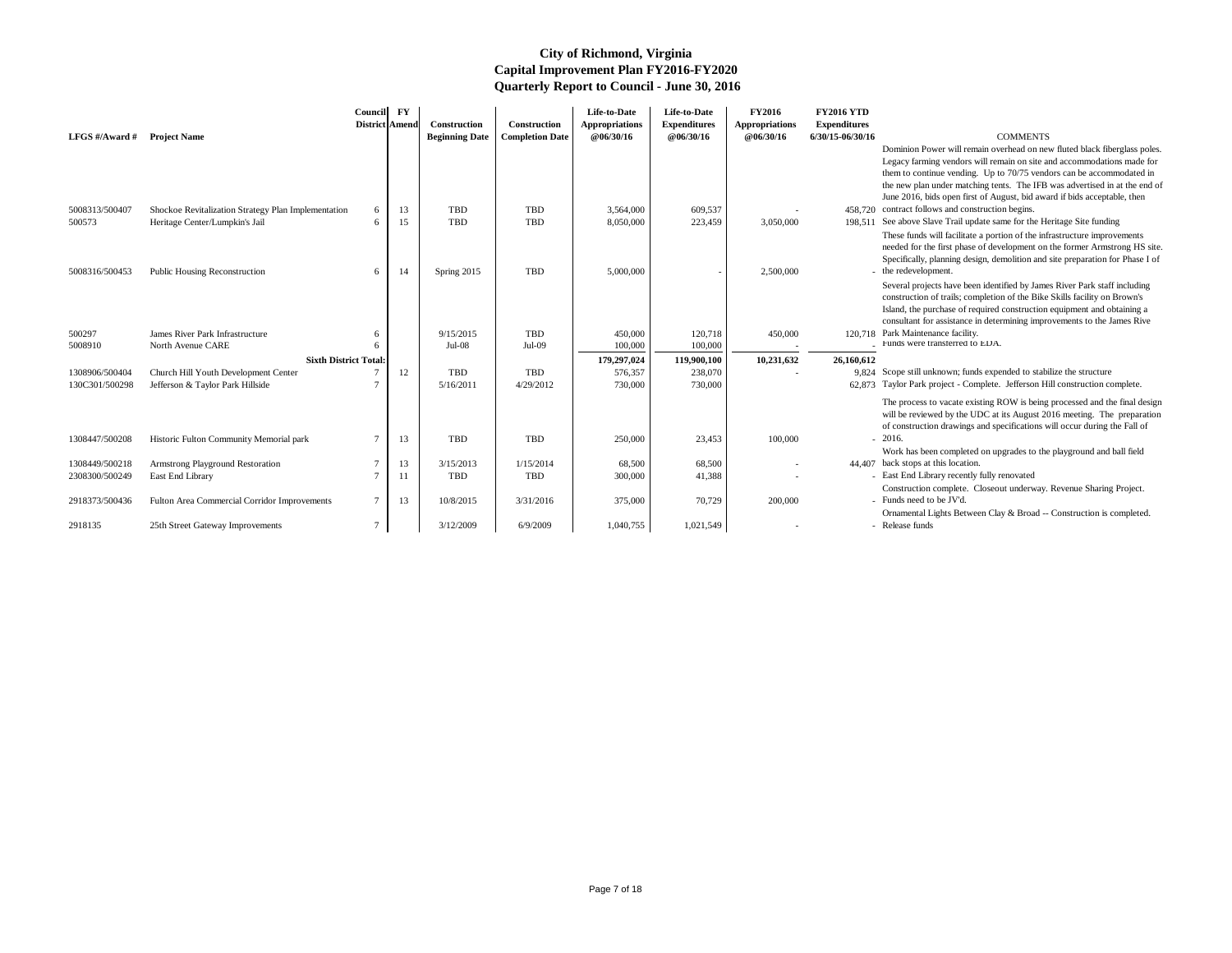Dominion Power will remain overhead on new fluted black fiberglass poles. Legacy farming vendors will remain on site and accommodations made for them to continue vending. Up to 70/75 vendors can be accommodated in the new plan under matching tents. The IFB was advertised in at the end of June 2016, bids open first of August, bid award if bids acceptable, then

- 458,720 contract follows and construction begins.
- 198,511 See above Slave Trail update same for the Heritage Site funding These funds will facilitate a portion of the infrastructure improvements needed for the first phase of development on the former Armstrong HS site. Specifically, planning design, demolition and site preparation for Phase I of - the redevelopment.

- 9,824 Scope still unknown; funds expended to stabilize the structure
- 62,873 Taylor Park project Complete. Jefferson Hill construction complete.

Several projects have been identified by James River Park staff including construction of trails; completion of the Bike Skills facility on Brown's Island, the purchase of required construction equipment and obtaining a consultant for assistance in determining improvements to the James Rive

| LFGS $\#/$ Award $\#$ | <b>Project Name</b>                                 | <b>Council</b><br><b>District Amend</b> | $\mathbf{F}\mathbf{Y}$ | Construction<br><b>Beginning Date</b> | Construction<br><b>Completion Date</b> | Life-to-Date<br><b>Appropriations</b><br><b>@06/30/16</b> | Life-to-Date<br><b>Expenditures</b><br>@06/30/16 | <b>FY2016</b><br><b>Appropriations</b><br>@06/30/16 | <b>FY2016 YTD</b><br><b>Expenditures</b><br>6/30/15-06/30/16 | <b>COMMENTS</b>                                                                                                                                                                                                                        |
|-----------------------|-----------------------------------------------------|-----------------------------------------|------------------------|---------------------------------------|----------------------------------------|-----------------------------------------------------------|--------------------------------------------------|-----------------------------------------------------|--------------------------------------------------------------|----------------------------------------------------------------------------------------------------------------------------------------------------------------------------------------------------------------------------------------|
|                       |                                                     |                                         |                        |                                       |                                        |                                                           |                                                  |                                                     |                                                              | Dominion Power will remain overhead on ne<br>Legacy farming vendors will remain on site a<br>them to continue vending. Up to 70/75 vend<br>the new plan under matching tents. The IFB<br>June 2016, bids open first of August, bid awa |
| 5008313/500407        | Shockoe Revitalization Strategy Plan Implementation | 6                                       | 13                     | <b>TBD</b>                            | <b>TBD</b>                             | 3,564,000                                                 | 609,537                                          |                                                     |                                                              | 458,720 contract follows and construction begins.                                                                                                                                                                                      |
| 500573                | Heritage Center/Lumpkin's Jail                      | 6                                       | 15                     | <b>TBD</b>                            | <b>TBD</b>                             | 8,050,000                                                 | 223,459                                          | 3,050,000                                           |                                                              | 198,511 See above Slave Trail update same for the He<br>These funds will facilitate a portion of the inf<br>needed for the first phase of development on<br>Specifically, planning design, demolition and                              |
| 5008316/500453        | <b>Public Housing Reconstruction</b>                | 6                                       | 14                     | Spring 2015                           | <b>TBD</b>                             | 5,000,000                                                 |                                                  | 2,500,000                                           |                                                              | - the redevelopment.<br>Several projects have been identified by Jame<br>construction of trails; completion of the Bike<br>Island, the purchase of required construction<br>consultant for assistance in determining impro             |
| 500297                | James River Park Infrastructure                     |                                         |                        | 9/15/2015                             | <b>TBD</b>                             | 450,000                                                   | 120,718                                          | 450,000                                             |                                                              | 120,718 Park Maintenance facility.                                                                                                                                                                                                     |
| 5008910               | North Avenue CARE                                   | -6                                      |                        | $Jul-08$                              | $Jul-09$                               | 100,000                                                   | 100,000                                          |                                                     |                                                              | Funds were transferred to EDA.                                                                                                                                                                                                         |
|                       | <b>Sixth District Total:</b>                        |                                         |                        |                                       |                                        | 179,297,024                                               | 119,900,100                                      | 10,231,632                                          | 26,160,612                                                   |                                                                                                                                                                                                                                        |
| 1308906/500404        | Church Hill Youth Development Center                |                                         | 12                     | TBD                                   | <b>TBD</b>                             | 576,357                                                   | 238,070                                          |                                                     |                                                              | 9,824 Scope still unknown; funds expended to stabi                                                                                                                                                                                     |
| 130C301/500298        | Jefferson & Taylor Park Hillside                    |                                         |                        | 5/16/2011                             | 4/29/2012                              | 730,000                                                   | 730,000                                          |                                                     |                                                              | 62,873 Taylor Park project - Complete. Jefferson H                                                                                                                                                                                     |
|                       |                                                     |                                         |                        |                                       |                                        |                                                           |                                                  |                                                     |                                                              | The process to vacate existing ROW is being<br>will be reviewed by the UDC at its August 20<br>of construction drawings and specifications v                                                                                           |
| 1308447/500208        | Historic Fulton Community Memorial park             |                                         | 13                     | <b>TBD</b>                            | <b>TBD</b>                             | 250,000                                                   | 23,453                                           | 100,000                                             |                                                              | $-2016.$<br>Work has been completed on upgrades to the                                                                                                                                                                                 |
| 1308449/500218        | Armstrong Playground Restoration                    |                                         | 13                     | 3/15/2013                             | 1/15/2014                              | 68,500                                                    | 68,500                                           |                                                     |                                                              | 44,407 back stops at this location.                                                                                                                                                                                                    |
| 2308300/500249        | East End Library                                    | $\overline{7}$                          | 11                     | <b>TBD</b>                            | <b>TBD</b>                             | 300,000                                                   | 41,388                                           |                                                     |                                                              | - East End Library recently fully renovated<br>Construction complete. Closeout underway.                                                                                                                                               |
| 2918373/500436        | Fulton Area Commercial Corridor Improvements        | $\overline{7}$                          | 13                     | 10/8/2015                             | 3/31/2016                              | 375,000                                                   | 70,729                                           | 200,000                                             |                                                              | - Funds need to be JV'd.<br>Ornamental Lights Between Clay & Broad --                                                                                                                                                                  |
| 2918135               | 25th Street Gateway Improvements                    | $\overline{7}$                          |                        | 3/12/2009                             | 6/9/2009                               | 1,040,755                                                 | 1,021,549                                        |                                                     |                                                              | - Release funds                                                                                                                                                                                                                        |

The process to vacate existing ROW is being processed and the final design will be reviewed by the UDC at its August 2016 meeting. The preparation of construction drawings and specifications will occur during the Fall of 2016.

- Work has been completed on upgrades to the playground and ball field 44,407 back stops at this location.
	- East End Library recently fully renovated
	- Construction complete. Closeout underway. Revenue Sharing Project. - Funds need to be JV'd.
	- Ornamental Lights Between Clay & Broad -- Construction is completed.
	- Release funds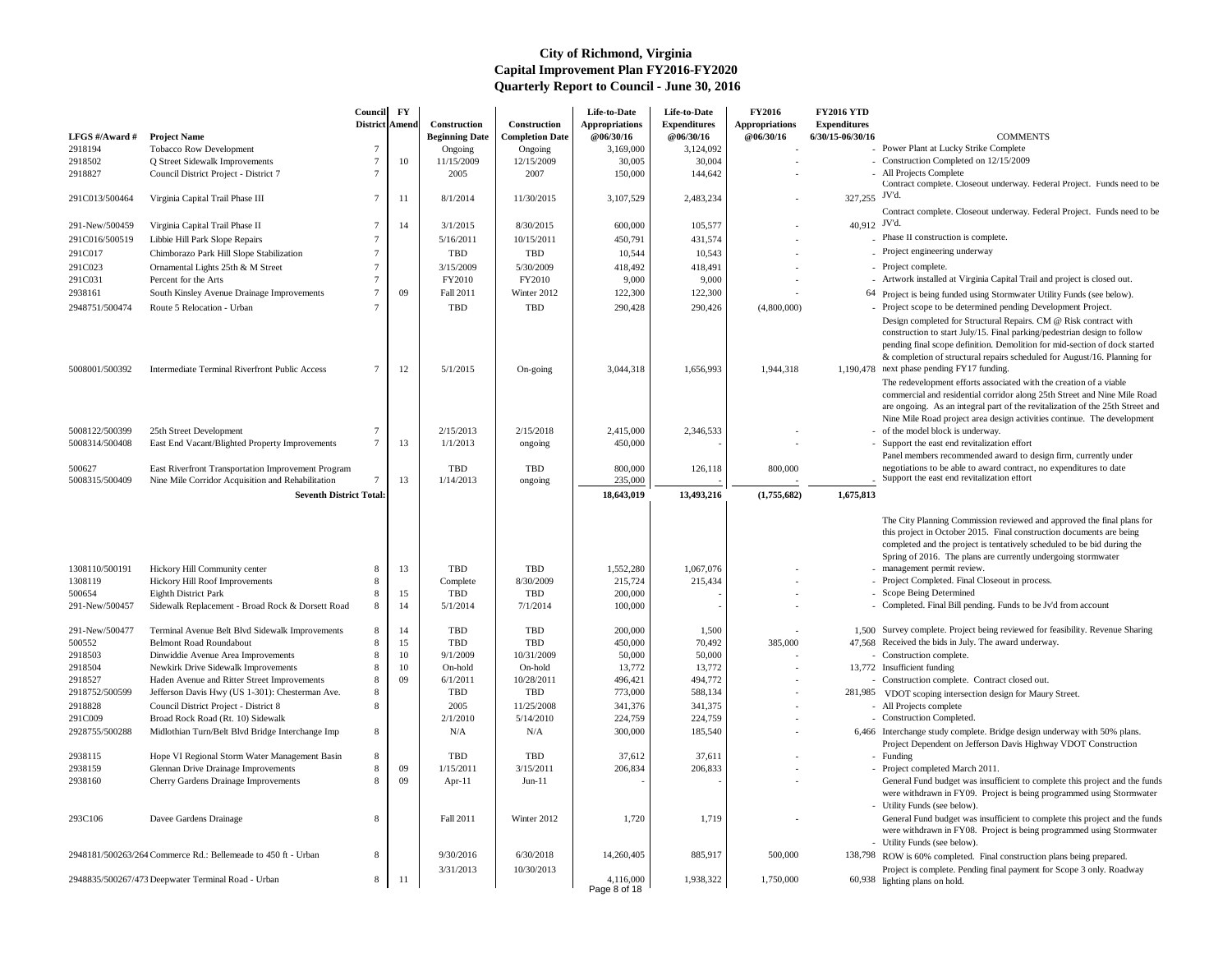- Power Plant at Lucky Strike Complete
- Construction Completed on 12/15/2009
- All Projects Complete
- Contract complete. Closeout underway. Federal Project. Funds need to be 327,255 JV'd.
- Contract complete. Closeout underway. Federal Project. Funds need to be 40,912 JV'd.
	- Phase II construction is complete.
	- Project engineering underway
	-
	- Artwork installed at Virginia Capital Trail and project is closed out.
	- 64 Project is being funded using Stormwater Utility Funds (see below).
	- Project scope to be determined pending Development Project. Design completed for Structural Repairs. CM @ Risk contract with construction to start July/15. Final parking/pedestrian design to follow pending final scope definition. Demolition for mid-section of dock started & completion of structural repairs scheduled for August/16. Planning for
- $1,190,478$  next phase pending FY17 funding.
	- The redevelopment efforts associated with the creation of a viable commercial and residential corridor along 25th Street and Nine Mile Road are ongoing. As an integral part of the revitalization of the 25th Street and Nine Mile Road project area design activities continue. The development
	- of the model block is underway. - Support the east end revitalization effort Panel members recommended award to design firm, currently under negotiations to be able to award contract, no expenditures to date Support the east end revitalization effort

- management permit review.
- Project Completed. Final Closeout in process.
- Scope Being Determined
- Completed. Final Bill pending. Funds to be Jv'd from account
- 1,500 Survey complete. Project being reviewed for feasibility. Revenue Sharing
- 47,568 Received the bids in July. The award underway.
- Construction complete.
- 13,772 Insufficient funding
- Construction complete. Contract closed out.
- 281,985 VDOT scoping intersection design for Maury Street.
	- All Projects complete
	- Construction Completed.
- 6,466 Interchange study complete. Bridge design underway with 50% plans. Project Dependent on Jefferson Davis Highway VDOT Construction
	- Funding
	- Project completed March 2011. General Fund budget was insufficient to complete this project and the funds were withdrawn in FY09. Project is being programmed using Stormwater Utility Funds (see below).
	- General Fund budget was insufficient to complete this project and the funds were withdrawn in FY08. Project is being programmed using Stormwater Utility Funds (see below).
- 138,798 ROW is 60% completed. Final construction plans being prepared. Project is complete. Pending final payment for Scope 3 only. Roadway 60,938 lighting plans on hold.
- 

| LFGS #/Award #            | <b>Project Name</b>                                           | Council<br><b>District Amend</b> | $\mathbf{F}\mathbf{Y}$ | <b>Construction</b><br><b>Beginning Date</b> | Construction<br><b>Completion Date</b> | Life-to-Date<br><b>Appropriations</b><br>@06/30/16 | Life-to-Date<br><b>Expenditures</b><br>@06/30/16 | <b>FY2016</b><br><b>Appropriations</b><br>@06/30/16 | <b>FY2016 YTD</b><br><b>Expenditures</b><br>6/30/15-06/30/16 | <b>COMMENTS</b>                                                                                                                                                                                                                                |
|---------------------------|---------------------------------------------------------------|----------------------------------|------------------------|----------------------------------------------|----------------------------------------|----------------------------------------------------|--------------------------------------------------|-----------------------------------------------------|--------------------------------------------------------------|------------------------------------------------------------------------------------------------------------------------------------------------------------------------------------------------------------------------------------------------|
| 2918194                   | Tobacco Row Development                                       |                                  |                        | Ongoing                                      | Ongoing                                | 3,169,000                                          | 3,124,092                                        |                                                     |                                                              | - Power Plant at Lucky Strike Complete                                                                                                                                                                                                         |
| 2918502                   | Q Street Sidewalk Improvements                                |                                  | 10                     | 11/15/2009                                   | 12/15/2009                             | 30,005                                             | 30,004                                           |                                                     |                                                              | Construction Completed on 12/15/2009                                                                                                                                                                                                           |
| 2918827                   | Council District Project - District 7                         |                                  |                        | 2005                                         | 2007                                   | 150,000                                            | 144,642                                          |                                                     |                                                              | - All Projects Complete<br>Contract complete. Closeout underway. Fede                                                                                                                                                                          |
| 291C013/500464            | Virginia Capital Trail Phase III                              | 7                                | -11                    | 8/1/2014                                     | 11/30/2015                             | 3,107,529                                          | 2,483,234                                        |                                                     | 327,255 JV'd.                                                |                                                                                                                                                                                                                                                |
|                           |                                                               |                                  |                        |                                              |                                        |                                                    |                                                  |                                                     |                                                              | Contract complete. Closeout underway. Fede                                                                                                                                                                                                     |
| 291-New/500459            | Virginia Capital Trail Phase II                               |                                  | 14                     | 3/1/2015                                     | 8/30/2015                              | 600,000                                            | 105,577                                          |                                                     | 40,912 JV'd.                                                 |                                                                                                                                                                                                                                                |
| 291C016/500519            | Libbie Hill Park Slope Repairs                                |                                  |                        | 5/16/2011                                    | 10/15/2011                             | 450,791                                            | 431,574                                          |                                                     |                                                              | Phase II construction is complete.                                                                                                                                                                                                             |
| 291C017                   | Chimborazo Park Hill Slope Stabilization                      |                                  |                        | TBD                                          | <b>TBD</b>                             | 10,544                                             | 10,543                                           |                                                     |                                                              | - Project engineering underway                                                                                                                                                                                                                 |
| 291C023                   | Ornamental Lights 25th & M Street                             |                                  |                        | 3/15/2009                                    | 5/30/2009                              | 418,492                                            | 418,491                                          |                                                     |                                                              | - Project complete.                                                                                                                                                                                                                            |
| 291C031                   | Percent for the Arts                                          |                                  |                        | FY2010                                       | FY2010                                 | 9,000                                              | 9,000                                            |                                                     |                                                              | - Artwork installed at Virginia Capital Trail and                                                                                                                                                                                              |
| 2938161                   | South Kinsley Avenue Drainage Improvements                    |                                  | 09                     | Fall 2011                                    | Winter 2012                            | 122,300                                            | 122,300                                          |                                                     |                                                              | 64 Project is being funded using Stormwater Uti                                                                                                                                                                                                |
| 2948751/500474            | Route 5 Relocation - Urban                                    |                                  |                        | TBD                                          | <b>TBD</b>                             | 290,428                                            | 290,426                                          | (4,800,000)                                         |                                                              | - Project scope to be determined pending Deve                                                                                                                                                                                                  |
| 5008001/500392            | <b>Intermediate Terminal Riverfront Public Access</b>         | 7                                | 12                     | 5/1/2015                                     | On-going                               | 3,044,318                                          | 1,656,993                                        | 1,944,318                                           |                                                              | Design completed for Structural Repairs. CM<br>construction to start July/15. Final parking/pe<br>pending final scope definition. Demolition for<br>& completion of structural repairs scheduled<br>1,190,478 next phase pending FY17 funding. |
|                           |                                                               |                                  |                        |                                              |                                        |                                                    |                                                  |                                                     |                                                              | The redevelopment efforts associated with th<br>commercial and residential corridor along 25<br>are ongoing. As an integral part of the revita                                                                                                 |
|                           |                                                               |                                  |                        |                                              |                                        |                                                    |                                                  |                                                     |                                                              | Nine Mile Road project area design activities                                                                                                                                                                                                  |
| 5008122/500399            | 25th Street Development                                       | $\tau$                           |                        | 2/15/2013                                    | 2/15/2018                              | 2,415,000                                          | 2,346,533                                        |                                                     |                                                              | - of the model block is underway.                                                                                                                                                                                                              |
| 5008314/500408            | East End Vacant/Blighted Property Improvements                |                                  | 13                     | 1/1/2013                                     | ongoing                                | 450,000                                            |                                                  |                                                     |                                                              | - Support the east end revitalization effort<br>Panel members recommended award to desig                                                                                                                                                       |
| 500627                    | East Riverfront Transportation Improvement Program            |                                  |                        | TBD                                          | <b>TBD</b>                             | 800,000                                            | 126,118                                          | 800,000                                             |                                                              | negotiations to be able to award contract, no                                                                                                                                                                                                  |
| 5008315/500409            | Nine Mile Corridor Acquisition and Rehabilitation             |                                  | 13                     | 1/14/2013                                    | ongoing                                | 235,000                                            |                                                  |                                                     |                                                              | Support the east end revitalization effort                                                                                                                                                                                                     |
|                           | <b>Seventh District Total:</b>                                |                                  |                        |                                              |                                        | 18,643,019                                         | 13,493,216                                       | (1,755,682)                                         | 1,675,813                                                    |                                                                                                                                                                                                                                                |
|                           |                                                               |                                  |                        |                                              |                                        |                                                    |                                                  |                                                     |                                                              |                                                                                                                                                                                                                                                |
|                           |                                                               |                                  |                        |                                              |                                        |                                                    |                                                  |                                                     |                                                              | The City Planning Commission reviewed and<br>this project in October 2015. Final construct<br>completed and the project is tentatively sched<br>Spring of 2016. The plans are currently unde                                                   |
| 1308110/500191            | Hickory Hill Community center                                 |                                  | 13                     | TBD                                          | <b>TBD</b>                             | 1,552,280                                          | 1,067,076                                        |                                                     |                                                              | - management permit review.                                                                                                                                                                                                                    |
| 1308119                   | <b>Hickory Hill Roof Improvements</b>                         | 8                                |                        | Complete                                     | 8/30/2009                              | 215,724                                            | 215,434                                          |                                                     |                                                              | - Project Completed. Final Closeout in process                                                                                                                                                                                                 |
| 500654                    | Eighth District Park                                          |                                  | 15                     | TBD                                          | <b>TBD</b>                             | 200,000                                            |                                                  |                                                     |                                                              | - Scope Being Determined                                                                                                                                                                                                                       |
| 291-New/500457            | Sidewalk Replacement - Broad Rock & Dorsett Road              | 8                                | 14                     | 5/1/2014                                     | 7/1/2014                               | 100,000                                            |                                                  |                                                     |                                                              | - Completed. Final Bill pending. Funds to be Jv                                                                                                                                                                                                |
| 291-New/500477            | Terminal Avenue Belt Blvd Sidewalk Improvements               | 8                                | 14                     | <b>TBD</b>                                   | <b>TBD</b>                             | 200,000                                            | 1,500                                            |                                                     |                                                              | 1,500 Survey complete. Project being reviewed for                                                                                                                                                                                              |
| 500552                    | Belmont Road Roundabout                                       |                                  | 15                     | TBD                                          | <b>TBD</b>                             | 450,000                                            | 70,492                                           | 385,000                                             |                                                              | 47,568 Received the bids in July. The award underw                                                                                                                                                                                             |
| 2918503                   | Dinwiddie Avenue Area Improvements                            |                                  | 10                     | 9/1/2009                                     | 10/31/2009                             | 50,000                                             | 50,000                                           |                                                     |                                                              | - Construction complete.                                                                                                                                                                                                                       |
| 2918504                   | Newkirk Drive Sidewalk Improvements                           |                                  | 10                     | On-hold                                      | On-hold                                | 13,772                                             | 13,772                                           |                                                     |                                                              | 13,772 Insufficient funding                                                                                                                                                                                                                    |
| 2918527                   | Haden Avenue and Ritter Street Improvements                   |                                  | 09                     | 6/1/2011                                     | 10/28/2011                             | 496,421                                            | 494,772                                          |                                                     |                                                              | - Construction complete. Contract closed out.                                                                                                                                                                                                  |
| 2918752/500599            | Jefferson Davis Hwy (US 1-301): Chesterman Ave.               | 8                                |                        | TBD                                          | <b>TBD</b>                             | 773,000                                            | 588,134                                          |                                                     | 281,985                                                      | VDOT scoping intersection design for Maur                                                                                                                                                                                                      |
| 2918828                   | Council District Project - District 8                         |                                  |                        | 2005                                         | 11/25/2008                             | 341,376                                            | 341,375                                          |                                                     |                                                              | - All Projects complete<br>- Construction Completed.                                                                                                                                                                                           |
| 291C009<br>2928755/500288 | Broad Rock Road (Rt. 10) Sidewalk                             | 8                                |                        | 2/1/2010                                     | 5/14/2010<br>N/A                       | 224,759<br>300,000                                 | 224,759<br>185,540                               |                                                     |                                                              | 6,466 Interchange study complete. Bridge design un                                                                                                                                                                                             |
|                           | Midlothian Turn/Belt Blvd Bridge Interchange Imp              |                                  |                        | N/A                                          |                                        |                                                    |                                                  |                                                     |                                                              | Project Dependent on Jefferson Davis Highw                                                                                                                                                                                                     |
| 2938115                   | Hope VI Regional Storm Water Management Basin                 | 8                                |                        | TBD                                          | <b>TBD</b>                             | 37,612                                             | 37,611                                           |                                                     |                                                              | - Funding                                                                                                                                                                                                                                      |
| 2938159                   | <b>Glennan Drive Drainage Improvements</b>                    |                                  | 09                     | 1/15/2011                                    | 3/15/2011                              | 206,834                                            | 206,833                                          |                                                     |                                                              | - Project completed March 2011.                                                                                                                                                                                                                |
| 2938160                   | <b>Cherry Gardens Drainage Improvements</b>                   |                                  | 09                     | Apr- $11$                                    | $Jun-11$                               |                                                    |                                                  |                                                     |                                                              | General Fund budget was insufficient to com-<br>were withdrawn in FY09. Project is being pr<br>- Utility Funds (see below).                                                                                                                    |
| 293C106                   | Davee Gardens Drainage                                        | 8                                |                        | Fall 2011                                    | Winter 2012                            | 1,720                                              | 1,719                                            |                                                     |                                                              | General Fund budget was insufficient to com<br>were withdrawn in FY08. Project is being pr<br>- Utility Funds (see below).                                                                                                                     |
|                           | 2948181/500263/264 Commerce Rd.: Bellemeade to 450 ft - Urban | 8                                |                        | 9/30/2016                                    | 6/30/2018                              | 14,260,405                                         | 885,917                                          | 500,000                                             |                                                              | 138,798 ROW is 60% completed. Final construction                                                                                                                                                                                               |
|                           |                                                               |                                  |                        | 3/31/2013                                    | 10/30/2013                             |                                                    |                                                  |                                                     |                                                              | Project is complete. Pending final payment fo                                                                                                                                                                                                  |
|                           | 2948835/500267/473 Deepwater Terminal Road - Urban            | 8                                | 11                     |                                              |                                        | 4,116,000<br>Page 8 of 18                          | 1,938,322                                        | 1,750,000                                           |                                                              | 60,938 lighting plans on hold.                                                                                                                                                                                                                 |

The City Planning Commission reviewed and approved the final plans for this project in October 2015. Final construction documents are being completed and the project is tentatively scheduled to be bid during the Spring of 2016. The plans are currently undergoing stormwater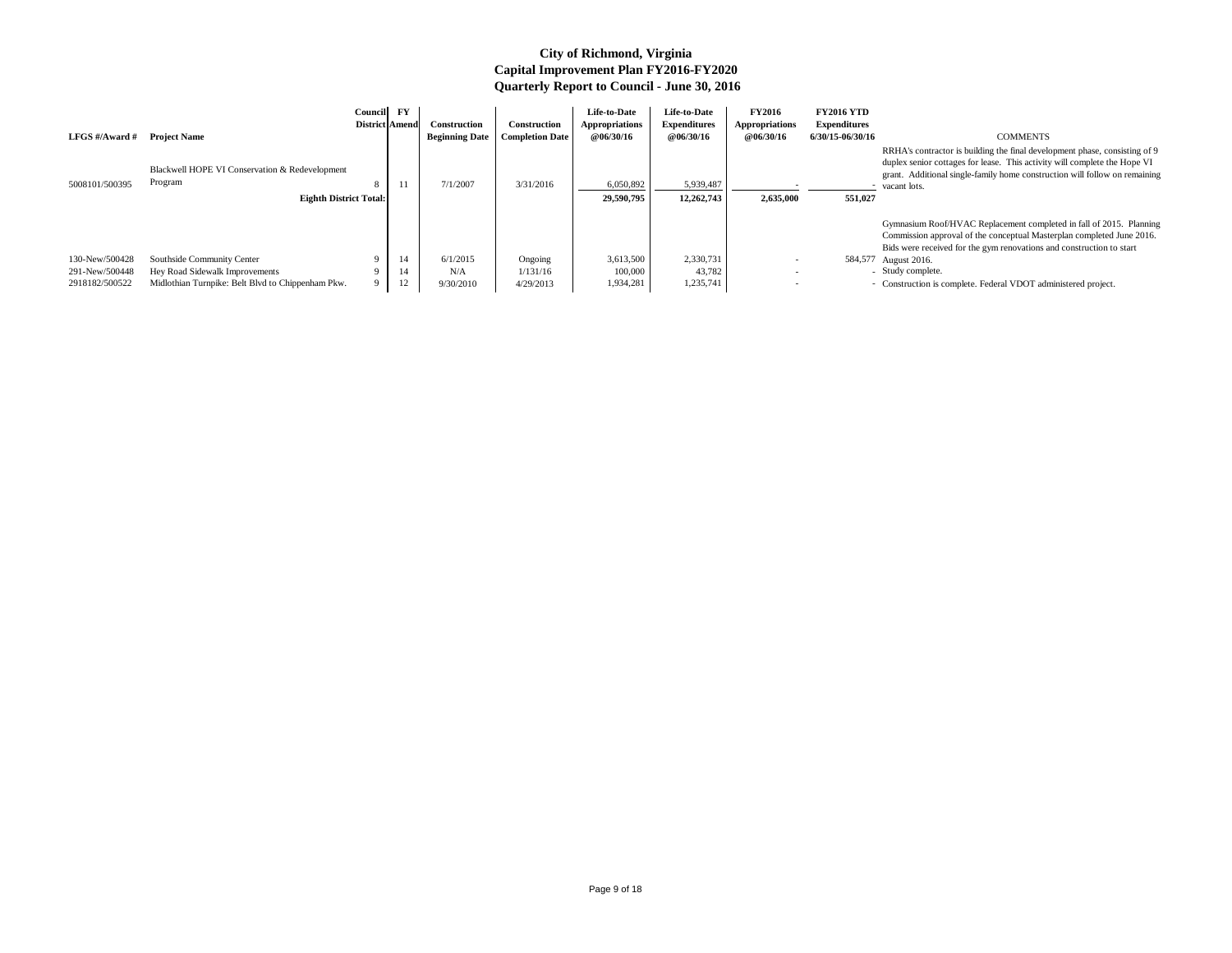RRHA's contractor is building the final development phase, consisting of 9 duplex senior cottages for lease. This activity will complete the Hope VI grant. Additional single-family home construction will follow on remaining - vacant lots.

|                |                                                   | Council | $\mathbf{F}\mathbf{Y}$<br><b>District Amend</b> | <b>Construction</b>   | Construction           | Life-to-Date<br>Appropriations | Life-to-Date<br><b>Expenditures</b> | <b>FY2016</b><br>Appropriations | <b>FY2016 YTD</b><br><b>Expenditures</b> |                                                                                                                                                                                                        |
|----------------|---------------------------------------------------|---------|-------------------------------------------------|-----------------------|------------------------|--------------------------------|-------------------------------------|---------------------------------|------------------------------------------|--------------------------------------------------------------------------------------------------------------------------------------------------------------------------------------------------------|
| LFGS #/Award # | <b>Project Name</b>                               |         |                                                 | <b>Beginning Date</b> | <b>Completion Date</b> | <b>@06/30/16</b>               | <b>@06/30/16</b>                    | <b>@06/30/16</b>                | 6/30/15-06/30/16                         | <b>COMMENTS</b>                                                                                                                                                                                        |
|                | Blackwell HOPE VI Conservation & Redevelopment    |         |                                                 |                       |                        |                                |                                     |                                 |                                          | RRHA's contractor is building the final development phase, con<br>duplex senior cottages for lease. This activity will complete the<br>grant. Additional single-family home construction will follow o |
| 5008101/500395 | Program                                           | 8       |                                                 | 7/1/2007              | 3/31/2016              | 6,050,892                      | 5,939,487                           |                                 |                                          | - vacant lots.                                                                                                                                                                                         |
|                | <b>Eighth District Total:</b>                     |         |                                                 |                       |                        | 29,590,795                     | 12,262,743                          | 2,635,000                       | 551,027                                  |                                                                                                                                                                                                        |
|                |                                                   |         |                                                 |                       |                        |                                |                                     |                                 |                                          | Gymnasium Roof/HVAC Replacement completed in fall of 201:                                                                                                                                              |
|                |                                                   |         |                                                 |                       |                        |                                |                                     |                                 |                                          | Commission approval of the conceptual Masterplan completed.                                                                                                                                            |
|                |                                                   |         |                                                 |                       |                        |                                |                                     |                                 |                                          | Bids were received for the gym renovations and construction to                                                                                                                                         |
| 130-New/500428 | Southside Community Center                        |         | 14                                              | 6/1/2015              | Ongoing                | 3,613,500                      | 2,330,731                           |                                 |                                          | 584,577 August 2016.                                                                                                                                                                                   |
| 291-New/500448 | Hey Road Sidewalk Improvements                    |         | 14                                              | N/A                   | 1/131/16               | 100,000                        | 43,782                              |                                 |                                          | - Study complete.                                                                                                                                                                                      |
| 2918182/500522 | Midlothian Turnpike: Belt Blvd to Chippenham Pkw. |         | 12                                              | 9/30/2010             | 4/29/2013              | 1,934,281                      | 1,235,741                           |                                 |                                          | - Construction is complete. Federal VDOT administered project.                                                                                                                                         |

Gymnasium Roof/HVAC Replacement completed in fall of 2015. Planning Commission approval of the conceptual Masterplan completed June 2016. Bids were received for the gym renovations and construction to start

# 584,577 August 2016.<br>- Study complete.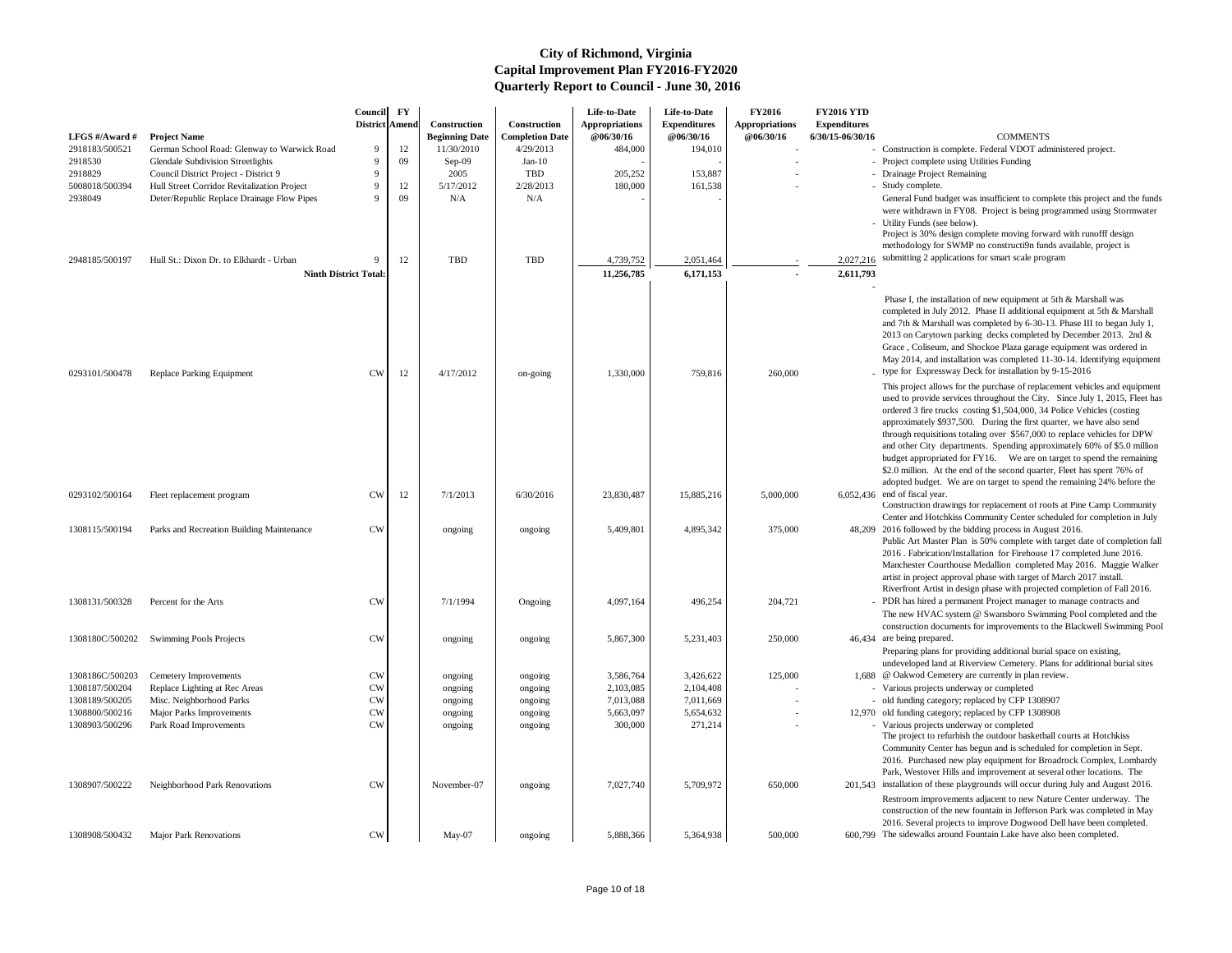- Phase I, the installation of new equipment at 5th & Marshall was completed in July 2012. Phase II additional equipment at 5th & Marshall and 7th & Marshall was completed by 6-30-13. Phase III to began July 1, 2013 on Carytown parking decks completed by December 2013. 2nd & Grace , Coliseum, and Shockoe Plaza garage equipment was ordered in May 2014, and installation was completed 11-30-14. Identifying equipment type for Expressway Deck for installation by 9-15-2016
- This project allows for the purchase of replacement vehicles and equipment used to provide services throughout the City. Since July 1, 2015, Fleet has ordered 3 fire trucks costing \$1,504,000, 34 Police Vehicles (costing approximately \$937,500. During the first quarter, we have also send through requisitions totaling over \$567,000 to replace vehicles for DPW and other City departments. Spending approximately 60% of \$5.0 million budget appropriated for FY16. We are on target to spend the remaining \$2.0 million. At the end of the second quarter, Fleet has spent 76% of adopted budget. We are on target to spend the remaining 24% before the
- $6,052,436$  end of fiscal year. Construction drawings for replacement of roofs at Pine Camp Community Center and Hotchkiss Community Center scheduled for completion in July 2016 followed by the bidding process in August 2016.
	- Public Art Master Plan is 50% complete with target date of completion fall 2016 . Fabrication/Installation for Firehouse 17 completed June 2016. Manchester Courthouse Medallion completed May 2016. Maggie Walker artist in project approval phase with target of March 2017 install. Riverfront Artist in design phase with projected completion of Fall 2016.
		- PDR has hired a permanent Project manager to manage contracts and The new HVAC system @ Swansboro Swimming Pool completed and the construction documents for improvements to the Blackwell Swimming Pool
- 46,434 are being prepared. Preparing plans for providing additional burial space on existing, undeveloped land at Riverview Cemetery. Plans for additional burial sites
- @ Oakwod Cemetery are currently in plan review.
- Various projects underway or completed
- old funding category; replaced by CFP 1308907
- 12,970 old funding category; replaced by CFP 1308908
- Various projects underway or completed The project to refurbish the outdoor basketball courts at Hotchkiss Community Center has begun and is scheduled for completion in Sept. 2016. Purchased new play equipment for Broadrock Complex, Lombardy Park, Westover Hills and improvement at several other locations. The
- 201,543 installation of these playgrounds will occur during July and August 2016. Restroom improvements adjacent to new Nature Center underway. The construction of the new fountain in Jefferson Park was completed in May 2016. Several projects to improve Dogwood Dell have been completed.
- 600,799 The sidewalks around Fountain Lake have also been completed.

General Fund budget was insufficient to complete this project and the funds were withdrawn in FY08. Project is being programmed using Stormwater Utility Funds (see below).

Project is 30% design complete moving forward with runofff design methodology for SWMP no constructi9n funds available, project is

2,027,216 submitting 2 applications for smart scale program

| LFGS #/Award #<br>2918183/500521 | <b>Project Name</b><br>German School Road: Glenway to Warwick Road                   | Council<br><b>District Amend</b><br>9 | $\mathbf{F}\mathbf{Y}$<br>12 | Construction<br><b>Beginning Date</b><br>11/30/2010 | Construction<br><b>Completion Date</b><br>4/29/2013 | Life-to-Date<br><b>Appropriations</b><br><b>@06/30/16</b><br>484,000 | Life-to-Date<br><b>Expenditures</b><br>@06/30/16<br>194,010 | <b>FY2016</b><br><b>Appropriations</b><br>@06/30/16 | <b>FY2016 YTD</b><br><b>Expenditures</b><br>6/30/15-06/30/16 | <b>COMMENTS</b><br>- Construction is complete. Federal VDOT adı                                                                                                                                                                                                                                                                                                                                                             |
|----------------------------------|--------------------------------------------------------------------------------------|---------------------------------------|------------------------------|-----------------------------------------------------|-----------------------------------------------------|----------------------------------------------------------------------|-------------------------------------------------------------|-----------------------------------------------------|--------------------------------------------------------------|-----------------------------------------------------------------------------------------------------------------------------------------------------------------------------------------------------------------------------------------------------------------------------------------------------------------------------------------------------------------------------------------------------------------------------|
| 2918530                          | <b>Glendale Subdivision Streetlights</b>                                             | 9                                     | 09                           | $Sep-09$                                            | Jan- $10$                                           |                                                                      |                                                             |                                                     |                                                              | - Project complete using Utilities Funding                                                                                                                                                                                                                                                                                                                                                                                  |
| 2918829<br>5008018/500394        | Council District Project - District 9<br>Hull Street Corridor Revitalization Project |                                       | 12                           | 2005<br>5/17/2012                                   | <b>TBD</b><br>2/28/2013                             | 205,252<br>180,000                                                   | 153,887<br>161,538                                          |                                                     |                                                              | - Drainage Project Remaining<br>- Study complete.                                                                                                                                                                                                                                                                                                                                                                           |
| 2938049                          | Deter/Republic Replace Drainage Flow Pipes                                           | $\mathbf Q$                           | 09                           | N/A                                                 | N/A                                                 |                                                                      |                                                             |                                                     |                                                              | General Fund budget was insufficient to com                                                                                                                                                                                                                                                                                                                                                                                 |
| 2948185/500197                   | Hull St.: Dixon Dr. to Elkhardt - Urban                                              |                                       | 12                           | TBD                                                 | <b>TBD</b>                                          | 4,739,752                                                            | 2,051,464                                                   |                                                     | 2,027,216                                                    | were withdrawn in FY08. Project is being pr<br>- Utility Funds (see below).<br>Project is 30% design complete moving forw<br>methodology for SWMP no constructi9n fun<br>submitting 2 applications for smart scale prog                                                                                                                                                                                                     |
|                                  | <b>Ninth District Total:</b>                                                         |                                       |                              |                                                     |                                                     | 11,256,785                                                           | 6,171,153                                                   |                                                     | 2,611,793                                                    |                                                                                                                                                                                                                                                                                                                                                                                                                             |
| 0293101/500478                   | <b>Replace Parking Equipment</b>                                                     | <b>CW</b>                             | 12                           | 4/17/2012                                           | on-going                                            | 1,330,000                                                            | 759,816                                                     | 260,000                                             |                                                              | Phase I, the installation of new equipment at<br>completed in July 2012. Phase II additional<br>and 7th & Marshall was completed by 6-30-1<br>2013 on Carytown parking decks completed<br>Grace, Coliseum, and Shockoe Plaza garage<br>May 2014, and installation was completed 11<br>type for Expressway Deck for installation by<br>This project allows for the purchase of replac                                        |
| 0293102/500164                   | Fleet replacement program                                                            | <b>CW</b>                             | 12                           | 7/1/2013                                            | 6/30/2016                                           | 23,830,487                                                           | 15,885,216                                                  | 5,000,000                                           |                                                              | used to provide services throughout the City.<br>ordered 3 fire trucks costing \$1,504,000, 34<br>approximately \$937,500. During the first qu<br>through requisitions totaling over \$567,000<br>and other City departments. Spending appro<br>budget appropriated for FY16. We are on<br>\$2.0 million. At the end of the second quarte<br>adopted budget. We are on target to spend t<br>$6,052,436$ end of fiscal year. |
|                                  | Parks and Recreation Building Maintenance                                            | <b>CW</b>                             |                              |                                                     |                                                     |                                                                      |                                                             |                                                     |                                                              | Construction drawings for replacement of roo<br>Center and Hotchkiss Community Center sch<br>48,209 2016 followed by the bidding process in Aug                                                                                                                                                                                                                                                                             |
| 1308115/500194                   |                                                                                      |                                       |                              | ongoing                                             | ongoing                                             | 5,409,801                                                            | 4,895,342                                                   | 375,000                                             |                                                              | Public Art Master Plan is 50% complete with<br>2016 . Fabrication/Installation for Firehouse<br>Manchester Courthouse Medallion complete<br>artist in project approval phase with target of<br>Riverfront Artist in design phase with project                                                                                                                                                                               |
| 1308131/500328                   | Percent for the Arts                                                                 | <b>CW</b>                             |                              | 7/1/1994                                            | Ongoing                                             | 4,097,164                                                            | 496,254                                                     | 204,721                                             |                                                              | - PDR has hired a permanent Project manager<br>The new HVAC system @ Swansboro Swim<br>construction documents for improvements to                                                                                                                                                                                                                                                                                           |
| 1308180C/500202                  | <b>Swimming Pools Projects</b>                                                       | <b>CW</b>                             |                              | ongoing                                             | ongoing                                             | 5,867,300                                                            | 5,231,403                                                   | 250,000                                             |                                                              | 46,434 are being prepared.<br>Preparing plans for providing additional buria<br>undeveloped land at Riverview Cemetery. Pla                                                                                                                                                                                                                                                                                                 |
| 1308186C/500203                  | Cemetery Improvements                                                                | <b>CW</b>                             |                              | ongoing                                             | ongoing                                             | 3,586,764                                                            | 3,426,622                                                   | 125,000                                             |                                                              | 1,688 @ Oakwod Cemetery are currently in plan re                                                                                                                                                                                                                                                                                                                                                                            |
| 1308187/500204                   | Replace Lighting at Rec Areas                                                        | <b>CW</b>                             |                              | ongoing                                             | ongoing                                             | 2,103,085                                                            | 2,104,408                                                   |                                                     |                                                              | - Various projects underway or completed                                                                                                                                                                                                                                                                                                                                                                                    |
| 1308189/500205                   | Misc. Neighborhood Parks                                                             | <b>CW</b>                             |                              | ongoing                                             | ongoing                                             | 7,013,088                                                            | 7,011,669                                                   |                                                     |                                                              | - old funding category; replaced by CFP 13089                                                                                                                                                                                                                                                                                                                                                                               |
| 1308800/500216                   | <b>Major Parks Improvements</b>                                                      | <b>CW</b>                             |                              | ongoing                                             | ongoing                                             | 5,663,097                                                            | 5,654,632                                                   |                                                     |                                                              | 12,970 old funding category; replaced by CFP 13089                                                                                                                                                                                                                                                                                                                                                                          |
| 1308903/500296                   | Park Road Improvements                                                               | <b>CW</b>                             |                              | ongoing                                             | ongoing                                             | 300,000                                                              | 271,214                                                     |                                                     |                                                              | - Various projects underway or completed<br>The project to refurbish the outdoor basketba<br>Community Center has begun and is schedule<br>2016. Purchased new play equipment for Bro<br>Park, Westover Hills and improvement at sev                                                                                                                                                                                        |
| 1308907/500222                   | Neighborhood Park Renovations                                                        | <b>CW</b>                             |                              | November-07                                         | ongoing                                             | 7,027,740                                                            | 5,709,972                                                   | 650,000                                             |                                                              | 201,543 installation of these playgrounds will occur di                                                                                                                                                                                                                                                                                                                                                                     |
|                                  |                                                                                      |                                       |                              |                                                     |                                                     |                                                                      |                                                             |                                                     |                                                              | Restroom improvements adjacent to new Nat<br>construction of the new fountain in Jefferson<br>2016. Several projects to improve Dogwood                                                                                                                                                                                                                                                                                     |
| 1308908/500432                   | <b>Major Park Renovations</b>                                                        | <b>CW</b>                             |                              | May-07                                              | ongoing                                             | 5,888,366                                                            | 5,364,938                                                   | 500,000                                             |                                                              | 600,799 The sidewalks around Fountain Lake have als                                                                                                                                                                                                                                                                                                                                                                         |

- Construction is complete. Federal VDOT administered project.
- Project complete using Utilities Funding
- Drainage Project Remaining
-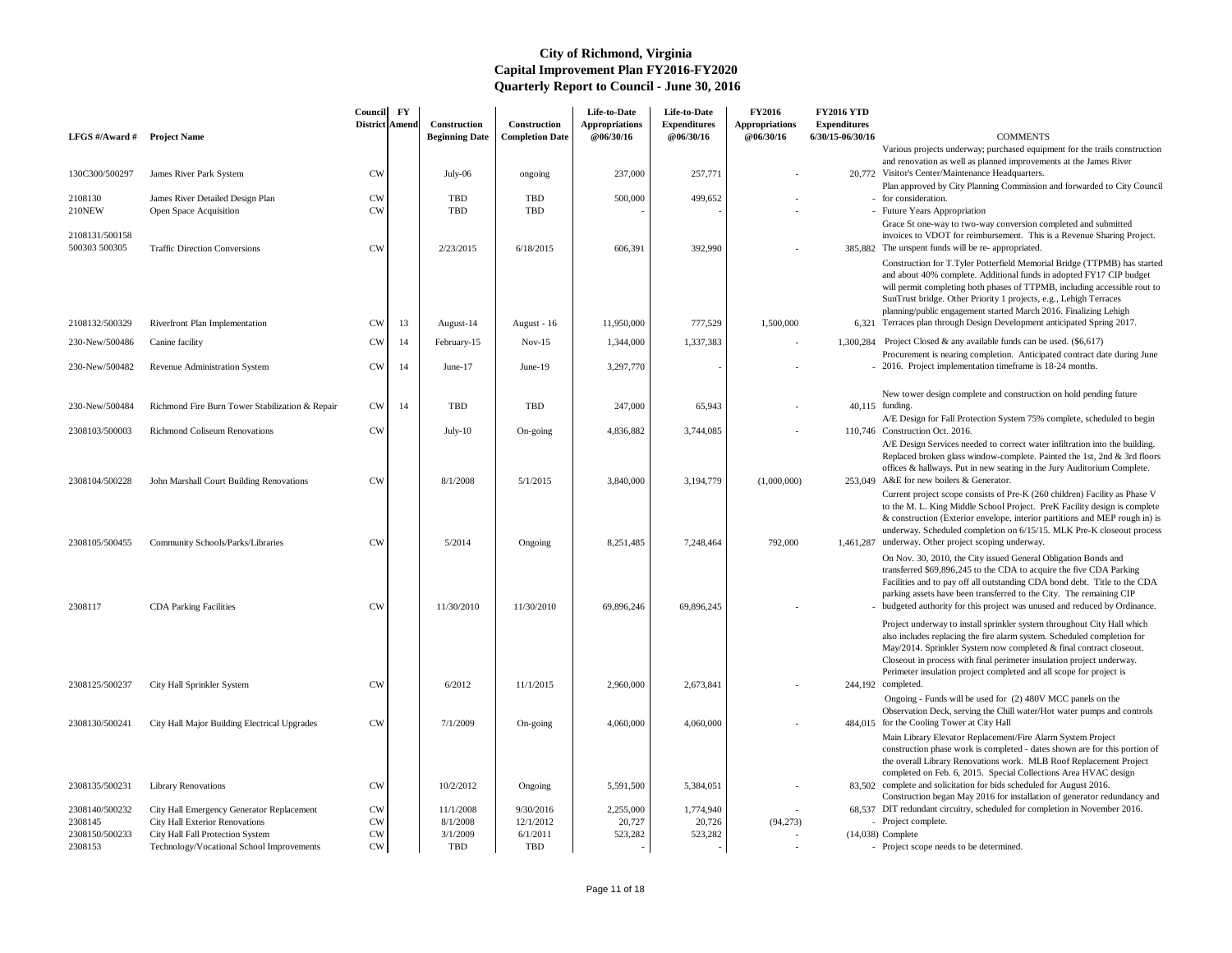|                                  |                                                                               | Council<br>District   Amend | $\mathbf{F}\mathbf{Y}$ | Construction          | Construction           | Life-to-Date<br><b>Appropriations</b> | Life-to-Date<br><b>Expenditures</b> | <b>FY2016</b><br><b>Appropriations</b> | <b>FY2016 YTD</b><br><b>Expenditures</b> |                                                                                                                                                                                                                                                                                                                                                                                                                                                  |
|----------------------------------|-------------------------------------------------------------------------------|-----------------------------|------------------------|-----------------------|------------------------|---------------------------------------|-------------------------------------|----------------------------------------|------------------------------------------|--------------------------------------------------------------------------------------------------------------------------------------------------------------------------------------------------------------------------------------------------------------------------------------------------------------------------------------------------------------------------------------------------------------------------------------------------|
| LFGS #/Award # Project Name      |                                                                               |                             |                        | <b>Beginning Date</b> | <b>Completion Date</b> | @06/30/16                             | @06/30/16                           | @06/30/16                              | 6/30/15-06/30/16                         | <b>COMMENTS</b>                                                                                                                                                                                                                                                                                                                                                                                                                                  |
| 130C300/500297                   | James River Park System                                                       | <b>CW</b>                   |                        | July-06               | ongoing                | 237,000                               | 257,771                             |                                        |                                          | Various projects underway; purchased equipment for the trails construction<br>and renovation as well as planned improvements at the James River<br>20,772 Visitor's Center/Maintenance Headquarters.                                                                                                                                                                                                                                             |
| 2108130                          | James River Detailed Design Plan                                              | <b>CW</b>                   |                        | <b>TBD</b>            | TBD                    | 500,000                               | 499,652                             |                                        |                                          | Plan approved by City Planning Commission and forwarded to City Council<br>- for consideration.                                                                                                                                                                                                                                                                                                                                                  |
| <b>210NEW</b>                    | Open Space Acquisition                                                        | <b>CW</b>                   |                        | <b>TBD</b>            | TBD                    |                                       |                                     |                                        |                                          | - Future Years Appropriation                                                                                                                                                                                                                                                                                                                                                                                                                     |
| 2108131/500158<br>500303 500305  | <b>Traffic Direction Conversions</b>                                          | <b>CW</b>                   |                        | 2/23/2015             | 6/18/2015              | 606,391                               | 392,990                             |                                        |                                          | Grace St one-way to two-way conversion completed and submitted<br>invoices to VDOT for reimbursement. This is a Revenue Sharing Project.<br>385,882 The unspent funds will be re-appropriated.                                                                                                                                                                                                                                                   |
|                                  |                                                                               |                             |                        |                       |                        |                                       |                                     |                                        |                                          | Construction for T.Tyler Potterfield Memorial Bridge (TTPMB) has started<br>and about 40% complete. Additional funds in adopted FY17 CIP budget<br>will permit completing both phases of TTPMB, including accessible rout to<br>SunTrust bridge. Other Priority 1 projects, e.g., Lehigh Terraces<br>planning/public engagement started March 2016. Finalizing Lehigh<br>6,321 Terraces plan through Design Development anticipated Spring 2017. |
| 2108132/500329                   | Riverfront Plan Implementation                                                | <b>CW</b>                   | 13                     | August-14             | August - 16            | 11,950,000                            | 777,529                             | 1,500,000                              |                                          |                                                                                                                                                                                                                                                                                                                                                                                                                                                  |
| 230-New/500486                   | Canine facility                                                               | <b>CW</b>                   | 14                     | February-15           | $Nov-15$               | 1,344,000                             | 1,337,383                           |                                        | 1,300,284                                | Project Closed & any available funds can be used. $(\$6,617)$<br>Procurement is nearing completion. Anticipated contract date during June                                                                                                                                                                                                                                                                                                        |
| 230-New/500482                   | Revenue Administration System                                                 | <b>CW</b>                   | 14                     | June- $17$            | June- $19$             | 3,297,770                             |                                     |                                        |                                          | 2016. Project implementation timeframe is 18-24 months.                                                                                                                                                                                                                                                                                                                                                                                          |
| 230-New/500484                   | Richmond Fire Burn Tower Stabilization & Repair                               | <b>CW</b>                   | 14                     | <b>TBD</b>            | TBD                    | 247,000                               | 65,943                              |                                        |                                          | New tower design complete and construction on hold pending future<br>40,115 funding.<br>A/E Design for Fall Protection System 75% complete, scheduled to begin                                                                                                                                                                                                                                                                                   |
| 2308103/500003                   | <b>Richmond Coliseum Renovations</b>                                          | <b>CW</b>                   |                        | July- $10$            | On-going               | 4,836,882                             | 3,744,085                           |                                        |                                          | 110,746 Construction Oct. 2016.                                                                                                                                                                                                                                                                                                                                                                                                                  |
|                                  |                                                                               |                             |                        |                       |                        |                                       |                                     |                                        |                                          | A/E Design Services needed to correct water infiltration into the building.<br>Replaced broken glass window-complete. Painted the 1st, 2nd & 3rd floors<br>offices & hallways. Put in new seating in the Jury Auditorium Complete.<br>253,049 A&E for new boilers & Generator.                                                                                                                                                                   |
| 2308104/500228<br>2308105/500455 | John Marshall Court Building Renovations<br>Community Schools/Parks/Libraries | <b>CW</b><br><b>CW</b>      |                        | 8/1/2008<br>5/2014    | 5/1/2015<br>Ongoing    | 3,840,000<br>8,251,485                | 3,194,779<br>7,248,464              | (1,000,000)<br>792,000                 |                                          | Current project scope consists of Pre-K (260 children) Facility as Phase V<br>to the M. L. King Middle School Project. PreK Facility design is complete<br>& construction (Exterior envelope, interior partitions and MEP rough in) is<br>underway. Scheduled completion on 6/15/15. MLK Pre-K closeout process<br>1,461,287 underway. Other project scoping underway.                                                                           |
| 2308117                          | <b>CDA Parking Facilities</b>                                                 | <b>CW</b>                   |                        | 11/30/2010            | 11/30/2010             | 69,896,246                            | 69,896,245                          |                                        |                                          | On Nov. 30, 2010, the City issued General Obligation Bonds and<br>transferred \$69,896,245 to the CDA to acquire the five CDA Parking<br>Facilities and to pay off all outstanding CDA bond debt. Title to the CDA<br>parking assets have been transferred to the City. The remaining CIP<br>budgeted authority for this project was unused and reduced by Ordinance.                                                                            |
|                                  |                                                                               |                             |                        |                       |                        |                                       |                                     |                                        |                                          | Project underway to install sprinkler system throughout City Hall which<br>also includes replacing the fire alarm system. Scheduled completion for<br>May/2014. Sprinkler System now completed & final contract closeout.<br>Closeout in process with final perimeter insulation project underway.<br>Perimeter insulation project completed and all scope for project is                                                                        |
| 2308125/500237                   | City Hall Sprinkler System                                                    | <b>CW</b>                   |                        | 6/2012                | 11/1/2015              | 2,960,000                             | 2,673,841                           |                                        |                                          | 244,192 completed.<br>Ongoing - Funds will be used for (2) 480V MCC panels on the<br>Observation Deck, serving the Chill water/Hot water pumps and controls                                                                                                                                                                                                                                                                                      |
| 2308130/500241                   | City Hall Major Building Electrical Upgrades                                  | <b>CW</b>                   |                        | 7/1/2009              | On-going               | 4,060,000                             | 4,060,000                           |                                        |                                          | 484,015 for the Cooling Tower at City Hall                                                                                                                                                                                                                                                                                                                                                                                                       |
|                                  |                                                                               |                             |                        |                       |                        |                                       |                                     |                                        |                                          | Main Library Elevator Replacement/Fire Alarm System Project<br>construction phase work is completed - dates shown are for this portion of<br>the overall Library Renovations work. MLB Roof Replacement Project<br>completed on Feb. 6, 2015. Special Collections Area HVAC design                                                                                                                                                               |
| 2308135/500231                   | <b>Library Renovations</b>                                                    | <b>CW</b>                   |                        | 10/2/2012             | Ongoing                | 5,591,500                             | 5,384,051                           |                                        |                                          | 83.502 complete and solicitation for bids scheduled for August 2016.<br>Construction began May 2016 for installation of generator redundancy and                                                                                                                                                                                                                                                                                                 |
| 2308140/500232                   | City Hall Emergency Generator Replacement                                     | <b>CW</b>                   |                        | 11/1/2008             | 9/30/2016              | 2,255,000                             | 1,774,940                           |                                        |                                          | 68,537 DIT redundant circuitry, scheduled for completion in November 2016.                                                                                                                                                                                                                                                                                                                                                                       |
| 2308145<br>2308150/500233        | <b>City Hall Exterior Renovations</b><br>City Hall Fall Protection System     | <b>CW</b><br><b>CW</b>      |                        | 8/1/2008<br>3/1/2009  | 12/1/2012<br>6/1/2011  | 20,727<br>523,282                     | 20,726                              | (94,273)                               |                                          | - Project complete.<br>$(14,038)$ Complete                                                                                                                                                                                                                                                                                                                                                                                                       |
| 2308153                          | Technology/Vocational School Improvements                                     | ${\rm\bf CW}$               |                        | TBD                   | TBD                    |                                       | 523,282                             |                                        |                                          | - Project scope needs to be determined.                                                                                                                                                                                                                                                                                                                                                                                                          |

- -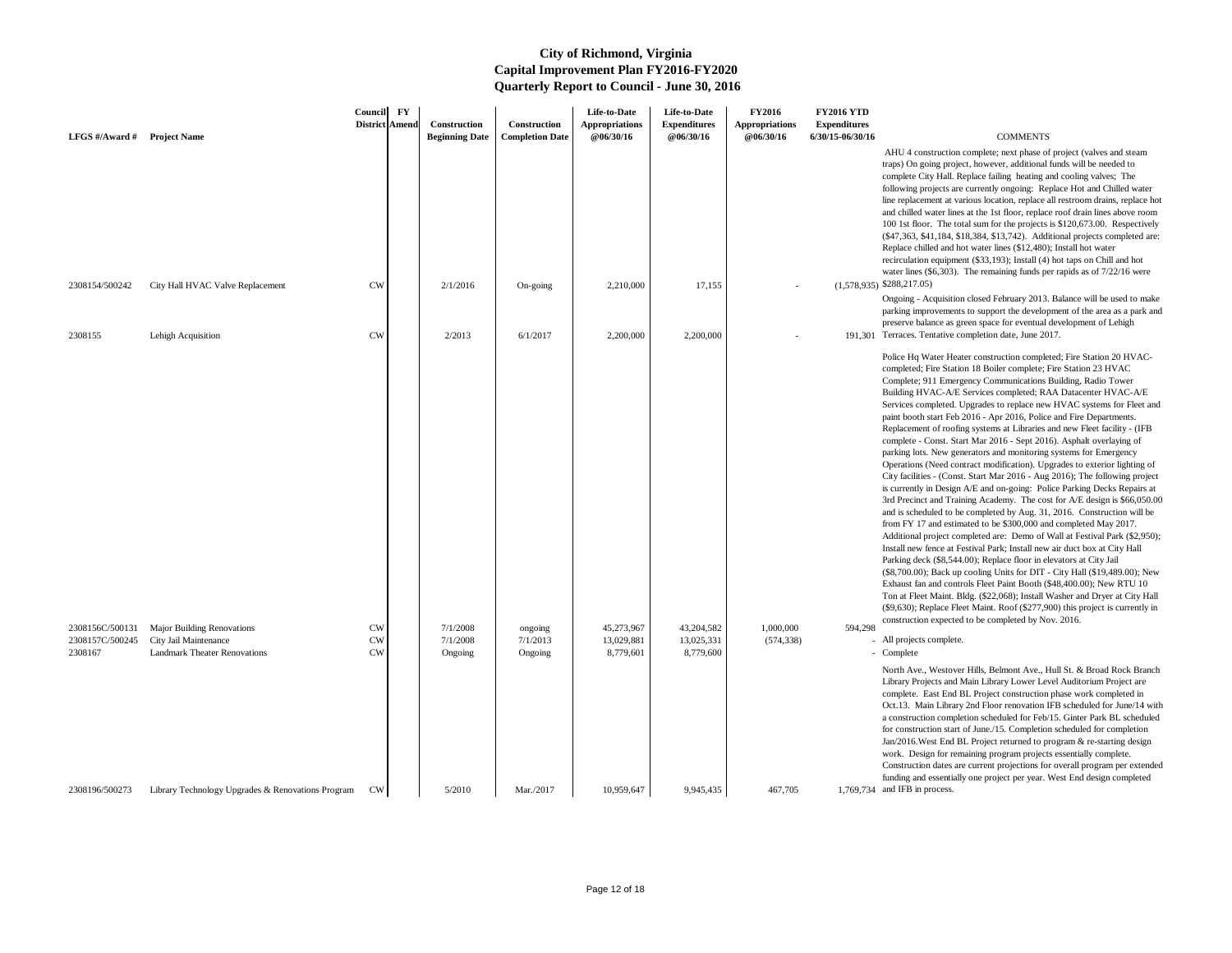Ongoing - Acquisition closed February 2013. Balance will be used to make parking improvements to support the development of the area as a park and preserve balance as green space for eventual development of Lehigh 191,301 Terraces. Tentative completion date, June 2017.

 AHU 4 construction complete; next phase of project (valves and steam traps) On going project, however, additional funds will be needed to complete City Hall. Replace failing heating and cooling valves; The following projects are currently ongoing: Replace Hot and Chilled water line replacement at various location, replace all restroom drains, replace hot and chilled water lines at the 1st floor, replace roof drain lines above room 100 1st floor. The total sum for the projects is \$120,673.00. Respectively (\$47,363, \$41,184, \$18,384, \$13,742). Additional projects completed are: Replace chilled and hot water lines (\$12,480); Install hot water recirculation equipment (\$33,193); Install (4) hot taps on Chill and hot water lines (\$6,303). The remaining funds per rapids as of 7/22/16 were

| LFGS $\#/$ Award $\#$                                    | <b>Project Name</b>                                                                                                     | Council<br><b>District Amend</b>                 | $\mathbf{F}\mathbf{Y}$ | Construction<br><b>Beginning Date</b>     | <b>Construction</b><br><b>Completion Date</b> | Life-to-Date<br><b>Appropriations</b><br>@06/30/16 | Life-to-Date<br><b>Expenditures</b><br>@06/30/16   | <b>FY2016</b><br><b>Appropriations</b><br>@06/30/16 | <b>FY2016 YTD</b><br><b>Expenditures</b><br>6/30/15-06/30/16 | <b>COMMENTS</b>                                                                                                                                                                                                                                                                                                                                                                                                                                                                                                                                                                                                                                                                                                                                                                                                                                                                                                                                                                                                                                                                                                                                                                                                                           |
|----------------------------------------------------------|-------------------------------------------------------------------------------------------------------------------------|--------------------------------------------------|------------------------|-------------------------------------------|-----------------------------------------------|----------------------------------------------------|----------------------------------------------------|-----------------------------------------------------|--------------------------------------------------------------|-------------------------------------------------------------------------------------------------------------------------------------------------------------------------------------------------------------------------------------------------------------------------------------------------------------------------------------------------------------------------------------------------------------------------------------------------------------------------------------------------------------------------------------------------------------------------------------------------------------------------------------------------------------------------------------------------------------------------------------------------------------------------------------------------------------------------------------------------------------------------------------------------------------------------------------------------------------------------------------------------------------------------------------------------------------------------------------------------------------------------------------------------------------------------------------------------------------------------------------------|
|                                                          |                                                                                                                         |                                                  |                        |                                           |                                               |                                                    |                                                    |                                                     |                                                              | AHU 4 construction complete; next phase of<br>traps) On going project, however, additional<br>complete City Hall. Replace failing heating a<br>following projects are currently ongoing: Re<br>line replacement at various location, replace a<br>and chilled water lines at the 1st floor, replace<br>100 1st floor. The total sum for the projects<br>(\$47,363, \$41,184, \$18,384, \$13,742). Addi<br>Replace chilled and hot water lines (\$12,480)<br>recirculation equipment (\$33,193); Install (4)<br>water lines $(\$6,303)$ . The remaining funds pe                                                                                                                                                                                                                                                                                                                                                                                                                                                                                                                                                                                                                                                                           |
| 2308154/500242                                           | City Hall HVAC Valve Replacement                                                                                        | <b>CW</b>                                        |                        | 2/1/2016                                  | On-going                                      | 2,210,000                                          | 17,155                                             |                                                     |                                                              | $(1,578,935)$ \$288,217.05)<br>Ongoing - Acquisition closed February 2013.<br>parking improvements to support the develop<br>preserve balance as green space for eventual                                                                                                                                                                                                                                                                                                                                                                                                                                                                                                                                                                                                                                                                                                                                                                                                                                                                                                                                                                                                                                                                 |
| 2308155<br>2308156C/500131<br>2308157C/500245<br>2308167 | Lehigh Acquisition<br><b>Major Building Renovations</b><br>City Jail Maintenance<br><b>Landmark Theater Renovations</b> | <b>CW</b><br><b>CW</b><br><b>CW</b><br><b>CW</b> |                        | 2/2013<br>7/1/2008<br>7/1/2008<br>Ongoing | 6/1/2017<br>ongoing<br>7/1/2013<br>Ongoing    | 2,200,000<br>45,273,967<br>13,029,881<br>8,779,601 | 2,200,000<br>43,204,582<br>13,025,331<br>8,779,600 | 1,000,000<br>(574, 338)                             | 594,298                                                      | 191,301 Terraces. Tentative completion date, June 20<br>Police Hq Water Heater construction comple<br>completed; Fire Station 18 Boiler complete; l<br>Complete; 911 Emergency Communications<br>Building HVAC-A/E Services completed; RA<br>Services completed. Upgrades to replace new<br>paint booth start Feb 2016 - Apr 2016, Police<br>Replacement of roofing systems at Libraries a<br>complete - Const. Start Mar 2016 - Sept 201<br>parking lots. New generators and monitoring<br>Operations (Need contract modification). Up<br>City facilities - (Const. Start Mar 2016 - Aug<br>is currently in Design A/E and on-going: Pol<br>3rd Precinct and Training Academy. The cos<br>and is scheduled to be completed by Aug. 31<br>from FY 17 and estimated to be \$300,000 an<br>Additional project completed are: Demo of V<br>Install new fence at Festival Park; Install new<br>Parking deck (\$8,544.00); Replace floor in el<br>(\$8,700.00); Back up cooling Units for DIT -<br>Exhaust fan and controls Fleet Paint Booth (9<br>Ton at Fleet Maint. Bldg. (\$22,068); Install V<br>(\$9,630); Replace Fleet Maint. Roof (\$277,9)<br>construction expected to be completed by No<br>- All projects complete.<br>- Complete |
|                                                          |                                                                                                                         |                                                  |                        |                                           |                                               |                                                    |                                                    |                                                     |                                                              | North Ave., Westover Hills, Belmont Ave., I<br>Library Projects and Main Library Lower Lev<br>complete. East End BL Project construction<br>Oct.13. Main Library 2nd Floor renovation I<br>a construction completion scheduled for Feb/<br>for construction start of June./15. Completion<br>Jan/2016. West End BL Project returned to p<br>work. Design for remaining program project<br>Construction dates are current projections for<br>funding and essentially one project per year.                                                                                                                                                                                                                                                                                                                                                                                                                                                                                                                                                                                                                                                                                                                                                 |
| 2308196/500273                                           | Library Technology Upgrades & Renovations Program                                                                       | CW                                               |                        | 5/2010                                    | Mar./2017                                     | 10,959,647                                         | 9,945,435                                          | 467,705                                             |                                                              | 1,769,734 and IFB in process.                                                                                                                                                                                                                                                                                                                                                                                                                                                                                                                                                                                                                                                                                                                                                                                                                                                                                                                                                                                                                                                                                                                                                                                                             |

Police Hq Water Heater construction completed; Fire Station 20 HVACcompleted; Fire Station 18 Boiler complete; Fire Station 23 HVAC Complete; 911 Emergency Communications Building, Radio Tower Building HVAC-A/E Services completed; RAA Datacenter HVAC-A/E Services completed. Upgrades to replace new HVAC systems for Fleet and paint booth start Feb 2016 - Apr 2016, Police and Fire Departments. Replacement of roofing systems at Libraries and new Fleet facility - (IFB complete - Const. Start Mar 2016 - Sept 2016). Asphalt overlaying of parking lots. New generators and monitoring systems for Emergency Operations (Need contract modification). Upgrades to exterior lighting of City facilities - (Const. Start Mar 2016 - Aug 2016); The following project is currently in Design A/E and on-going: Police Parking Decks Repairs at 3rd Precinct and Training Academy. The cost for A/E design is \$66,050.00 and is scheduled to be completed by Aug. 31, 2016. Construction will be from FY 17 and estimated to be \$300,000 and completed May 2017. Additional project completed are: Demo of Wall at Festival Park (\$2,950); Install new fence at Festival Park; Install new air duct box at City Hall Parking deck (\$8,544.00); Replace floor in elevators at City Jail (\$8,700.00); Back up cooling Units for DIT - City Hall (\$19,489.00); New Exhaust fan and controls Fleet Paint Booth (\$48,400.00); New RTU 10 Ton at Fleet Maint. Bldg. (\$22,068); Install Washer and Dryer at City Hall (\$9,630); Replace Fleet Maint. Roof (\$277,900) this project is currently in construction expected to be completed by Nov. 2016.

- All projects complete.
- 

North Ave., Westover Hills, Belmont Ave., Hull St. & Broad Rock Branch Library Projects and Main Library Lower Level Auditorium Project are complete. East End BL Project construction phase work completed in Oct.13. Main Library 2nd Floor renovation IFB scheduled for June/14 with a construction completion scheduled for Feb/15. Ginter Park BL scheduled for construction start of June./15. Completion scheduled for completion Jan/2016.West End BL Project returned to program & re-starting design work. Design for remaining program projects essentially complete. Construction dates are current projections for overall program per extended funding and essentially one project per year. West End design completed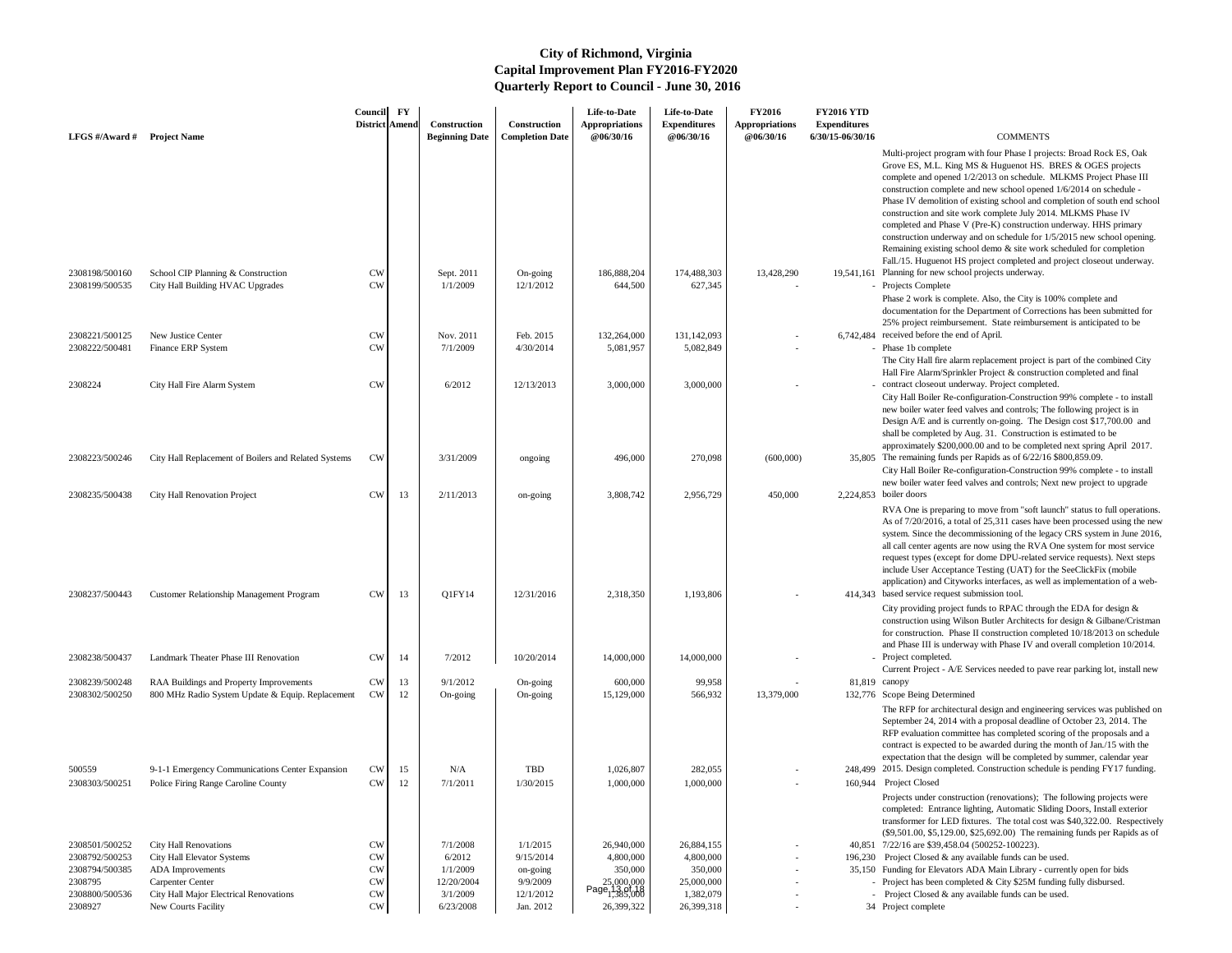| LFGS #/Award # Project Name      |                                                                                        | Council<br>District Amend | $\mathbf{F}\mathbf{Y}$ | Construction<br><b>Beginning Date</b> | Construction<br><b>Completion Date</b> | Life-to-Date<br><b>Appropriations</b><br><b>@06/30/16</b> | Life-to-Date<br><b>Expenditures</b><br>@06/30/16 | <b>FY2016</b><br><b>Appropriations</b><br><b>@06/30/16</b> | <b>FY2016 YTD</b><br><b>Expenditures</b><br>6/30/15-06/30/16 | <b>COMMENTS</b>                                                                                                                                                                                                                                                                                                                                                                                                                                                                                                                                                                                                                                                                                                               |
|----------------------------------|----------------------------------------------------------------------------------------|---------------------------|------------------------|---------------------------------------|----------------------------------------|-----------------------------------------------------------|--------------------------------------------------|------------------------------------------------------------|--------------------------------------------------------------|-------------------------------------------------------------------------------------------------------------------------------------------------------------------------------------------------------------------------------------------------------------------------------------------------------------------------------------------------------------------------------------------------------------------------------------------------------------------------------------------------------------------------------------------------------------------------------------------------------------------------------------------------------------------------------------------------------------------------------|
|                                  |                                                                                        |                           |                        |                                       |                                        |                                                           |                                                  |                                                            |                                                              | Multi-project program with four Phase I projects: Broad Rock ES, Oak<br>Grove ES, M.L. King MS & Huguenot HS. BRES & OGES projects<br>complete and opened 1/2/2013 on schedule. MLKMS Project Phase III<br>construction complete and new school opened 1/6/2014 on schedule -<br>Phase IV demolition of existing school and completion of south end school<br>construction and site work complete July 2014. MLKMS Phase IV<br>completed and Phase V (Pre-K) construction underway. HHS primary<br>construction underway and on schedule for 1/5/2015 new school opening.<br>Remaining existing school demo $\&$ site work scheduled for completion<br>Fall./15. Huguenot HS project completed and project closeout underway. |
| 2308198/500160<br>2308199/500535 | School CIP Planning & Construction<br>City Hall Building HVAC Upgrades                 | <b>CW</b><br>CW           |                        | Sept. 2011<br>1/1/2009                | On-going<br>12/1/2012                  | 186,888,204<br>644,500                                    | 174,488,303<br>627,345                           | 13,428,290                                                 | 19,541,161                                                   | Planning for new school projects underway.<br>- Projects Complete<br>Phase 2 work is complete. Also, the City is 100% complete and<br>documentation for the Department of Corrections has been submitted for<br>25% project reimbursement. State reimbursement is anticipated to be                                                                                                                                                                                                                                                                                                                                                                                                                                           |
| 2308221/500125<br>2308222/500481 | New Justice Center<br>Finance ERP System                                               | <b>CW</b><br><b>CW</b>    |                        | Nov. 2011<br>7/1/2009                 | Feb. 2015<br>4/30/2014                 | 132,264,000<br>5,081,957                                  | 131,142,093<br>5,082,849                         |                                                            |                                                              | 6,742,484 received before the end of April.<br>- Phase 1b complete<br>The City Hall fire alarm replacement project is part of the combined City<br>Hall Fire Alarm/Sprinkler Project & construction completed and final                                                                                                                                                                                                                                                                                                                                                                                                                                                                                                       |
| 2308224                          | City Hall Fire Alarm System                                                            | <b>CW</b>                 |                        | 6/2012                                | 12/13/2013                             | 3,000,000                                                 | 3,000,000                                        |                                                            |                                                              | - contract closeout underway. Project completed.<br>City Hall Boiler Re-configuration-Construction 99% complete - to install<br>new boiler water feed valves and controls; The following project is in<br>Design A/E and is currently on-going. The Design cost \$17,700.00 and<br>shall be completed by Aug. 31. Construction is estimated to be<br>approximately \$200,000.00 and to be completed next spring April 2017.                                                                                                                                                                                                                                                                                                   |
| 2308223/500246                   | City Hall Replacement of Boilers and Related Systems                                   | <b>CW</b>                 |                        | 3/31/2009                             | ongoing                                | 496,000                                                   | 270,098                                          | (600,000)                                                  |                                                              | 35,805 The remaining funds per Rapids as of 6/22/16 \$800,859.09.<br>City Hall Boiler Re-configuration-Construction 99% complete - to install<br>new boiler water feed valves and controls; Next new project to upgrade                                                                                                                                                                                                                                                                                                                                                                                                                                                                                                       |
| 2308235/500438<br>2308237/500443 | City Hall Renovation Project<br><b>Customer Relationship Management Program</b>        | <b>CW</b><br><b>CW</b>    | 13<br>13               | 2/11/2013<br>Q1FY14                   | on-going<br>12/31/2016                 | 3,808,742<br>2,318,350                                    | 2,956,729<br>1,193,806                           | 450,000                                                    |                                                              | 2,224,853 boiler doors<br>RVA One is preparing to move from "soft launch" status to full operations.<br>As of 7/20/2016, a total of 25,311 cases have been processed using the new<br>system. Since the decommissioning of the legacy CRS system in June 2016,<br>all call center agents are now using the RVA One system for most service<br>request types (except for dome DPU-related service requests). Next steps<br>include User Acceptance Testing (UAT) for the SeeClickFix (mobile<br>application) and Cityworks interfaces, as well as implementation of a web-<br>414,343 based service request submission tool.                                                                                                   |
|                                  |                                                                                        |                           |                        |                                       |                                        |                                                           |                                                  |                                                            |                                                              | City providing project funds to RPAC through the EDA for design $\&$<br>construction using Wilson Butler Architects for design & Gilbane/Cristman<br>for construction. Phase II construction completed 10/18/2013 on schedule<br>and Phase III is underway with Phase IV and overall completion 10/2014.                                                                                                                                                                                                                                                                                                                                                                                                                      |
| 2308238/500437<br>2308239/500248 | Landmark Theater Phase III Renovation<br>RAA Buildings and Property Improvements       | <b>CW</b><br><b>CW</b>    | 14<br>13               | 7/2012<br>9/1/2012                    | 10/20/2014<br>On-going                 | 14,000,000<br>600,000                                     | 14,000,000<br>99,958                             |                                                            |                                                              | - Project completed.<br>Current Project - A/E Services needed to pave rear parking lot, install new<br>81,819 canopy                                                                                                                                                                                                                                                                                                                                                                                                                                                                                                                                                                                                          |
| 2308302/500250                   | 800 MHz Radio System Update & Equip. Replacement                                       | CW                        | 12                     | On-going                              | On-going                               | 15,129,000                                                | 566,932                                          | 13,379,000                                                 |                                                              | 132,776 Scope Being Determined<br>The RFP for architectural design and engineering services was published on<br>September 24, 2014 with a proposal deadline of October 23, 2014. The<br>RFP evaluation committee has completed scoring of the proposals and a<br>contract is expected to be awarded during the month of Jan./15 with the<br>expectation that the design will be completed by summer, calendar year                                                                                                                                                                                                                                                                                                            |
| 500559<br>2308303/500251         | 9-1-1 Emergency Communications Center Expansion<br>Police Firing Range Caroline County | <b>CW</b><br><b>CW</b>    | 15<br>12               | N/A<br>7/1/2011                       | TBD<br>1/30/2015                       | 1,026,807<br>1,000,000                                    | 282,055<br>1,000,000                             |                                                            |                                                              | 248,499 2015. Design completed. Construction schedule is pending FY17 funding.<br>160,944 Project Closed                                                                                                                                                                                                                                                                                                                                                                                                                                                                                                                                                                                                                      |
|                                  |                                                                                        |                           |                        |                                       |                                        |                                                           |                                                  |                                                            |                                                              | Projects under construction (renovations); The following projects were<br>completed: Entrance lighting, Automatic Sliding Doors, Install exterior<br>transformer for LED fixtures. The total cost was \$40,322.00. Respectively<br>(\$9,501.00, \$5,129.00, \$25,692.00) The remaining funds per Rapids as of                                                                                                                                                                                                                                                                                                                                                                                                                 |
| 2308501/500252                   | <b>City Hall Renovations</b>                                                           | <b>CW</b>                 |                        | 7/1/2008                              | 1/1/2015                               | 26,940,000                                                | 26,884,155                                       |                                                            |                                                              | 40,851 7/22/16 are \$39,458.04 (500252-100223).                                                                                                                                                                                                                                                                                                                                                                                                                                                                                                                                                                                                                                                                               |
| 2308792/500253                   | City Hall Elevator Systems                                                             | <b>CW</b>                 |                        | 6/2012                                | 9/15/2014                              | 4,800,000                                                 | 4,800,000                                        |                                                            |                                                              | 196,230 Project Closed & any available funds can be used.                                                                                                                                                                                                                                                                                                                                                                                                                                                                                                                                                                                                                                                                     |
| 2308794/500385<br>2308795        | <b>ADA</b> Improvements<br><b>Carpenter Center</b>                                     | <b>CW</b><br><b>CW</b>    |                        | 1/1/2009<br>12/20/2004                | on-going<br>9/9/2009                   | 350,000                                                   | 350,000<br>25,000,000                            |                                                            |                                                              | 35,150 Funding for Elevators ADA Main Library - currently open for bids<br>- Project has been completed $& City $25M$$ funding fully disbursed.                                                                                                                                                                                                                                                                                                                                                                                                                                                                                                                                                                               |
| 2308800/500536                   | City Hall Major Electrical Renovations                                                 | <b>CW</b>                 |                        | 3/1/2009                              | 12/1/2012                              | Page 13.000,000<br>Page 13.01.18                          | 1,382,079                                        |                                                            |                                                              | - Project Closed $&$ any available funds can be used.                                                                                                                                                                                                                                                                                                                                                                                                                                                                                                                                                                                                                                                                         |
| 2308927                          | New Courts Facility                                                                    | ${\rm\bf CW}$             |                        | 6/23/2008                             | Jan. 2012                              | 26,399,322                                                | 26,399,318                                       |                                                            |                                                              | 34 Project complete                                                                                                                                                                                                                                                                                                                                                                                                                                                                                                                                                                                                                                                                                                           |

- 
- -
	-
	-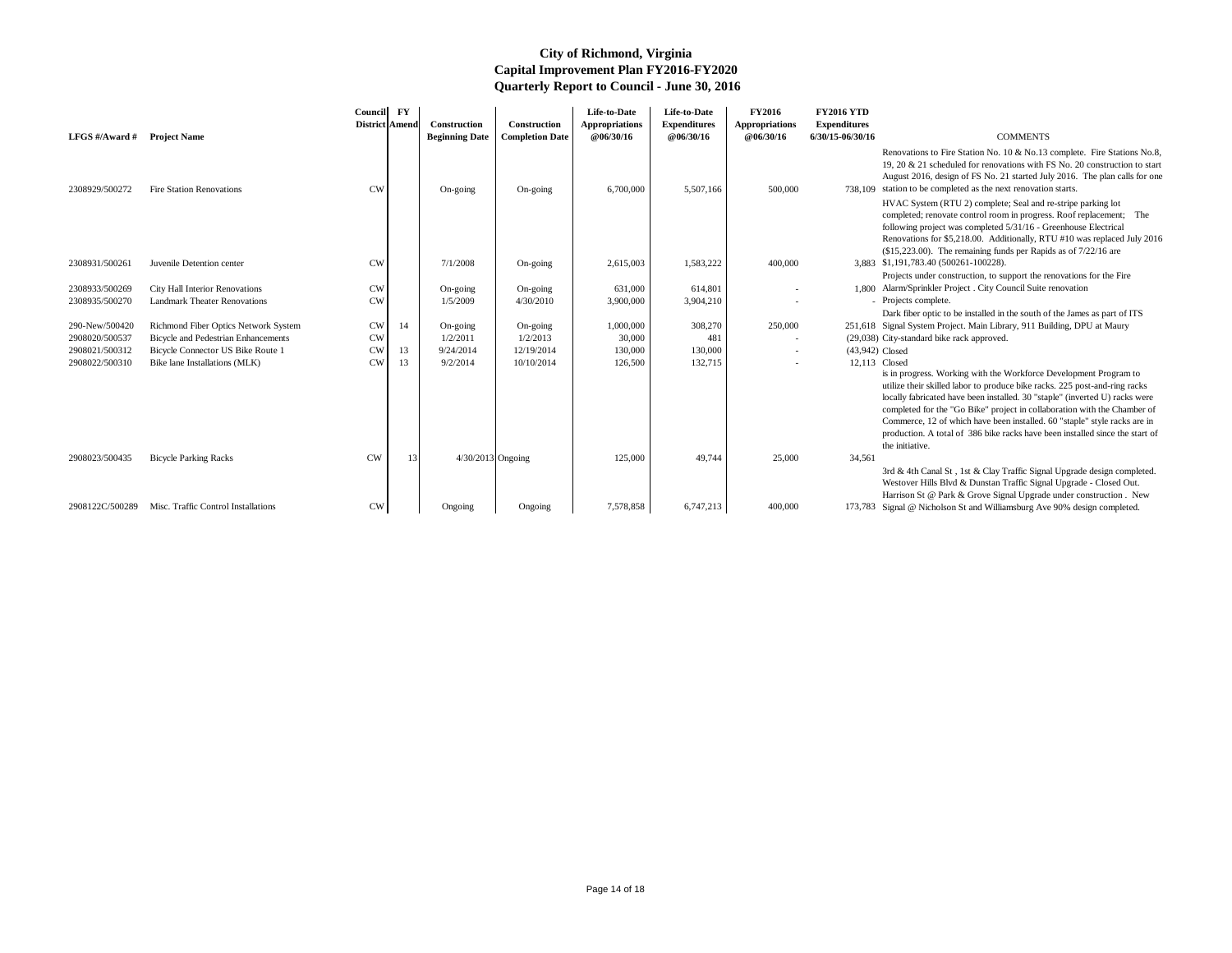|                             |                                                     | Council<br>District Amend | $\mathbf{F}\mathbf{Y}$ | <b>Construction</b>   | <b>Construction</b>    | Life-to-Date<br><b>Appropriations</b> | Life-to-Date<br><b>Expenditures</b> | <b>FY2016</b><br><b>Appropriations</b> | <b>FY2016 YTD</b><br><b>Expenditures</b> |                                                                                                                                                                                                                                                                                                                                                                                                                                                                                            |
|-----------------------------|-----------------------------------------------------|---------------------------|------------------------|-----------------------|------------------------|---------------------------------------|-------------------------------------|----------------------------------------|------------------------------------------|--------------------------------------------------------------------------------------------------------------------------------------------------------------------------------------------------------------------------------------------------------------------------------------------------------------------------------------------------------------------------------------------------------------------------------------------------------------------------------------------|
| LFGS #/Award # Project Name |                                                     |                           |                        | <b>Beginning Date</b> | <b>Completion Date</b> | @06/30/16                             | @06/30/16                           | @06/30/16                              | 6/30/15-06/30/16                         | <b>COMMENTS</b>                                                                                                                                                                                                                                                                                                                                                                                                                                                                            |
| 2308929/500272              | <b>Fire Station Renovations</b>                     | <b>CW</b>                 |                        | On-going              | On-going               | 6,700,000                             | 5,507,166                           | 500,000                                |                                          | Renovations to Fire Station No. 10 & No.13 complete. Fire Stations No.8,<br>19, 20 $\&$ 21 scheduled for renovations with FS No. 20 construction to start<br>August 2016, design of FS No. 21 started July 2016. The plan calls for one<br>738,109 station to be completed as the next renovation starts.                                                                                                                                                                                  |
| 2308931/500261              | Juvenile Detention center                           | <b>CW</b>                 |                        | 7/1/2008              | On-going               | 2,615,003                             | 1,583,222                           | 400,000                                |                                          | HVAC System (RTU 2) complete; Seal and re-stripe parking lot<br>completed; renovate control room in progress. Roof replacement; The<br>following project was completed 5/31/16 - Greenhouse Electrical<br>Renovations for \$5,218.00. Additionally, RTU #10 was replaced July 2016<br>$($15,223.00)$ . The remaining funds per Rapids as of $7/22/16$ are<br>3,883 \$1,191,783.40 (500261-100228).                                                                                         |
|                             |                                                     |                           |                        |                       |                        |                                       |                                     |                                        |                                          | Projects under construction, to support the renovations for the Fire                                                                                                                                                                                                                                                                                                                                                                                                                       |
| 2308933/500269              | City Hall Interior Renovations                      | <b>CW</b>                 |                        | On-going              | On-going               | 631,000                               | 614,801                             |                                        |                                          | 1,800 Alarm/Sprinkler Project . City Council Suite renovation                                                                                                                                                                                                                                                                                                                                                                                                                              |
| 2308935/500270              | <b>Landmark Theater Renovations</b>                 | <b>CW</b>                 |                        | 1/5/2009              | 4/30/2010              | 3,900,000                             | 3,904,210                           |                                        |                                          | - Projects complete.                                                                                                                                                                                                                                                                                                                                                                                                                                                                       |
|                             |                                                     |                           |                        |                       |                        |                                       |                                     |                                        |                                          | Dark fiber optic to be installed in the south of the James as part of ITS                                                                                                                                                                                                                                                                                                                                                                                                                  |
| 290-New/500420              | Richmond Fiber Optics Network System                | <b>CW</b>                 | 14                     | On-going              | On-going               | 1,000,000                             | 308,270                             | 250,000                                |                                          | 251,618 Signal System Project. Main Library, 911 Building, DPU at Maury                                                                                                                                                                                                                                                                                                                                                                                                                    |
| 2908020/500537              | <b>Bicycle and Pedestrian Enhancements</b>          | <b>CW</b>                 |                        | 1/2/2011              | 1/2/2013               | 30,000                                | 481                                 |                                        |                                          | (29,038) City-standard bike rack approved.                                                                                                                                                                                                                                                                                                                                                                                                                                                 |
| 2908021/500312              | Bicycle Connector US Bike Route 1                   | <b>CW</b>                 | 13                     | 9/24/2014             | 12/19/2014             | 130,000                               | 130,000                             |                                        | (43,942) Closed                          |                                                                                                                                                                                                                                                                                                                                                                                                                                                                                            |
| 2908022/500310              | Bike lane Installations (MLK)                       | CW                        | 13                     | 9/2/2014              | 10/10/2014             | 126,500                               | 132,715                             |                                        | 12,113 Closed                            | is in progress. Working with the Workforce Development Program to<br>utilize their skilled labor to produce bike racks. 225 post-and-ring racks<br>locally fabricated have been installed. 30 "staple" (inverted U) racks were<br>completed for the "Go Bike" project in collaboration with the Chamber of<br>Commerce, 12 of which have been installed. 60 "staple" style racks are in<br>production. A total of 386 bike racks have been installed since the start of<br>the initiative. |
| 2908023/500435              | <b>Bicycle Parking Racks</b>                        | <b>CW</b>                 | 13                     | 4/30/2013 Ongoing     |                        | 125,000                               | 49,744                              | 25,000                                 | 34,561                                   | 3rd & 4th Canal St, 1st & Clay Traffic Signal Upgrade design completed.<br>Westover Hills Blvd & Dunstan Traffic Signal Upgrade - Closed Out.<br>Harrison St @ Park & Grove Signal Upgrade under construction. New                                                                                                                                                                                                                                                                         |
|                             | 2908122C/500289 Misc. Traffic Control Installations | CW                        |                        | Ongoing               | Ongoing                | 7,578,858                             | 6,747,213                           | 400,000                                |                                          | 173,783 Signal @ Nicholson St and Williamsburg Ave 90% design completed.                                                                                                                                                                                                                                                                                                                                                                                                                   |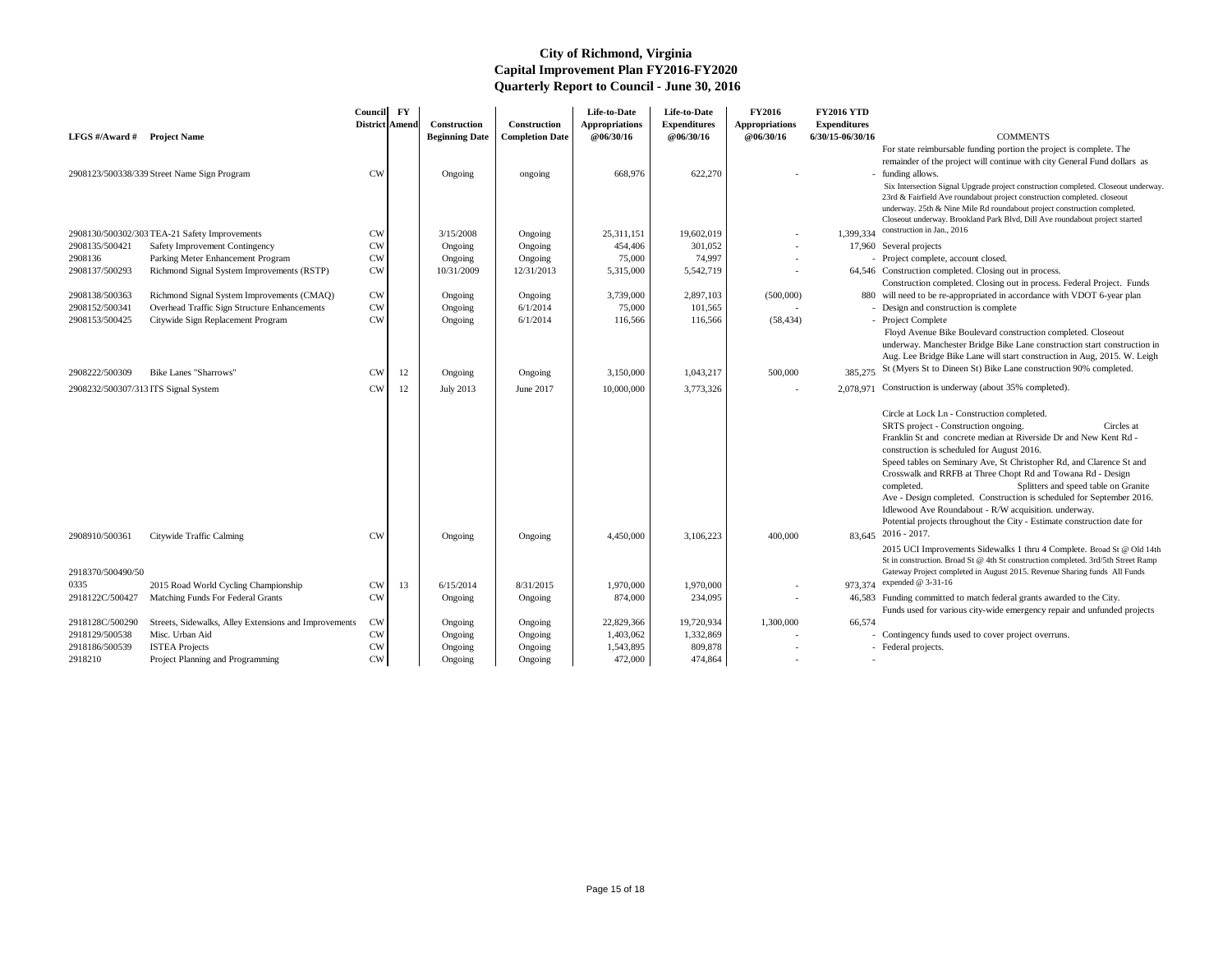|                             |                                                       | Council FY            |    |                       |                        | Life-to-Date          | Life-to-Date        | <b>FY2016</b>         | <b>FY2016 YTD</b>   |                                                                                                                                                                                                                                                                                                                                                                                                                                                                                                                                                                                                                                                        |
|-----------------------------|-------------------------------------------------------|-----------------------|----|-----------------------|------------------------|-----------------------|---------------------|-----------------------|---------------------|--------------------------------------------------------------------------------------------------------------------------------------------------------------------------------------------------------------------------------------------------------------------------------------------------------------------------------------------------------------------------------------------------------------------------------------------------------------------------------------------------------------------------------------------------------------------------------------------------------------------------------------------------------|
|                             |                                                       | <b>District Amend</b> |    | Construction          | Construction           | <b>Appropriations</b> | <b>Expenditures</b> | <b>Appropriations</b> | <b>Expenditures</b> |                                                                                                                                                                                                                                                                                                                                                                                                                                                                                                                                                                                                                                                        |
| LFGS #/Award # Project Name |                                                       |                       |    | <b>Beginning Date</b> | <b>Completion Date</b> | @06/30/16             | @06/30/16           | @06/30/16             | 6/30/15-06/30/16    | <b>COMMENTS</b>                                                                                                                                                                                                                                                                                                                                                                                                                                                                                                                                                                                                                                        |
|                             | 2908123/500338/339 Street Name Sign Program           | <b>CW</b>             |    | Ongoing               |                        | 668,976               | 622,270             |                       |                     | For state reimbursable funding portion the project is complete. The<br>remainder of the project will continue with city General Fund dollars as<br>- funding allows.                                                                                                                                                                                                                                                                                                                                                                                                                                                                                   |
|                             |                                                       |                       |    |                       | ongoing                |                       |                     |                       |                     | Six Intersection Signal Upgrade project construction completed. Closeout underway.<br>23rd & Fairfield Ave roundabout project construction completed. closeout<br>underway. 25th & Nine Mile Rd roundabout project construction completed.<br>Closeout underway. Brookland Park Blvd, Dill Ave roundabout project started                                                                                                                                                                                                                                                                                                                              |
|                             | 2908130/500302/303 TEA-21 Safety Improvements         | <b>CW</b>             |    | 3/15/2008             | Ongoing                | 25,311,151            | 19,602,019          | $\sim$                | 1,399,334           | construction in Jan., 2016                                                                                                                                                                                                                                                                                                                                                                                                                                                                                                                                                                                                                             |
| 2908135/500421              | Safety Improvement Contingency                        | <b>CW</b>             |    | Ongoing               | Ongoing                | 454,406               | 301,052             | $\sim$                |                     | 17,960 Several projects                                                                                                                                                                                                                                                                                                                                                                                                                                                                                                                                                                                                                                |
| 2908136                     | Parking Meter Enhancement Program                     | <b>CW</b>             |    | Ongoing               | Ongoing                | 75,000                | 74,997              |                       |                     | - Project complete, account closed.                                                                                                                                                                                                                                                                                                                                                                                                                                                                                                                                                                                                                    |
| 2908137/500293              | Richmond Signal System Improvements (RSTP)            | CW                    |    | 10/31/2009            | 12/31/2013             | 5,315,000             | 5,542,719           |                       |                     | 64,546 Construction completed. Closing out in process.                                                                                                                                                                                                                                                                                                                                                                                                                                                                                                                                                                                                 |
|                             |                                                       |                       |    |                       |                        |                       |                     |                       |                     | Construction completed. Closing out in process. Federal Project. Funds                                                                                                                                                                                                                                                                                                                                                                                                                                                                                                                                                                                 |
| 2908138/500363              | Richmond Signal System Improvements (CMAQ)            | <b>CW</b>             |    | Ongoing               | Ongoing                | 3,739,000             | 2,897,103           | (500,000)             |                     | 880 will need to be re-appropriated in accordance with VDOT 6-year plan                                                                                                                                                                                                                                                                                                                                                                                                                                                                                                                                                                                |
| 2908152/500341              | Overhead Traffic Sign Structure Enhancements          | <b>CW</b>             |    | Ongoing               | 6/1/2014               | 75,000                | 101,565             |                       |                     | - Design and construction is complete                                                                                                                                                                                                                                                                                                                                                                                                                                                                                                                                                                                                                  |
| 2908153/500425              | Citywide Sign Replacement Program                     | <b>CW</b>             |    | Ongoing               | 6/1/2014               | 116,566               | 116,566             | (58, 434)             |                     | - Project Complete                                                                                                                                                                                                                                                                                                                                                                                                                                                                                                                                                                                                                                     |
|                             |                                                       |                       |    |                       |                        |                       |                     |                       |                     | Floyd Avenue Bike Boulevard construction completed. Closeout<br>underway. Manchester Bridge Bike Lane construction start construction in<br>Aug. Lee Bridge Bike Lane will start construction in Aug, 2015. W. Leigh<br>St (Myers St to Dineen St) Bike Lane construction 90% completed.                                                                                                                                                                                                                                                                                                                                                               |
| 2908222/500309              | <b>Bike Lanes "Sharrows"</b>                          | <b>CW</b>             | 12 | Ongoing               | Ongoing                | 3,150,000             | 1,043,217           | 500,000               | 385,275             |                                                                                                                                                                                                                                                                                                                                                                                                                                                                                                                                                                                                                                                        |
|                             | 2908232/500307/313 ITS Signal System                  | <b>CW</b>             | 12 | <b>July 2013</b>      | June 2017              | 10,000,000            | 3,773,326           | $\sim$                | 2,078,971           | Construction is underway (about 35% completed).                                                                                                                                                                                                                                                                                                                                                                                                                                                                                                                                                                                                        |
| 2908910/500361              | Citywide Traffic Calming                              | <b>CW</b>             |    | Ongoing               | Ongoing                | 4,450,000             | 3,106,223           | 400,000               |                     | Circle at Lock Ln - Construction completed.<br>SRTS project - Construction ongoing.<br>Circles at<br>Franklin St and concrete median at Riverside Dr and New Kent Rd -<br>construction is scheduled for August 2016.<br>Speed tables on Seminary Ave, St Christopher Rd, and Clarence St and<br>Crosswalk and RRFB at Three Chopt Rd and Towana Rd - Design<br>Splitters and speed table on Granite<br>completed.<br>Ave - Design completed. Construction is scheduled for September 2016.<br>Idlewood Ave Roundabout - R/W acquisition. underway.<br>Potential projects throughout the City - Estimate construction date for<br>$83,645$ 2016 - 2017. |
| 2918370/500490/50           |                                                       |                       |    |                       |                        |                       |                     |                       |                     | 2015 UCI Improvements Sidewalks 1 thru 4 Complete. Broad St @ Old 14th<br>St in construction. Broad St @ 4th St construction completed. 3rd/5th Street Ramp<br>Gateway Project completed in August 2015. Revenue Sharing funds All Funds                                                                                                                                                                                                                                                                                                                                                                                                               |
| 0335                        | 2015 Road World Cycling Championship                  | <b>CW</b>             | 13 | 6/15/2014             | 8/31/2015              | 1,970,000             | 1,970,000           | $\sim$                |                     | 973,374 expended @ 3-31-16                                                                                                                                                                                                                                                                                                                                                                                                                                                                                                                                                                                                                             |
| 2918122C/500427             | Matching Funds For Federal Grants                     | <b>CW</b>             |    | Ongoing               | Ongoing                | 874,000               | 234,095             |                       |                     | 46,583 Funding committed to match federal grants awarded to the City.<br>Funds used for various city-wide emergency repair and unfunded projects                                                                                                                                                                                                                                                                                                                                                                                                                                                                                                       |
| 2918128C/500290             | Streets, Sidewalks, Alley Extensions and Improvements | CW                    |    | Ongoing               | Ongoing                | 22,829,366            | 19,720,934          | 1,300,000             | 66,574              |                                                                                                                                                                                                                                                                                                                                                                                                                                                                                                                                                                                                                                                        |
| 2918129/500538              | Misc. Urban Aid                                       | <b>CW</b>             |    | Ongoing               | Ongoing                | 1,403,062             | 1,332,869           |                       |                     | - Contingency funds used to cover project overruns.                                                                                                                                                                                                                                                                                                                                                                                                                                                                                                                                                                                                    |
| 2918186/500539              | <b>ISTEA Projects</b>                                 | <b>CW</b>             |    | Ongoing               | Ongoing                | 1,543,895             | 809,878             |                       |                     | - Federal projects.                                                                                                                                                                                                                                                                                                                                                                                                                                                                                                                                                                                                                                    |
| 2918210                     | Project Planning and Programming                      | ${\rm\bf CW}$         |    | Ongoing               | Ongoing                | 472,000               | 474,864             |                       |                     |                                                                                                                                                                                                                                                                                                                                                                                                                                                                                                                                                                                                                                                        |

- 
-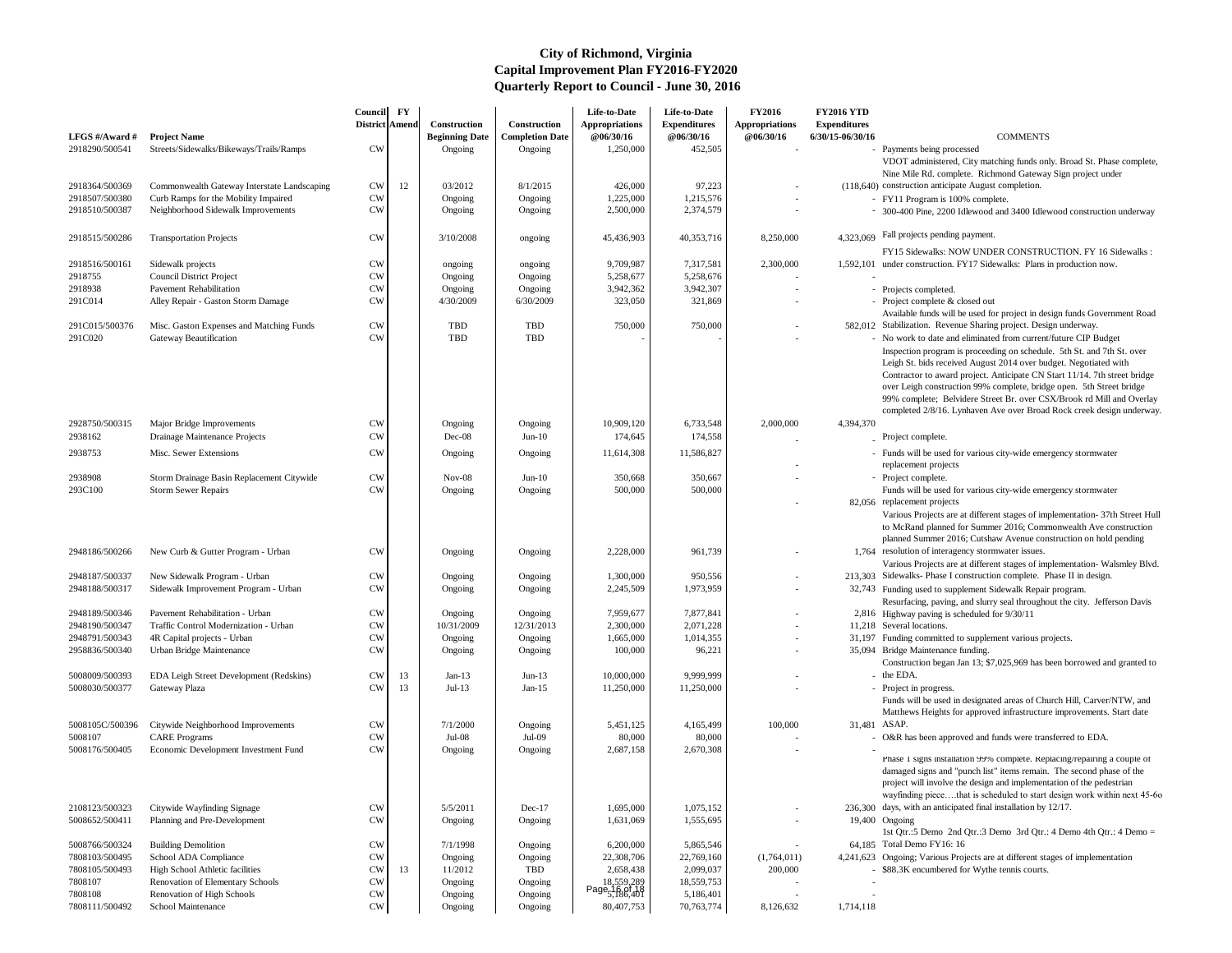| LFGS #/Award #  | <b>Project Name</b>                         | Council FY<br><b>District Amend</b> |    | Construction<br><b>Beginning Date</b> | <b>Construction</b><br><b>Completion Date</b> | Life-to-Date<br><b>Appropriations</b><br>@06/30/16   | Life-to-Date<br><b>Expenditures</b><br>@06/30/16 | <b>FY2016</b><br><b>Appropriations</b><br>@06/30/16 | <b>FY2016 YTD</b><br><b>Expenditures</b><br>6/30/15-06/30/16 | <b>COMMENTS</b>                                                                                                                                                                                                                                                                                                                                                                                                                                   |
|-----------------|---------------------------------------------|-------------------------------------|----|---------------------------------------|-----------------------------------------------|------------------------------------------------------|--------------------------------------------------|-----------------------------------------------------|--------------------------------------------------------------|---------------------------------------------------------------------------------------------------------------------------------------------------------------------------------------------------------------------------------------------------------------------------------------------------------------------------------------------------------------------------------------------------------------------------------------------------|
| 2918290/500541  | Streets/Sidewalks/Bikeways/Trails/Ramps     | <b>CW</b>                           |    | Ongoing                               | Ongoing                                       | 1,250,000                                            | 452,505                                          |                                                     |                                                              | - Payments being processed                                                                                                                                                                                                                                                                                                                                                                                                                        |
|                 |                                             |                                     |    |                                       |                                               |                                                      |                                                  |                                                     |                                                              | VDOT administered, City matching funds only. Broad St. Phase complete,<br>Nine Mile Rd. complete. Richmond Gateway Sign project under                                                                                                                                                                                                                                                                                                             |
| 2918364/500369  | Commonwealth Gateway Interstate Landscaping | <b>CW</b>                           | 12 | 03/2012                               | 8/1/2015                                      | 426,000                                              | 97,223                                           |                                                     |                                                              | (118,640) construction anticipate August completion.                                                                                                                                                                                                                                                                                                                                                                                              |
| 2918507/500380  | Curb Ramps for the Mobility Impaired        | <b>CW</b>                           |    | Ongoing                               | Ongoing                                       | 1,225,000                                            | 1,215,576                                        |                                                     |                                                              | - FY11 Program is 100% complete.                                                                                                                                                                                                                                                                                                                                                                                                                  |
| 2918510/500387  | Neighborhood Sidewalk Improvements          | <b>CW</b>                           |    | Ongoing                               | Ongoing                                       | 2,500,000                                            | 2,374,579                                        |                                                     |                                                              | - 300-400 Pine, 2200 Idlewood and 3400 Idlewood construction underway                                                                                                                                                                                                                                                                                                                                                                             |
| 2918515/500286  | <b>Transportation Projects</b>              | <b>CW</b>                           |    | 3/10/2008                             | ongoing                                       | 45,436,903                                           | 40,353,716                                       | 8,250,000                                           |                                                              | 4,323,069 Fall projects pending payment.                                                                                                                                                                                                                                                                                                                                                                                                          |
| 2918516/500161  | Sidewalk projects                           | <b>CW</b>                           |    | ongoing                               | ongoing                                       | 9,709,987                                            | 7,317,581                                        | 2,300,000                                           |                                                              | FY15 Sidewalks: NOW UNDER CONSTRUCTION. FY 16 Sidewalks :<br>1,592,101 under construction. FY17 Sidewalks: Plans in production now.                                                                                                                                                                                                                                                                                                               |
| 2918755         | <b>Council District Project</b>             | <b>CW</b>                           |    | Ongoing                               | Ongoing                                       | 5,258,677                                            | 5,258,676                                        |                                                     |                                                              |                                                                                                                                                                                                                                                                                                                                                                                                                                                   |
| 2918938         | <b>Pavement Rehabilitation</b>              | <b>CW</b>                           |    | Ongoing                               | Ongoing                                       | 3,942,362                                            | 3,942,307                                        |                                                     |                                                              | - Projects completed.                                                                                                                                                                                                                                                                                                                                                                                                                             |
| 291C014         |                                             |                                     |    |                                       | 6/30/2009                                     |                                                      |                                                  |                                                     |                                                              |                                                                                                                                                                                                                                                                                                                                                                                                                                                   |
|                 | Alley Repair - Gaston Storm Damage          | <b>CW</b>                           |    | 4/30/2009                             |                                               | 323,050                                              | 321,869                                          |                                                     |                                                              | - Project complete & closed out<br>Available funds will be used for project in design funds Government Road                                                                                                                                                                                                                                                                                                                                       |
| 291C015/500376  | Misc. Gaston Expenses and Matching Funds    | <b>CW</b>                           |    | TBD                                   | TBD                                           | 750,000                                              | 750,000                                          |                                                     |                                                              | 582,012 Stabilization. Revenue Sharing project. Design underway.                                                                                                                                                                                                                                                                                                                                                                                  |
| 291C020         | Gateway Beautification                      | <b>CW</b>                           |    | TBD                                   | <b>TBD</b>                                    |                                                      |                                                  |                                                     |                                                              | - No work to date and eliminated from current/future CIP Budget                                                                                                                                                                                                                                                                                                                                                                                   |
|                 |                                             |                                     |    |                                       |                                               |                                                      |                                                  |                                                     |                                                              | Inspection program is proceeding on schedule. 5th St. and 7th St. over<br>Leigh St. bids received August 2014 over budget. Negotiated with<br>Contractor to award project. Anticipate CN Start 11/14. 7th street bridge<br>over Leigh construction 99% complete, bridge open. 5th Street bridge<br>99% complete; Belvidere Street Br. over CSX/Brook rd Mill and Overlay<br>completed 2/8/16. Lynhaven Ave over Broad Rock creek design underway. |
| 2928750/500315  | Major Bridge Improvements                   | <b>CW</b>                           |    | Ongoing                               | Ongoing                                       | 10,909,120                                           | 6,733,548                                        | 2,000,000                                           | 4,394,370                                                    |                                                                                                                                                                                                                                                                                                                                                                                                                                                   |
| 2938162         | Drainage Maintenance Projects               | <b>CW</b>                           |    | Dec-08                                | $Jun-10$                                      | 174,645                                              | 174,558                                          |                                                     |                                                              | Project complete.                                                                                                                                                                                                                                                                                                                                                                                                                                 |
| 2938753         | Misc. Sewer Extensions                      | <b>CW</b>                           |    |                                       |                                               | 11,614,308                                           | 11,586,827                                       |                                                     |                                                              | - Funds will be used for various city-wide emergency stormwater                                                                                                                                                                                                                                                                                                                                                                                   |
|                 |                                             |                                     |    | Ongoing                               | Ongoing                                       |                                                      |                                                  |                                                     |                                                              | replacement projects                                                                                                                                                                                                                                                                                                                                                                                                                              |
| 2938908         | Storm Drainage Basin Replacement Citywide   | <b>CW</b>                           |    | $Nov-08$                              | $Jun-10$                                      | 350,668                                              | 350,667                                          |                                                     |                                                              | - Project complete.                                                                                                                                                                                                                                                                                                                                                                                                                               |
| 293C100         | <b>Storm Sewer Repairs</b>                  | <b>CW</b>                           |    | Ongoing                               | Ongoing                                       | 500,000                                              | 500,000                                          |                                                     |                                                              | Funds will be used for various city-wide emergency stormwater                                                                                                                                                                                                                                                                                                                                                                                     |
|                 |                                             |                                     |    |                                       |                                               |                                                      |                                                  |                                                     |                                                              | 82,056 replacement projects<br>Various Projects are at different stages of implementation- 37th Street Hull<br>to McRand planned for Summer 2016; Commonwealth Ave construction<br>planned Summer 2016; Cutshaw Avenue construction on hold pending                                                                                                                                                                                               |
| 2948186/500266  | New Curb & Gutter Program - Urban           | <b>CW</b>                           |    | Ongoing                               | Ongoing                                       | 2,228,000                                            | 961,739                                          |                                                     |                                                              | 1,764 resolution of interagency stormwater issues.<br>Various Projects are at different stages of implementation- Walsmley Blvd.                                                                                                                                                                                                                                                                                                                  |
| 2948187/500337  | New Sidewalk Program - Urban                | <b>CW</b>                           |    | Ongoing                               | Ongoing                                       | 1,300,000                                            | 950,556                                          |                                                     |                                                              | 213,303 Sidewalks- Phase I construction complete. Phase II in design.                                                                                                                                                                                                                                                                                                                                                                             |
| 2948188/500317  | Sidewalk Improvement Program - Urban        | <b>CW</b>                           |    | Ongoing                               | Ongoing                                       | 2,245,509                                            | 1,973,959                                        |                                                     |                                                              | 32,743 Funding used to supplement Sidewalk Repair program.<br>Resurfacing, paving, and slurry seal throughout the city. Jefferson Davis                                                                                                                                                                                                                                                                                                           |
| 2948189/500346  | Pavement Rehabilitation - Urban             | <b>CW</b>                           |    | Ongoing                               | Ongoing                                       | 7,959,677                                            | 7,877,841                                        |                                                     |                                                              | 2,816 Highway paving is scheduled for 9/30/11                                                                                                                                                                                                                                                                                                                                                                                                     |
| 2948190/500347  | Traffic Control Modernization - Urban       | <b>CW</b>                           |    | 10/31/2009                            | 12/31/2013                                    | 2,300,000                                            | 2,071,228                                        | $\sim$                                              |                                                              | 11,218 Several locations.                                                                                                                                                                                                                                                                                                                                                                                                                         |
| 2948791/500343  | 4R Capital projects - Urban                 | <b>CW</b>                           |    | Ongoing                               | Ongoing                                       | 1,665,000                                            | 1,014,355                                        | $\sim$                                              |                                                              | 31,197 Funding committed to supplement various projects.                                                                                                                                                                                                                                                                                                                                                                                          |
| 2958836/500340  |                                             | <b>CW</b>                           |    |                                       |                                               | 100,000                                              | 96,221                                           |                                                     |                                                              | 35,094 Bridge Maintenance funding.                                                                                                                                                                                                                                                                                                                                                                                                                |
|                 | Urban Bridge Maintenance                    |                                     |    | Ongoing                               | Ongoing                                       |                                                      |                                                  |                                                     |                                                              | Construction began Jan 13; \$7,025,969 has been borrowed and granted to                                                                                                                                                                                                                                                                                                                                                                           |
| 5008009/500393  | EDA Leigh Street Development (Redskins)     | <b>CW</b>                           | 13 | Jan-13                                | $Jun-13$                                      | 10,000,000                                           | 9,999,999                                        |                                                     |                                                              | $-$ the EDA.                                                                                                                                                                                                                                                                                                                                                                                                                                      |
| 5008030/500377  | Gateway Plaza                               | <b>CW</b>                           | 13 | $Jul-13$                              | $Jan-15$                                      | 11,250,000                                           | 11,250,000                                       |                                                     |                                                              | - Project in progress.<br>Funds will be used in designated areas of Church Hill, Carver/NTW, and<br>Matthews Heights for approved infrastructure improvements. Start date                                                                                                                                                                                                                                                                         |
| 5008105C/500396 | Citywide Neighborhood Improvements          | <b>CW</b>                           |    | 7/1/2000                              | Ongoing                                       | 5,451,125                                            | 4,165,499                                        | 100,000                                             | 31,481 ASAP.                                                 |                                                                                                                                                                                                                                                                                                                                                                                                                                                   |
| 5008107         | <b>CARE</b> Programs                        | <b>CW</b>                           |    | $Jul-08$                              | Jul-09                                        | 80,000                                               | 80,000                                           |                                                     |                                                              | - O&R has been approved and funds were transferred to EDA.                                                                                                                                                                                                                                                                                                                                                                                        |
| 5008176/500405  | Economic Development Investment Fund        | <b>CW</b>                           |    | Ongoing                               | Ongoing                                       | 2,687,158                                            | 2,670,308                                        |                                                     |                                                              |                                                                                                                                                                                                                                                                                                                                                                                                                                                   |
|                 |                                             |                                     |    |                                       |                                               |                                                      |                                                  |                                                     |                                                              | Phase 1 signs installation 99% complete. Replacing/repairing a couple of<br>damaged signs and "punch list" items remain. The second phase of the<br>project will involve the design and implementation of the pedestrian<br>wayfinding piecethat is scheduled to start design work within next 45-60                                                                                                                                              |
| 2108123/500323  | Citywide Wayfinding Signage                 | <b>CW</b>                           |    | 5/5/2011                              | $Dec-17$                                      | 1,695,000                                            | 1,075,152                                        |                                                     |                                                              | 236,300 days, with an anticipated final installation by 12/17.                                                                                                                                                                                                                                                                                                                                                                                    |
| 5008652/500411  | Planning and Pre-Development                | <b>CW</b>                           |    | Ongoing                               | Ongoing                                       | 1,631,069                                            | 1,555,695                                        |                                                     |                                                              | 19,400 Ongoing<br>1st Qtr.:5 Demo 2nd Qtr.:3 Demo 3rd Qtr.: 4 Demo 4th Qtr.: 4 Demo =                                                                                                                                                                                                                                                                                                                                                             |
| 5008766/500324  | <b>Building Demolition</b>                  | <b>CW</b>                           |    | 7/1/1998                              | Ongoing                                       | 6,200,000                                            | 5,865,546                                        |                                                     |                                                              | 64,185 Total Demo FY16: 16                                                                                                                                                                                                                                                                                                                                                                                                                        |
| 7808103/500495  | School ADA Compliance                       | <b>CW</b>                           |    | Ongoing                               | Ongoing                                       | 22,308,706                                           | 22,769,160                                       | (1,764,011)                                         |                                                              | 4,241,623 Ongoing; Various Projects are at different stages of implementation                                                                                                                                                                                                                                                                                                                                                                     |
| 7808105/500493  | High School Athletic facilities             | <b>CW</b>                           | 13 | 11/2012                               | TBD                                           | 2,658,438                                            | 2,099,037                                        | 200,000                                             |                                                              | - \$88.3K encumbered for Wythe tennis courts.                                                                                                                                                                                                                                                                                                                                                                                                     |
| 7808107         | Renovation of Elementary Schools            | <b>CW</b>                           |    | Ongoing                               | Ongoing                                       |                                                      | 18,559,753                                       |                                                     |                                                              |                                                                                                                                                                                                                                                                                                                                                                                                                                                   |
| 7808108         | Renovation of High Schools                  | <b>CW</b>                           |    | Ongoing                               | Ongoing                                       | 18,559,289<br>Page <sub>5,16,9</sub> f <sub>18</sub> | 5,186,401                                        |                                                     |                                                              |                                                                                                                                                                                                                                                                                                                                                                                                                                                   |
| 7808111/500492  | <b>School Maintenance</b>                   | <b>CW</b>                           |    | Ongoing                               | Ongoing                                       | 80,407,753                                           | 70,763,774                                       | 8,126,632                                           | 1,714,118                                                    |                                                                                                                                                                                                                                                                                                                                                                                                                                                   |
|                 |                                             |                                     |    |                                       |                                               |                                                      |                                                  |                                                     |                                                              |                                                                                                                                                                                                                                                                                                                                                                                                                                                   |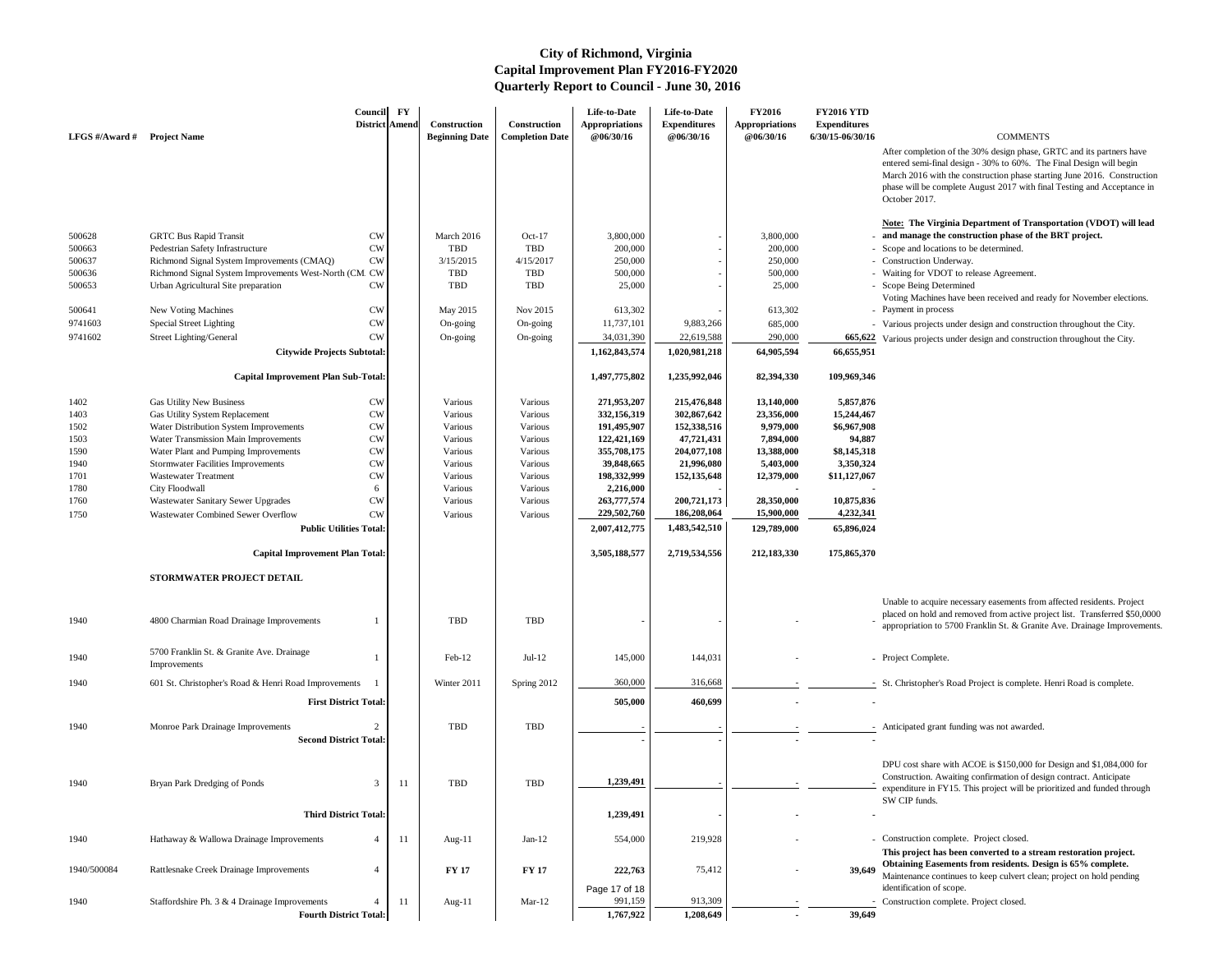After completion of the 30% design phase, GRTC and its partners have entered semi-final design - 30% to 60%. The Final Design will begin March 2016 with the construction phase starting June 2016. Construction phase will be complete August 2017 with final Testing and Acceptance in October 2017.

### **Note: The Virginia Department of Transportation (VDOT) will lead and manage the construction phase of the BRT project.**

- Scope and locations to be determined.
- Construction Underway.
- Waiting for VDOT to release Agreement.
- Scope Being Determined
- Voting Machines have been received and ready for November elections. - Payment in process
- Various projects under design and construction throughout the City.
- 665,622 Various projects under design and construction throughout the City.

| LFGS $\#/$ Award $\#$ | <b>Project Name</b>                                       | Council<br><b>District Amend</b>            | $\mathbf{F}\mathbf{Y}$ | <b>Construction</b><br><b>Beginning Date</b> | Construction<br><b>Completion Date</b> | Life-to-Date<br><b>Appropriations</b><br><b>@06/30/16</b> | Life-to-Date<br><b>Expenditures</b><br>@06/30/16 | <b>FY2016</b><br><b>Appropriations</b><br>@06/30/16 | <b>FY2016 YTD</b><br><b>Expenditures</b><br>$6/30/15 - 06/30/16$ | <b>COMMENTS</b>                                                                                                                                                                                                                                                                                    |
|-----------------------|-----------------------------------------------------------|---------------------------------------------|------------------------|----------------------------------------------|----------------------------------------|-----------------------------------------------------------|--------------------------------------------------|-----------------------------------------------------|------------------------------------------------------------------|----------------------------------------------------------------------------------------------------------------------------------------------------------------------------------------------------------------------------------------------------------------------------------------------------|
|                       |                                                           |                                             |                        |                                              |                                        |                                                           |                                                  |                                                     |                                                                  | After completion of the 30% design phase, GRTC and its partners h<br>entered semi-final design - 30% to 60%. The Final Design will begi<br>March 2016 with the construction phase starting June 2016. Constr<br>phase will be complete August 2017 with final Testing and Accepta<br>October 2017. |
| 500628                | <b>GRTC Bus Rapid Transit</b>                             | <b>CW</b>                                   |                        | March 2016                                   | $Oct-17$                               | 3,800,000                                                 |                                                  | 3,800,000                                           |                                                                  | <b>Note:</b> The Virginia Department of Transportation (VDOT) wil<br>- and manage the construction phase of the BRT project.                                                                                                                                                                       |
| 500663                | Pedestrian Safety Infrastructure                          | <b>CW</b>                                   |                        | TBD                                          | <b>TBD</b>                             | 200,000                                                   |                                                  | 200,000                                             |                                                                  | - Scope and locations to be determined.                                                                                                                                                                                                                                                            |
| 500637                | Richmond Signal System Improvements (CMAQ)                | <b>CW</b>                                   |                        | 3/15/2015                                    | 4/15/2017                              | 250,000                                                   |                                                  | 250,000                                             |                                                                  | - Construction Underway.                                                                                                                                                                                                                                                                           |
| 500636                | Richmond Signal System Improvements West-North (CM_CW     |                                             |                        | TBD                                          | <b>TBD</b>                             | 500,000                                                   |                                                  | 500,000                                             |                                                                  | - Waiting for VDOT to release Agreement.                                                                                                                                                                                                                                                           |
| 500653                | Urban Agricultural Site preparation                       | <b>CW</b>                                   |                        | <b>TBD</b>                                   | <b>TBD</b>                             | 25,000                                                    |                                                  | 25,000                                              |                                                                  | - Scope Being Determined<br>Voting Machines have been received and ready for November electi                                                                                                                                                                                                       |
| 500641                | <b>New Voting Machines</b>                                | <b>CW</b>                                   |                        | May 2015                                     | Nov 2015                               | 613,302                                                   |                                                  | 613,302                                             |                                                                  | - Payment in process                                                                                                                                                                                                                                                                               |
| 9741603               | <b>Special Street Lighting</b>                            | <b>CW</b>                                   |                        | On-going                                     | On-going                               | 11,737,101                                                | 9,883,266                                        | 685,000                                             |                                                                  | - Various projects under design and construction throughout the City                                                                                                                                                                                                                               |
| 9741602               | <b>Street Lighting/General</b>                            | <b>CW</b>                                   |                        | On-going                                     | On-going                               | 34,031,390                                                | 22,619,588                                       | 290,000                                             |                                                                  | 665,622 Various projects under design and construction throughout the City                                                                                                                                                                                                                         |
|                       | <b>Citywide Projects Subtotal:</b>                        |                                             |                        |                                              |                                        | 1,162,843,574                                             | 1,020,981,218                                    | 64,905,594                                          | 66,655,951                                                       |                                                                                                                                                                                                                                                                                                    |
|                       | <b>Capital Improvement Plan Sub-Total:</b>                |                                             |                        |                                              |                                        | 1,497,775,802                                             | 1,235,992,046                                    | 82,394,330                                          | 109,969,346                                                      |                                                                                                                                                                                                                                                                                                    |
| 1402                  | <b>Gas Utility New Business</b>                           | <b>CW</b>                                   |                        | Various                                      | Various                                | 271,953,207                                               | 215,476,848                                      | 13,140,000                                          | 5,857,876                                                        |                                                                                                                                                                                                                                                                                                    |
| 1403                  | Gas Utility System Replacement                            | <b>CW</b>                                   |                        | Various                                      | Various                                | 332,156,319                                               | 302,867,642                                      | 23,356,000                                          | 15,244,467                                                       |                                                                                                                                                                                                                                                                                                    |
| 1502                  | Water Distribution System Improvements                    | <b>CW</b>                                   |                        | Various                                      | Various                                | 191,495,907                                               | 152,338,516                                      | 9,979,000                                           | \$6,967,908                                                      |                                                                                                                                                                                                                                                                                                    |
| 1503                  | Water Transmission Main Improvements                      | <b>CW</b>                                   |                        | Various                                      | Various                                | 122,421,169                                               | 47,721,431                                       | 7,894,000                                           | 94,887                                                           |                                                                                                                                                                                                                                                                                                    |
| 1590                  | Water Plant and Pumping Improvements                      | <b>CW</b>                                   |                        | Various                                      | Various                                | 355,708,175                                               | 204,077,108                                      | 13,388,000                                          | \$8,145,318                                                      |                                                                                                                                                                                                                                                                                                    |
| 1940                  | <b>Stormwater Facilities Improvements</b>                 | <b>CW</b>                                   |                        | Various                                      | Various                                | 39,848,665                                                | 21,996,080                                       | 5,403,000                                           | 3,350,324                                                        |                                                                                                                                                                                                                                                                                                    |
| 1701                  | <b>Wastewater Treatment</b>                               | <b>CW</b>                                   |                        | Various                                      | Various                                | 198,332,999                                               | 152, 135, 648                                    | 12,379,000                                          | \$11,127,067                                                     |                                                                                                                                                                                                                                                                                                    |
| 1780                  | City Floodwall                                            |                                             |                        | Various                                      | Various                                | 2,216,000                                                 |                                                  |                                                     |                                                                  |                                                                                                                                                                                                                                                                                                    |
| 1760                  | <b>Wastewater Sanitary Sewer Upgrades</b>                 | <b>CW</b>                                   |                        | Various                                      | Various                                | 263,777,574                                               | 200,721,173                                      | 28,350,000                                          | 10,875,836                                                       |                                                                                                                                                                                                                                                                                                    |
| 1750                  | Wastewater Combined Sewer Overflow                        | <b>CW</b><br><b>Public Utilities Total:</b> |                        | Various                                      | Various                                | 229,502,760<br>2,007,412,775                              | 186,208,064<br>1,483,542,510                     | 15,900,000<br>129,789,000                           | 4,232,341<br>65,896,024                                          |                                                                                                                                                                                                                                                                                                    |
|                       | <b>Capital Improvement Plan Total:</b>                    |                                             |                        |                                              |                                        | 3,505,188,577                                             | 2,719,534,556                                    | 212,183,330                                         | 175,865,370                                                      |                                                                                                                                                                                                                                                                                                    |
|                       | STORMWATER PROJECT DETAIL                                 |                                             |                        |                                              |                                        |                                                           |                                                  |                                                     |                                                                  |                                                                                                                                                                                                                                                                                                    |
| 1940                  | 4800 Charmian Road Drainage Improvements                  |                                             |                        | <b>TBD</b>                                   | <b>TBD</b>                             |                                                           |                                                  |                                                     |                                                                  | Unable to acquire necessary easements from affected residents. Proj<br>placed on hold and removed from active project list. Transferred \$5                                                                                                                                                        |
|                       |                                                           |                                             |                        |                                              |                                        |                                                           |                                                  |                                                     |                                                                  | appropriation to 5700 Franklin St. & Granite Ave. Drainage Improv                                                                                                                                                                                                                                  |
| 1940                  | 5700 Franklin St. & Granite Ave. Drainage<br>Improvements |                                             |                        | Feb-12                                       | $Jul-12$                               | 145,000                                                   | 144,031                                          |                                                     |                                                                  | - Project Complete.                                                                                                                                                                                                                                                                                |
| 1940                  | 601 St. Christopher's Road & Henri Road Improvements      |                                             |                        | Winter 2011                                  | Spring 2012                            | 360,000                                                   | 316,668                                          |                                                     |                                                                  | - St. Christopher's Road Project is complete. Henri Road is complete.                                                                                                                                                                                                                              |
|                       |                                                           | <b>First District Total:</b>                |                        |                                              |                                        | 505,000                                                   | 460,699                                          |                                                     |                                                                  |                                                                                                                                                                                                                                                                                                    |
| 1940                  | Monroe Park Drainage Improvements                         |                                             |                        | <b>TBD</b>                                   | <b>TBD</b>                             |                                                           |                                                  |                                                     |                                                                  | - Anticipated grant funding was not awarded.                                                                                                                                                                                                                                                       |
|                       |                                                           | <b>Second District Total:</b>               |                        |                                              |                                        |                                                           |                                                  |                                                     |                                                                  |                                                                                                                                                                                                                                                                                                    |
| 1940                  | Bryan Park Dredging of Ponds                              | -3                                          | 11                     | <b>TBD</b>                                   | <b>TBD</b>                             | 1,239,491                                                 |                                                  |                                                     |                                                                  | DPU cost share with ACOE is \$150,000 for Design and \$1,084,000<br>Construction. Awaiting confirmation of design contract. Anticipate<br>expenditure in FY15. This project will be prioritized and funded thro                                                                                    |
|                       |                                                           |                                             |                        |                                              |                                        |                                                           |                                                  |                                                     |                                                                  | SW CIP funds.                                                                                                                                                                                                                                                                                      |
|                       |                                                           | <b>Third District Total:</b>                |                        |                                              |                                        | 1,239,491                                                 |                                                  |                                                     |                                                                  |                                                                                                                                                                                                                                                                                                    |
| 1940                  | Hathaway & Wallowa Drainage Improvements                  |                                             | -11                    | Aug- $11$                                    | $Jan-12$                               | 554,000                                                   | 219,928                                          |                                                     |                                                                  | - Construction complete. Project closed.<br>This project has been converted to a stream restoration project                                                                                                                                                                                        |
| 1940/500084           | Rattlesnake Creek Drainage Improvements                   |                                             |                        | <b>FY 17</b>                                 | <b>FY 17</b>                           | 222,763                                                   | 75,412                                           |                                                     | 39,649                                                           | Obtaining Easements from residents. Design is 65% complete.<br>Maintenance continues to keep culvert clean; project on hold pendin                                                                                                                                                                 |
|                       |                                                           |                                             |                        |                                              |                                        | Page 17 of 18                                             |                                                  |                                                     |                                                                  | identification of scope.                                                                                                                                                                                                                                                                           |
| 1940                  | Staffordshire Ph. 3 & 4 Drainage Improvements             |                                             | 11                     | Aug-11                                       | $Mar-12$                               | 991,159                                                   | 913,309                                          |                                                     |                                                                  | - Construction complete. Project closed.                                                                                                                                                                                                                                                           |
|                       |                                                           | <b>Fourth District Total:</b>               |                        |                                              |                                        | 1,767,922                                                 | 1,208,649                                        |                                                     | 39,649                                                           |                                                                                                                                                                                                                                                                                                    |

|        | Unable to acquire necessary easements from affected residents. Project<br>placed on hold and removed from active project list. Transferred \$50,0000<br>appropriation to 5700 Franklin St. & Granite Ave. Drainage Improvements. |
|--------|----------------------------------------------------------------------------------------------------------------------------------------------------------------------------------------------------------------------------------|
|        | Project Complete.                                                                                                                                                                                                                |
|        | St. Christopher's Road Project is complete. Henri Road is complete.                                                                                                                                                              |
|        |                                                                                                                                                                                                                                  |
|        | Anticipated grant funding was not awarded.                                                                                                                                                                                       |
|        |                                                                                                                                                                                                                                  |
|        | DPU cost share with ACOE is \$150,000 for Design and \$1,084,000 for<br>Construction. Awaiting confirmation of design contract. Anticipate<br>expenditure in FY15. This project will be prioritized and funded through           |
|        | SW CIP funds.                                                                                                                                                                                                                    |
|        |                                                                                                                                                                                                                                  |
|        | Construction complete. Project closed.                                                                                                                                                                                           |
|        | This project has been converted to a stream restoration project.                                                                                                                                                                 |
| 39,649 | Obtaining Easements from residents. Design is 65% complete.                                                                                                                                                                      |
|        | Maintenance continues to keep culvert clean; project on hold pending                                                                                                                                                             |
|        | identification of scope.                                                                                                                                                                                                         |
|        | Construction complete. Project closed.                                                                                                                                                                                           |
| 20.740 |                                                                                                                                                                                                                                  |